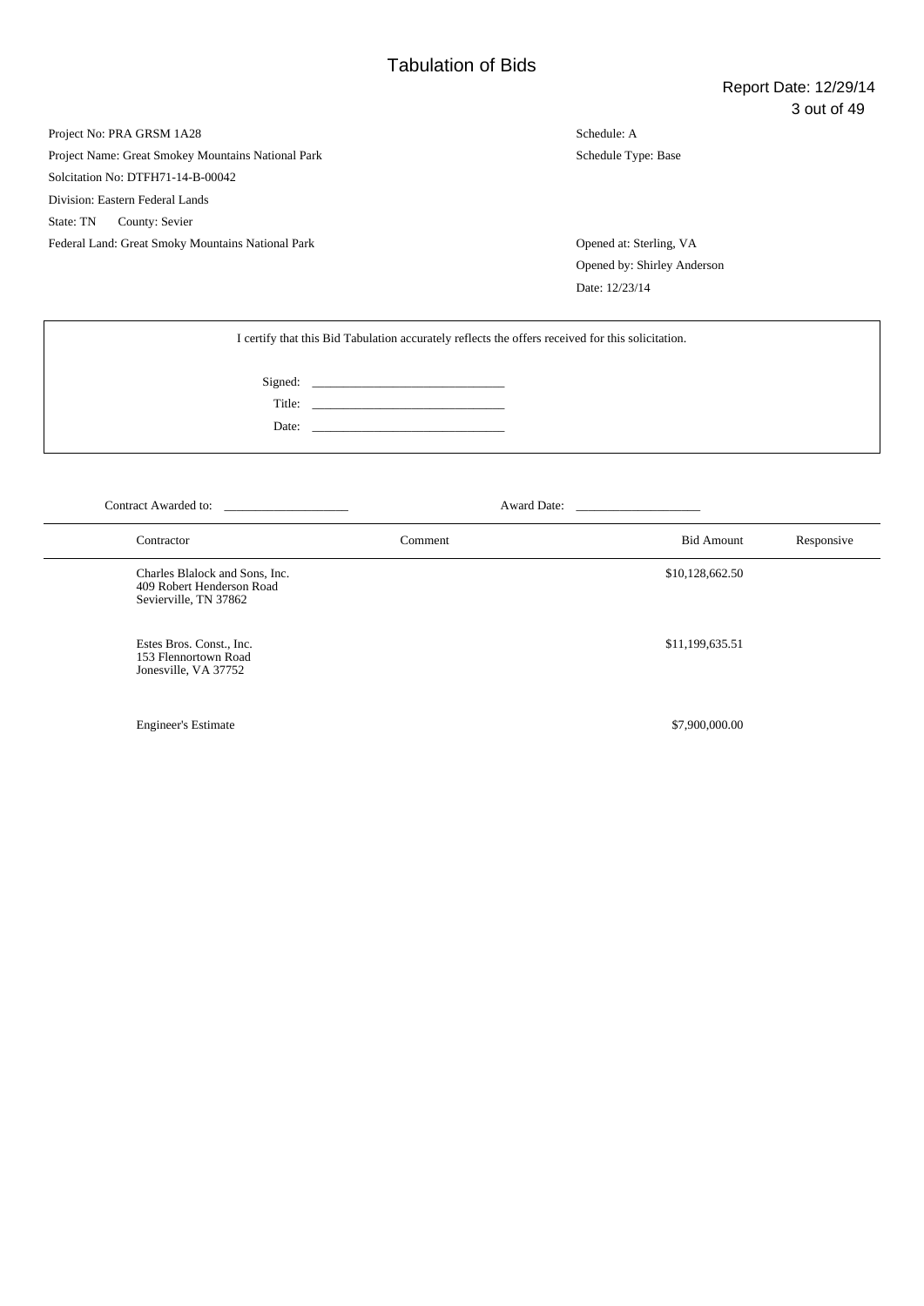# Project No: PRA GRSM 1A28 Project Name: Great Smokey Mountains National Park Solcitation No: DTFH71-14-B-00042 Division: Eastern Federal Lands

State: TN County: Sevier

Federal Land: Great Smoky Mountains National Park **Opened at: Sterling, VA** Opened at: Sterling, VA

Schedule: A Schedule Type: Base

Opened by: Shirley Anderson Date: 12/23/14

| I certify that this Bid Tabulation accurately reflects the offers received for this solicitation. |  |  |  |  |  |  |
|---------------------------------------------------------------------------------------------------|--|--|--|--|--|--|
|                                                                                                   |  |  |  |  |  |  |
|                                                                                                   |  |  |  |  |  |  |
|                                                                                                   |  |  |  |  |  |  |
|                                                                                                   |  |  |  |  |  |  |
|                                                                                                   |  |  |  |  |  |  |
|                                                                                                   |  |  |  |  |  |  |

| Contract Awarded to:                                                                 | Award Date: |                   |            |
|--------------------------------------------------------------------------------------|-------------|-------------------|------------|
| Contractor                                                                           | Comment     | <b>Bid Amount</b> | Responsive |
| Charles Blalock and Sons, Inc.<br>409 Robert Henderson Road<br>Sevierville, TN 37862 |             | \$10,128,662.50   |            |
| Estes Bros. Const., Inc.<br>153 Flennortown Road<br>Jonesville, VA 37752             |             | \$11,199,635.51   |            |
| <b>Engineer's Estimate</b>                                                           |             | \$7,900,000.00    |            |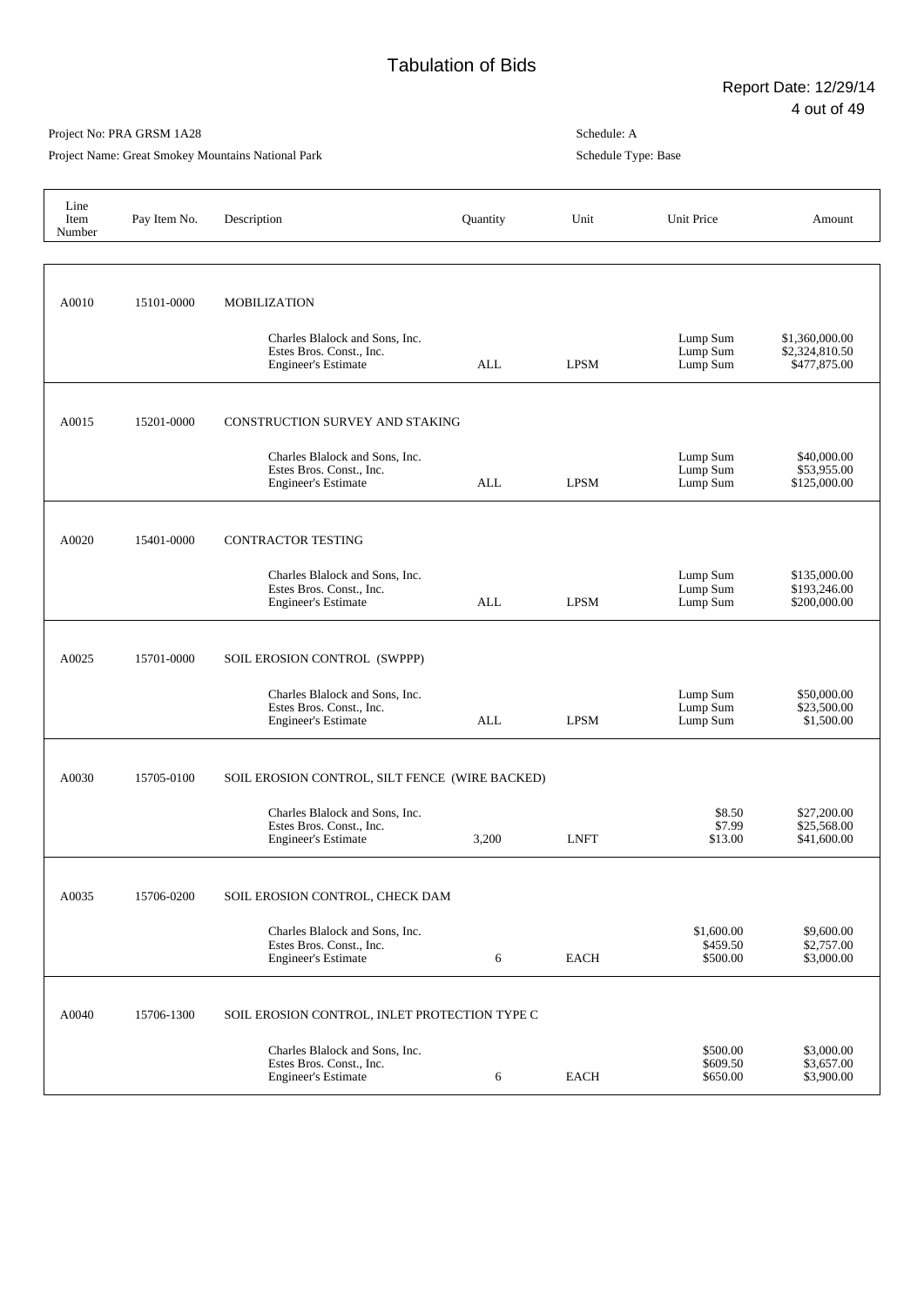#### Project No: PRA GRSM 1A28

Project Name: Great Smokey Mountains National Park

| Line<br>Item<br>Number | Pay Item No. | Description                                                                                                                                | Quantity   | Unit        | Unit Price                         | Amount                                           |
|------------------------|--------------|--------------------------------------------------------------------------------------------------------------------------------------------|------------|-------------|------------------------------------|--------------------------------------------------|
|                        |              |                                                                                                                                            |            |             |                                    |                                                  |
| A0010                  | 15101-0000   | <b>MOBILIZATION</b><br>Charles Blalock and Sons, Inc.<br>Estes Bros. Const., Inc.<br><b>Engineer's Estimate</b>                            | ALL        | <b>LPSM</b> | Lump Sum<br>Lump Sum<br>Lump Sum   | \$1,360,000.00<br>\$2,324,810.50<br>\$477,875.00 |
| A0015                  | 15201-0000   | CONSTRUCTION SURVEY AND STAKING<br>Charles Blalock and Sons, Inc.<br>Estes Bros. Const., Inc.                                              |            |             | Lump Sum<br>Lump Sum               | \$40,000.00<br>\$53,955.00                       |
|                        |              | <b>Engineer's Estimate</b>                                                                                                                 | ALL        | <b>LPSM</b> | Lump Sum                           | \$125,000.00                                     |
| A0020                  | 15401-0000   | <b>CONTRACTOR TESTING</b><br>Charles Blalock and Sons, Inc.<br>Estes Bros. Const., Inc.<br><b>Engineer's Estimate</b>                      | ALL        | <b>LPSM</b> | Lump Sum<br>Lump Sum<br>Lump Sum   | \$135,000.00<br>\$193,246.00<br>\$200,000.00     |
| A0025                  | 15701-0000   | SOIL EROSION CONTROL (SWPPP)<br>Charles Blalock and Sons, Inc.<br>Estes Bros. Const., Inc.<br><b>Engineer's Estimate</b>                   | <b>ALL</b> | LPSM        | Lump Sum<br>Lump Sum<br>Lump Sum   | \$50,000.00<br>\$23,500.00<br>\$1,500.00         |
| A0030                  | 15705-0100   | SOIL EROSION CONTROL, SILT FENCE (WIRE BACKED)<br>Charles Blalock and Sons, Inc.<br>Estes Bros. Const., Inc.<br><b>Engineer's Estimate</b> | 3,200      | <b>LNFT</b> | \$8.50<br>\$7.99<br>\$13.00        | \$27,200.00<br>\$25,568.00<br>\$41,600.00        |
| A0035                  | 15706-0200   | SOIL EROSION CONTROL, CHECK DAM<br>Charles Blalock and Sons, Inc.<br>Estes Bros. Const., Inc.<br><b>Engineer's Estimate</b>                | 6          | <b>EACH</b> | \$1,600.00<br>\$459.50<br>\$500.00 | \$9,600.00<br>\$2,757.00<br>\$3,000.00           |
| A0040                  | 15706-1300   | SOIL EROSION CONTROL, INLET PROTECTION TYPE C<br>Charles Blalock and Sons, Inc.<br>Estes Bros. Const., Inc.<br><b>Engineer's Estimate</b>  | 6          | <b>EACH</b> | \$500.00<br>\$609.50<br>\$650.00   | \$3,000.00<br>\$3,657.00<br>\$3,900.00           |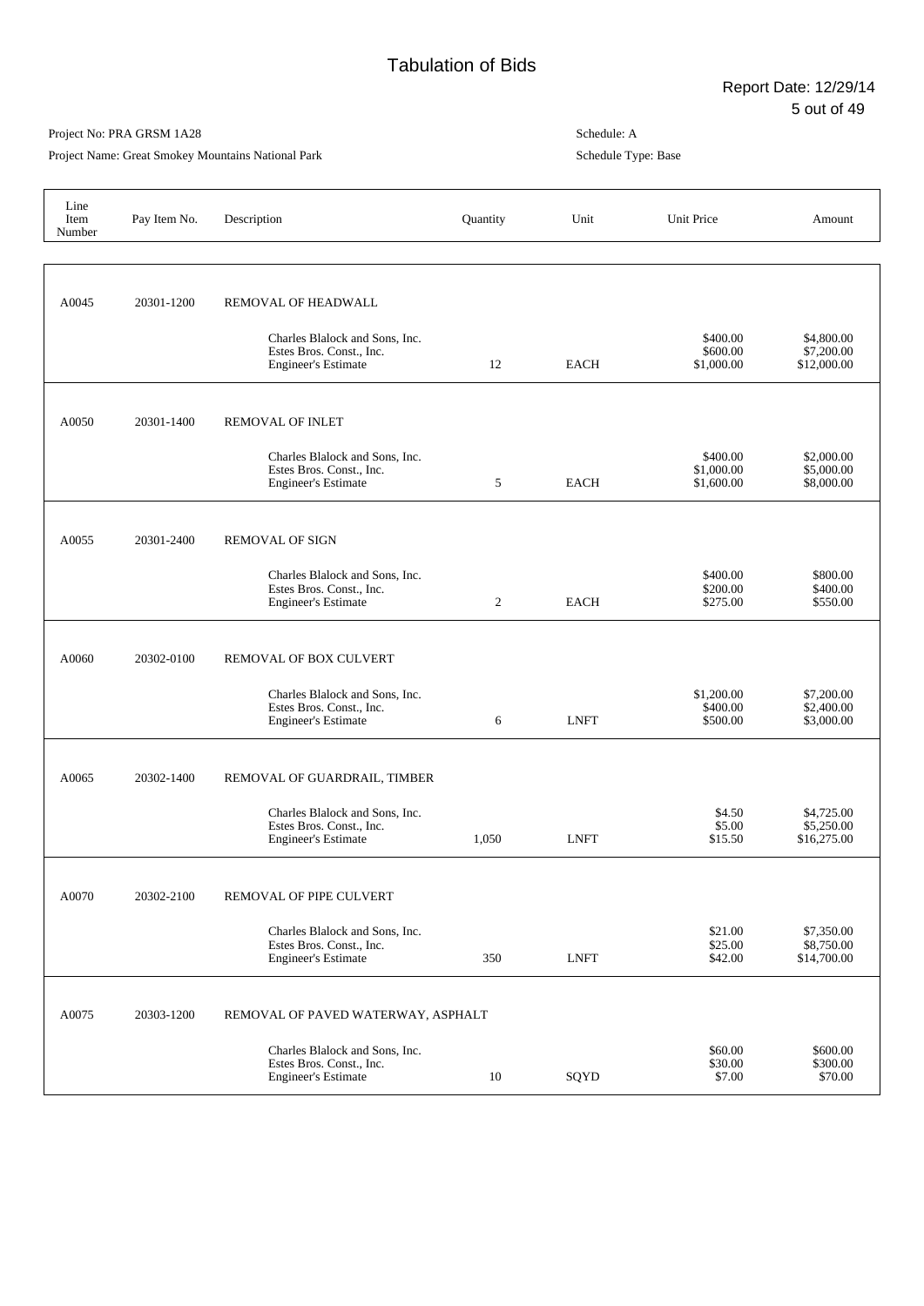#### Project No: PRA GRSM 1A28

Project Name: Great Smokey Mountains National Park

| Line<br>Item<br>Number | Pay Item No. | Description                                                                                                         | Quantity       | Unit        | Unit Price                           | Amount                                  |
|------------------------|--------------|---------------------------------------------------------------------------------------------------------------------|----------------|-------------|--------------------------------------|-----------------------------------------|
|                        |              |                                                                                                                     |                |             |                                      |                                         |
| A0045                  | 20301-1200   | REMOVAL OF HEADWALL<br>Charles Blalock and Sons, Inc.<br>Estes Bros. Const., Inc.                                   |                |             | \$400.00<br>\$600.00                 | \$4,800.00<br>\$7,200.00                |
|                        |              | <b>Engineer's Estimate</b>                                                                                          | 12             | EACH        | \$1,000.00                           | \$12,000.00                             |
| A0050                  | 20301-1400   | <b>REMOVAL OF INLET</b><br>Charles Blalock and Sons, Inc.<br>Estes Bros. Const., Inc.<br><b>Engineer's Estimate</b> | 5              | <b>EACH</b> | \$400.00<br>\$1,000.00<br>\$1,600.00 | \$2,000.00<br>\$5,000.00<br>\$8,000.00  |
|                        |              |                                                                                                                     |                |             |                                      |                                         |
| A0055                  | 20301-2400   | <b>REMOVAL OF SIGN</b>                                                                                              |                |             |                                      |                                         |
|                        |              | Charles Blalock and Sons, Inc.<br>Estes Bros. Const., Inc.<br><b>Engineer's Estimate</b>                            | $\overline{c}$ | EACH        | \$400.00<br>\$200.00<br>\$275.00     | \$800.00<br>\$400.00<br>\$550.00        |
| A0060                  | 20302-0100   | REMOVAL OF BOX CULVERT                                                                                              |                |             |                                      |                                         |
|                        |              | Charles Blalock and Sons, Inc.<br>Estes Bros. Const., Inc.<br><b>Engineer's Estimate</b>                            | 6              | <b>LNFT</b> | \$1,200.00<br>\$400.00<br>\$500.00   | \$7,200.00<br>\$2,400.00<br>\$3,000.00  |
| A0065                  | 20302-1400   | REMOVAL OF GUARDRAIL, TIMBER                                                                                        |                |             |                                      |                                         |
|                        |              | Charles Blalock and Sons, Inc.<br>Estes Bros. Const., Inc.<br><b>Engineer's Estimate</b>                            | 1,050          | <b>LNFT</b> | \$4.50<br>\$5.00<br>\$15.50          | \$4,725.00<br>\$5,250.00<br>\$16,275.00 |
| A0070                  | 20302-2100   | REMOVAL OF PIPE CULVERT                                                                                             |                |             |                                      |                                         |
|                        |              | Charles Blalock and Sons, Inc.<br>Estes Bros. Const., Inc.<br><b>Engineer's Estimate</b>                            | 350            | <b>LNFT</b> | \$21.00<br>\$25.00<br>\$42.00        | \$7,350.00<br>\$8,750.00<br>\$14,700.00 |
| A0075                  | 20303-1200   | REMOVAL OF PAVED WATERWAY, ASPHALT                                                                                  |                |             |                                      |                                         |
|                        |              | Charles Blalock and Sons, Inc.<br>Estes Bros. Const., Inc.<br><b>Engineer's Estimate</b>                            | 10             | SQYD        | \$60.00<br>\$30.00<br>\$7.00         | \$600.00<br>\$300.00<br>\$70.00         |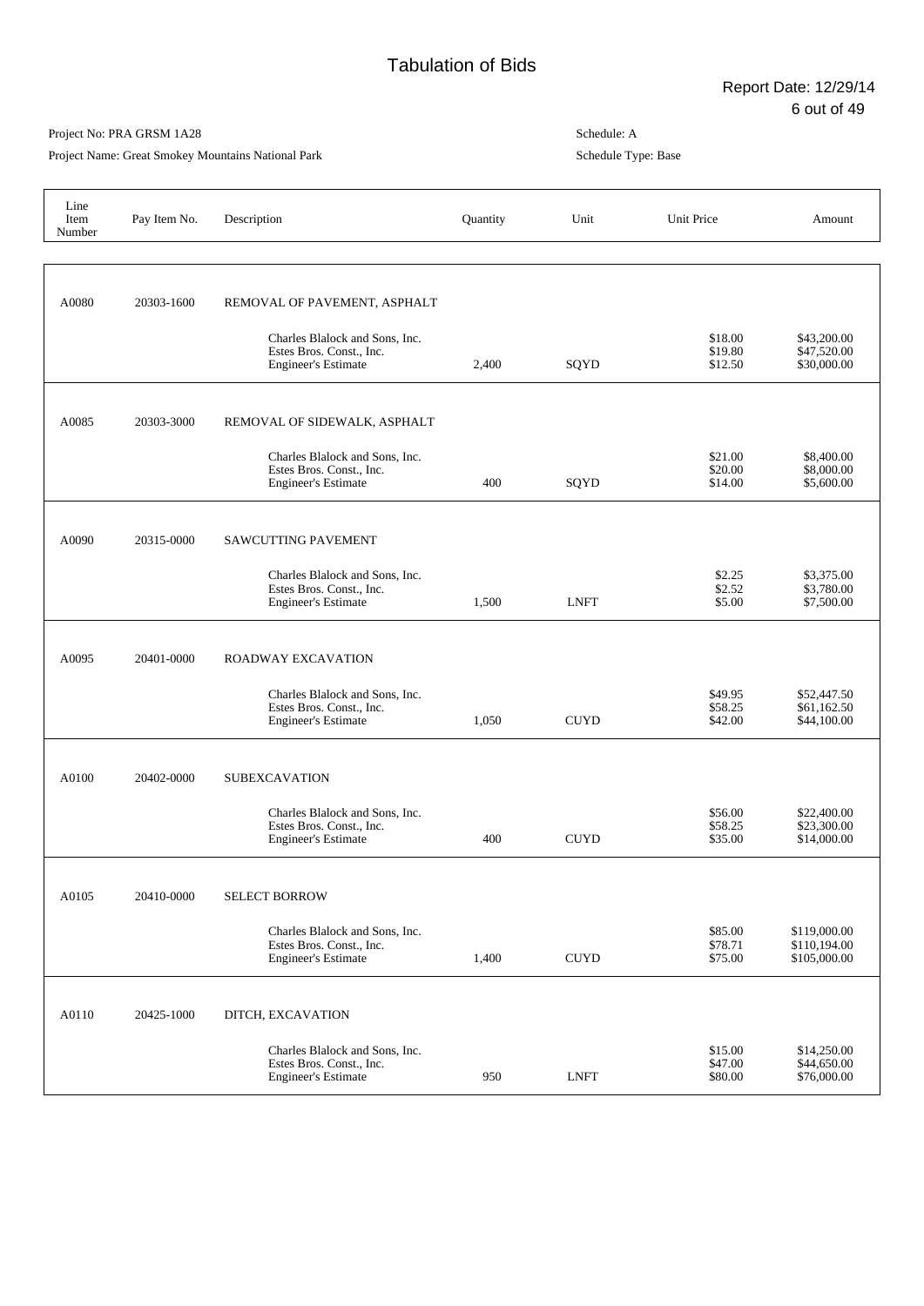### Project No: PRA GRSM 1A28

Project Name: Great Smokey Mountains National Park

| Line<br>Item<br>Number | Pay Item No. | Description                                                                              | Quantity | Unit        | Unit Price                    | Amount                                       |
|------------------------|--------------|------------------------------------------------------------------------------------------|----------|-------------|-------------------------------|----------------------------------------------|
|                        |              |                                                                                          |          |             |                               |                                              |
| A0080                  | 20303-1600   | REMOVAL OF PAVEMENT, ASPHALT                                                             |          |             |                               |                                              |
|                        |              | Charles Blalock and Sons, Inc.<br>Estes Bros. Const., Inc.<br><b>Engineer's Estimate</b> | 2,400    | SQYD        | \$18.00<br>\$19.80<br>\$12.50 | \$43,200.00<br>\$47,520.00<br>\$30,000.00    |
| A0085                  | 20303-3000   | REMOVAL OF SIDEWALK, ASPHALT                                                             |          |             |                               |                                              |
|                        |              | Charles Blalock and Sons, Inc.<br>Estes Bros. Const., Inc.<br><b>Engineer's Estimate</b> | 400      | SQYD        | \$21.00<br>\$20.00<br>\$14.00 | \$8,400.00<br>\$8,000.00<br>\$5,600.00       |
| A0090                  | 20315-0000   | SAWCUTTING PAVEMENT                                                                      |          |             |                               |                                              |
|                        |              | Charles Blalock and Sons, Inc.<br>Estes Bros. Const., Inc.<br><b>Engineer's Estimate</b> | 1,500    | <b>LNFT</b> | \$2.25<br>\$2.52<br>\$5.00    | \$3,375.00<br>\$3,780.00<br>\$7,500.00       |
| A0095                  | 20401-0000   | ROADWAY EXCAVATION                                                                       |          |             |                               |                                              |
|                        |              | Charles Blalock and Sons, Inc.<br>Estes Bros. Const., Inc.<br><b>Engineer's Estimate</b> | 1,050    | <b>CUYD</b> | \$49.95<br>\$58.25<br>\$42.00 | \$52,447.50<br>\$61,162.50<br>\$44,100.00    |
| A0100                  | 20402-0000   | <b>SUBEXCAVATION</b>                                                                     |          |             |                               |                                              |
|                        |              | Charles Blalock and Sons, Inc.<br>Estes Bros. Const., Inc.<br><b>Engineer's Estimate</b> | 400      | <b>CUYD</b> | \$56.00<br>\$58.25<br>\$35.00 | \$22,400.00<br>\$23,300.00<br>\$14,000.00    |
| A0105                  | 20410-0000   | <b>SELECT BORROW</b>                                                                     |          |             |                               |                                              |
|                        |              | Charles Blalock and Sons, Inc.<br>Estes Bros. Const., Inc.<br><b>Engineer's Estimate</b> | 1,400    | <b>CUYD</b> | \$85.00<br>\$78.71<br>\$75.00 | \$119,000.00<br>\$110,194.00<br>\$105,000.00 |
| A0110                  | 20425-1000   | DITCH, EXCAVATION                                                                        |          |             |                               |                                              |
|                        |              | Charles Blalock and Sons, Inc.<br>Estes Bros. Const., Inc.<br><b>Engineer's Estimate</b> | 950      | <b>LNFT</b> | \$15.00<br>\$47.00<br>\$80.00 | \$14,250.00<br>\$44,650.00<br>\$76,000.00    |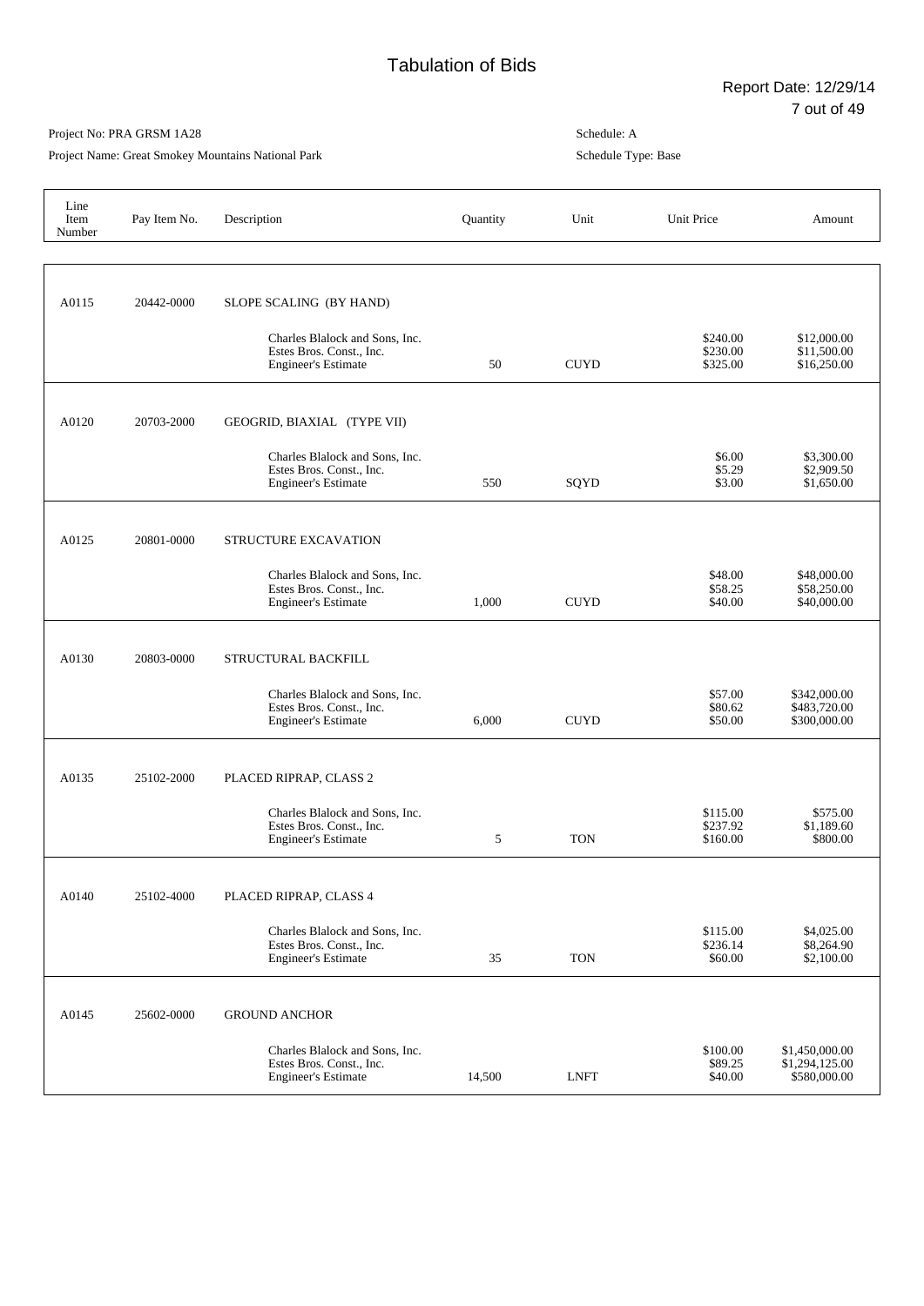### Project No: PRA GRSM 1A28

Project Name: Great Smokey Mountains National Park

| Line<br>Item<br>Number | Pay Item No. | Description                                                                              | Quantity | Unit        | Unit Price                       | Amount                                           |
|------------------------|--------------|------------------------------------------------------------------------------------------|----------|-------------|----------------------------------|--------------------------------------------------|
|                        |              |                                                                                          |          |             |                                  |                                                  |
| A0115                  | 20442-0000   | SLOPE SCALING (BY HAND)                                                                  |          |             |                                  |                                                  |
|                        |              | Charles Blalock and Sons, Inc.<br>Estes Bros. Const., Inc.<br><b>Engineer's Estimate</b> | 50       | <b>CUYD</b> | \$240.00<br>\$230.00<br>\$325.00 | \$12,000.00<br>\$11,500.00<br>\$16,250.00        |
| A0120                  | 20703-2000   | GEOGRID, BIAXIAL (TYPE VII)                                                              |          |             |                                  |                                                  |
|                        |              | Charles Blalock and Sons, Inc.<br>Estes Bros. Const., Inc.<br><b>Engineer's Estimate</b> | 550      | SQYD        | \$6.00<br>\$5.29<br>\$3.00       | \$3,300.00<br>\$2,909.50<br>\$1,650.00           |
| A0125                  | 20801-0000   | STRUCTURE EXCAVATION                                                                     |          |             |                                  |                                                  |
|                        |              | Charles Blalock and Sons, Inc.<br>Estes Bros. Const., Inc.<br><b>Engineer's Estimate</b> | 1,000    | <b>CUYD</b> | \$48.00<br>\$58.25<br>\$40.00    | \$48,000.00<br>\$58,250.00<br>\$40,000.00        |
| A0130                  | 20803-0000   | STRUCTURAL BACKFILL                                                                      |          |             |                                  |                                                  |
|                        |              | Charles Blalock and Sons, Inc.<br>Estes Bros. Const., Inc.<br><b>Engineer's Estimate</b> | 6,000    | <b>CUYD</b> | \$57.00<br>\$80.62<br>\$50.00    | \$342,000.00<br>\$483,720.00<br>\$300,000.00     |
| A0135                  | 25102-2000   | PLACED RIPRAP, CLASS 2                                                                   |          |             |                                  |                                                  |
|                        |              | Charles Blalock and Sons, Inc.<br>Estes Bros. Const., Inc.<br><b>Engineer's Estimate</b> | 5        | <b>TON</b>  | \$115.00<br>\$237.92<br>\$160.00 | \$575.00<br>\$1,189.60<br>\$800.00               |
| A0140                  | 25102-4000   | PLACED RIPRAP, CLASS 4                                                                   |          |             |                                  |                                                  |
|                        |              | Charles Blalock and Sons, Inc.<br>Estes Bros. Const., Inc.<br><b>Engineer's Estimate</b> | 35       | <b>TON</b>  | \$115.00<br>\$236.14<br>\$60.00  | \$4,025.00<br>\$8,264.90<br>\$2,100.00           |
| A0145                  | 25602-0000   | <b>GROUND ANCHOR</b>                                                                     |          |             |                                  |                                                  |
|                        |              | Charles Blalock and Sons, Inc.<br>Estes Bros. Const., Inc.<br><b>Engineer's Estimate</b> | 14,500   | <b>LNFT</b> | \$100.00<br>\$89.25<br>\$40.00   | \$1,450,000.00<br>\$1,294,125.00<br>\$580,000.00 |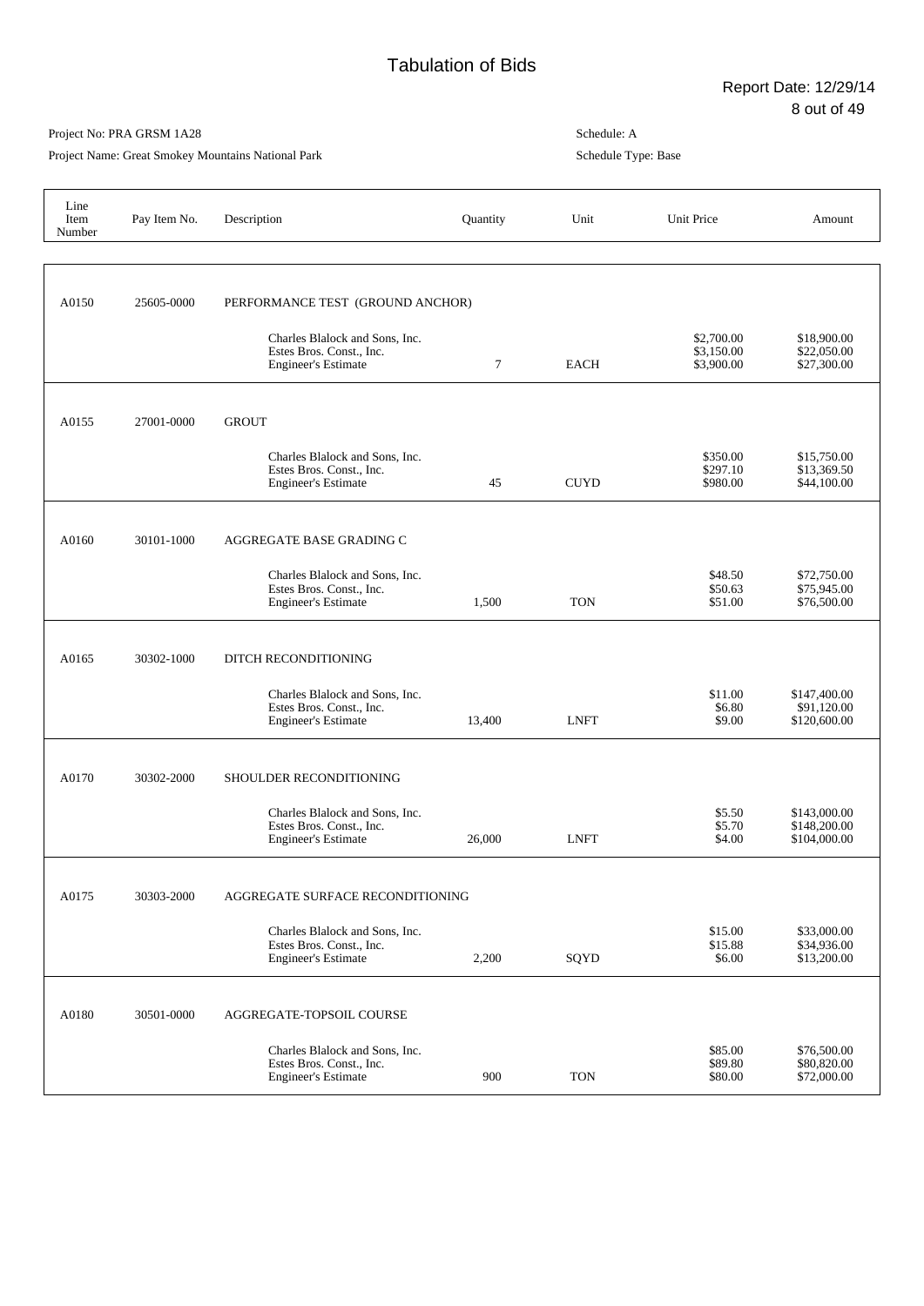#### Project No: PRA GRSM 1A28

Project Name: Great Smokey Mountains National Park

| Line<br>Item<br>Number | Pay Item No. | Description                                                                              | Quantity | Unit        | Unit Price                             | Amount                                       |
|------------------------|--------------|------------------------------------------------------------------------------------------|----------|-------------|----------------------------------------|----------------------------------------------|
|                        |              |                                                                                          |          |             |                                        |                                              |
| A0150                  | 25605-0000   | PERFORMANCE TEST (GROUND ANCHOR)                                                         |          |             |                                        |                                              |
|                        |              | Charles Blalock and Sons, Inc.<br>Estes Bros. Const., Inc.<br><b>Engineer's Estimate</b> | 7        | <b>EACH</b> | \$2,700.00<br>\$3,150.00<br>\$3,900.00 | \$18,900.00<br>\$22,050.00<br>\$27,300.00    |
| A0155                  | 27001-0000   | <b>GROUT</b>                                                                             |          |             |                                        |                                              |
|                        |              | Charles Blalock and Sons, Inc.<br>Estes Bros. Const., Inc.<br><b>Engineer's Estimate</b> | 45       | <b>CUYD</b> | \$350.00<br>\$297.10<br>\$980.00       | \$15,750.00<br>\$13,369.50<br>\$44,100.00    |
| A0160                  | 30101-1000   | AGGREGATE BASE GRADING C                                                                 |          |             |                                        |                                              |
|                        |              | Charles Blalock and Sons, Inc.<br>Estes Bros. Const., Inc.<br><b>Engineer's Estimate</b> | 1,500    | <b>TON</b>  | \$48.50<br>\$50.63<br>\$51.00          | \$72,750.00<br>\$75,945.00<br>\$76,500.00    |
| A0165                  | 30302-1000   | DITCH RECONDITIONING                                                                     |          |             |                                        |                                              |
|                        |              | Charles Blalock and Sons, Inc.<br>Estes Bros. Const., Inc.<br><b>Engineer's Estimate</b> | 13,400   | <b>LNFT</b> | \$11.00<br>\$6.80<br>\$9.00            | \$147,400.00<br>\$91,120.00<br>\$120,600.00  |
| A0170                  | 30302-2000   | SHOULDER RECONDITIONING                                                                  |          |             |                                        |                                              |
|                        |              | Charles Blalock and Sons, Inc.<br>Estes Bros. Const., Inc.<br><b>Engineer's Estimate</b> | 26,000   | <b>LNFT</b> | \$5.50<br>\$5.70<br>\$4.00             | \$143,000.00<br>\$148,200.00<br>\$104,000.00 |
| A0175                  | 30303-2000   | AGGREGATE SURFACE RECONDITIONING                                                         |          |             |                                        |                                              |
|                        |              | Charles Blalock and Sons, Inc.<br>Estes Bros. Const., Inc.<br><b>Engineer's Estimate</b> | 2,200    | SQYD        | \$15.00<br>\$15.88<br>\$6.00           | \$33,000.00<br>\$34,936.00<br>\$13,200.00    |
| A0180                  | 30501-0000   | AGGREGATE-TOPSOIL COURSE                                                                 |          |             |                                        |                                              |
|                        |              | Charles Blalock and Sons, Inc.<br>Estes Bros. Const., Inc.<br>Engineer's Estimate        | 900      | <b>TON</b>  | \$85.00<br>\$89.80<br>\$80.00          | \$76,500.00<br>\$80,820.00<br>\$72,000.00    |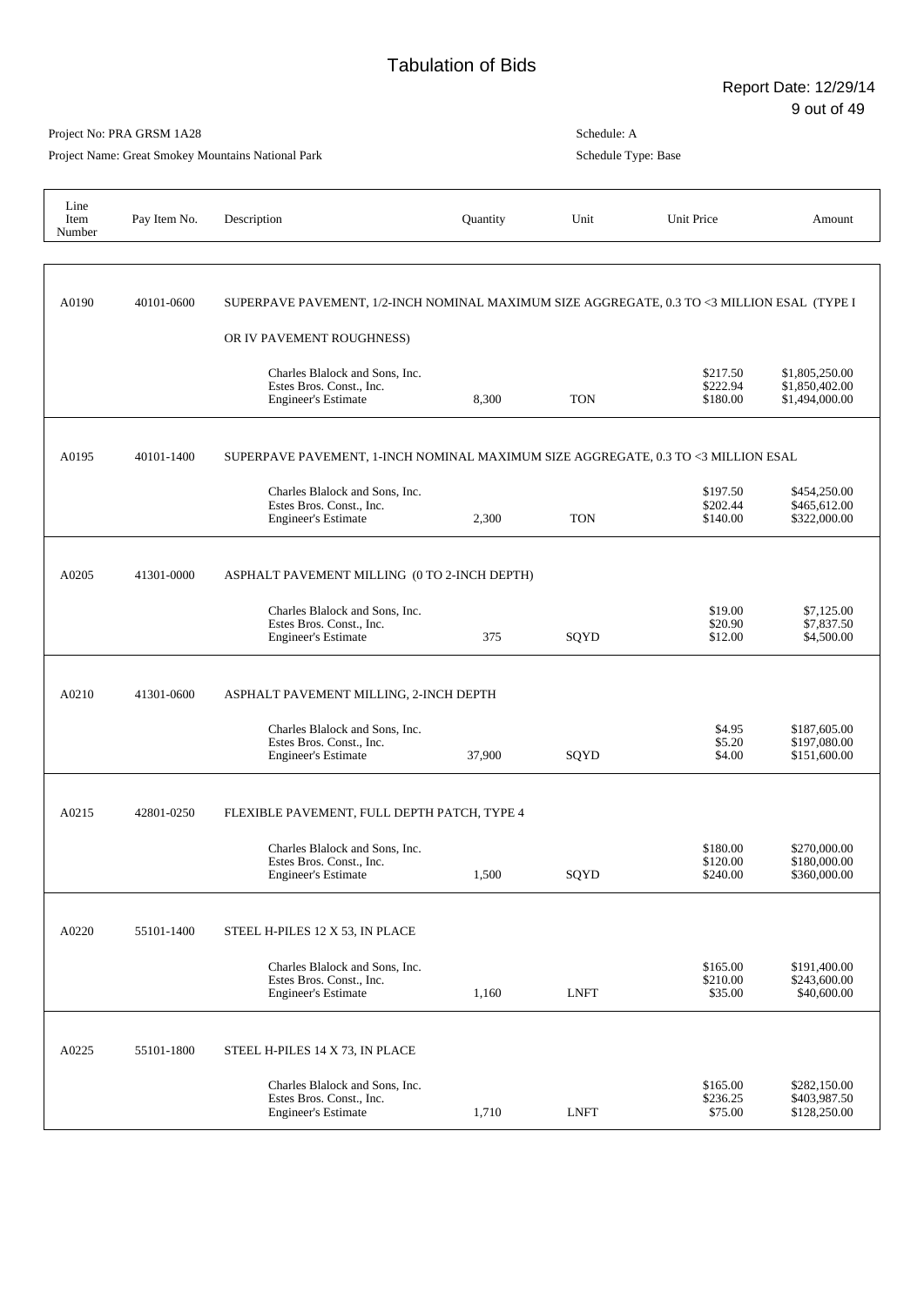### Project No: PRA GRSM 1A28

Project Name: Great Smokey Mountains National Park

| Line<br>Item<br>Number | Pay Item No. | Description                                                                                 | Quantity | Unit        | Unit Price                       | Amount                                             |
|------------------------|--------------|---------------------------------------------------------------------------------------------|----------|-------------|----------------------------------|----------------------------------------------------|
|                        |              |                                                                                             |          |             |                                  |                                                    |
| A0190                  | 40101-0600   | SUPERPAVE PAVEMENT, 1/2-INCH NOMINAL MAXIMUM SIZE AGGREGATE, 0.3 TO <3 MILLION ESAL (TYPE I |          |             |                                  |                                                    |
|                        |              | OR IV PAVEMENT ROUGHNESS)                                                                   |          |             |                                  |                                                    |
|                        |              | Charles Blalock and Sons, Inc.<br>Estes Bros. Const., Inc.<br><b>Engineer's Estimate</b>    | 8,300    | <b>TON</b>  | \$217.50<br>\$222.94<br>\$180.00 | \$1,805,250.00<br>\$1,850,402.00<br>\$1,494,000.00 |
| A0195                  | 40101-1400   | SUPERPAVE PAVEMENT, 1-INCH NOMINAL MAXIMUM SIZE AGGREGATE, 0.3 TO <3 MILLION ESAL           |          |             |                                  |                                                    |
|                        |              | Charles Blalock and Sons, Inc.<br>Estes Bros. Const., Inc.<br><b>Engineer's Estimate</b>    | 2,300    | <b>TON</b>  | \$197.50<br>\$202.44<br>\$140.00 | \$454,250.00<br>\$465,612.00<br>\$322,000.00       |
| A0205                  | 41301-0000   | ASPHALT PAVEMENT MILLING (0 TO 2-INCH DEPTH)                                                |          |             |                                  |                                                    |
|                        |              | Charles Blalock and Sons, Inc.<br>Estes Bros. Const., Inc.<br><b>Engineer's Estimate</b>    | 375      | SQYD        | \$19.00<br>\$20.90<br>\$12.00    | \$7,125.00<br>\$7,837.50<br>\$4,500.00             |
| A0210                  | 41301-0600   | ASPHALT PAVEMENT MILLING, 2-INCH DEPTH                                                      |          |             |                                  |                                                    |
|                        |              | Charles Blalock and Sons, Inc.<br>Estes Bros. Const., Inc.<br><b>Engineer's Estimate</b>    | 37,900   | SQYD        | \$4.95<br>\$5.20<br>\$4.00       | \$187,605.00<br>\$197,080.00<br>\$151,600.00       |
| A0215                  | 42801-0250   | FLEXIBLE PAVEMENT, FULL DEPTH PATCH, TYPE 4                                                 |          |             |                                  |                                                    |
|                        |              | Charles Blalock and Sons, Inc.<br>Estes Bros. Const., Inc.<br><b>Engineer's Estimate</b>    | 1,500    | SQYD        | \$180.00<br>\$120.00<br>\$240.00 | \$270,000.00<br>\$180,000.00<br>\$360,000.00       |
| A0220                  | 55101-1400   | STEEL H-PILES 12 X 53, IN PLACE                                                             |          |             |                                  |                                                    |
|                        |              | Charles Blalock and Sons, Inc.<br>Estes Bros. Const., Inc.<br><b>Engineer's Estimate</b>    | 1,160    | <b>LNFT</b> | \$165.00<br>\$210.00<br>\$35.00  | \$191,400.00<br>\$243,600.00<br>\$40,600.00        |
| A0225                  | 55101-1800   | STEEL H-PILES 14 X 73, IN PLACE                                                             |          |             |                                  |                                                    |
|                        |              | Charles Blalock and Sons, Inc.<br>Estes Bros. Const., Inc.<br><b>Engineer's Estimate</b>    | 1,710    | <b>LNFT</b> | \$165.00<br>\$236.25<br>\$75.00  | \$282,150.00<br>\$403,987.50<br>\$128,250.00       |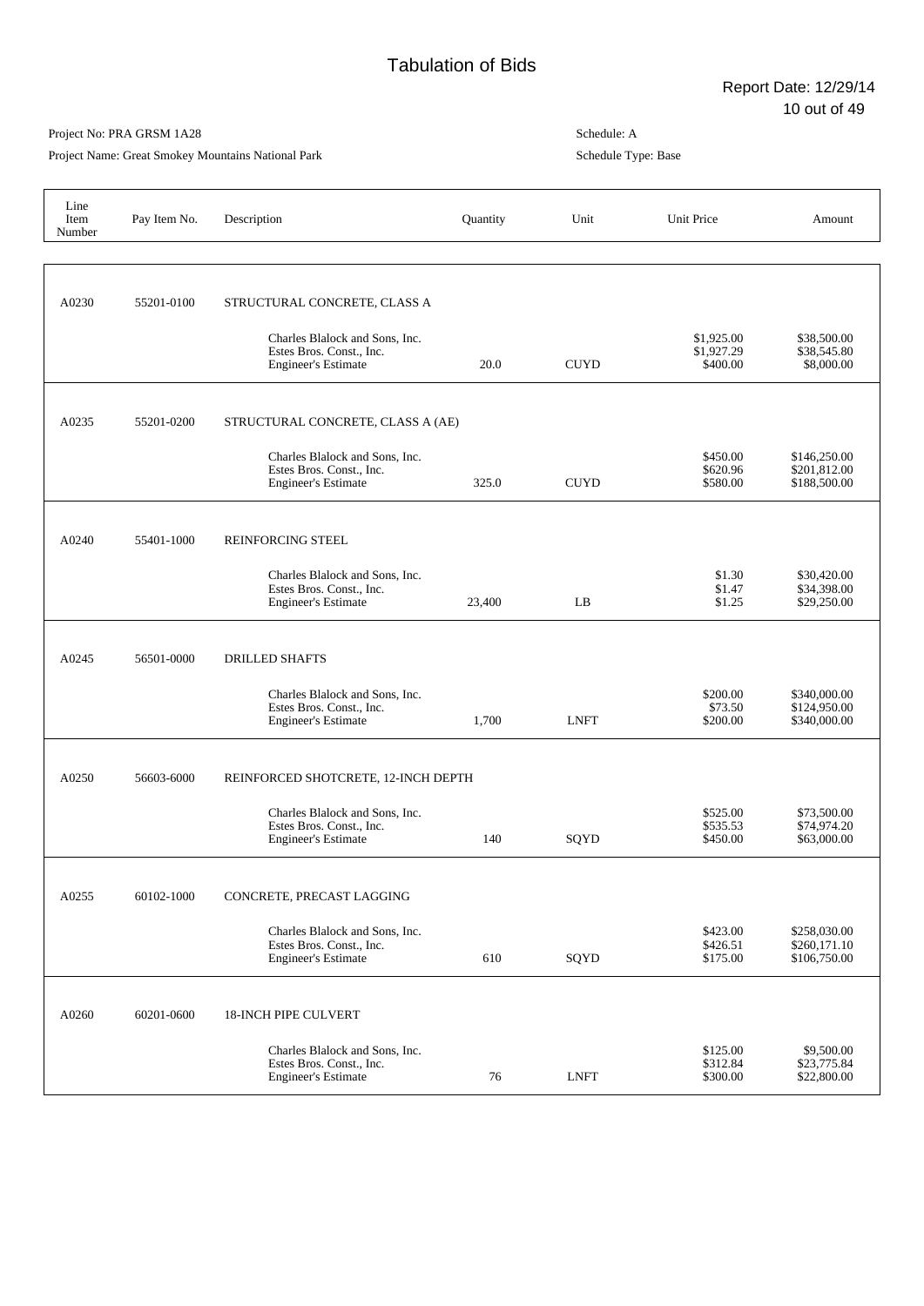Project Name: Great Smokey Mountains National Park

| Line<br>Item<br>Number | Pay Item No. | Description                                                                              | Quantity | Unit        | Unit Price                           | Amount                                       |
|------------------------|--------------|------------------------------------------------------------------------------------------|----------|-------------|--------------------------------------|----------------------------------------------|
|                        |              |                                                                                          |          |             |                                      |                                              |
| A0230                  | 55201-0100   | STRUCTURAL CONCRETE, CLASS A                                                             |          |             |                                      |                                              |
|                        |              | Charles Blalock and Sons, Inc.<br>Estes Bros. Const., Inc.<br><b>Engineer's Estimate</b> | 20.0     | <b>CUYD</b> | \$1,925.00<br>\$1,927.29<br>\$400.00 | \$38,500.00<br>\$38,545.80<br>\$8,000.00     |
| A0235                  | 55201-0200   | STRUCTURAL CONCRETE, CLASS A (AE)                                                        |          |             |                                      |                                              |
|                        |              | Charles Blalock and Sons, Inc.<br>Estes Bros. Const., Inc.<br><b>Engineer's Estimate</b> | 325.0    | <b>CUYD</b> | \$450.00<br>\$620.96<br>\$580.00     | \$146,250.00<br>\$201,812.00<br>\$188,500.00 |
| A0240                  | 55401-1000   | REINFORCING STEEL                                                                        |          |             |                                      |                                              |
|                        |              | Charles Blalock and Sons, Inc.<br>Estes Bros. Const., Inc.<br><b>Engineer's Estimate</b> | 23,400   | LB          | \$1.30<br>\$1.47<br>\$1.25           | \$30,420.00<br>\$34,398.00<br>\$29,250.00    |
| A0245                  | 56501-0000   | <b>DRILLED SHAFTS</b>                                                                    |          |             |                                      |                                              |
|                        |              | Charles Blalock and Sons, Inc.<br>Estes Bros. Const., Inc.<br><b>Engineer's Estimate</b> | 1,700    | <b>LNFT</b> | \$200.00<br>\$73.50<br>\$200.00      | \$340,000.00<br>\$124,950.00<br>\$340,000.00 |
| A0250                  | 56603-6000   | REINFORCED SHOTCRETE, 12-INCH DEPTH                                                      |          |             |                                      |                                              |
|                        |              | Charles Blalock and Sons, Inc.<br>Estes Bros. Const., Inc.<br><b>Engineer's Estimate</b> | 140      | SQYD        | \$525.00<br>\$535.53<br>\$450.00     | \$73,500.00<br>\$74,974.20<br>\$63,000.00    |
| A0255                  | 60102-1000   | CONCRETE, PRECAST LAGGING                                                                |          |             |                                      |                                              |
|                        |              | Charles Blalock and Sons, Inc.<br>Estes Bros. Const., Inc.<br><b>Engineer's Estimate</b> | 610      | SQYD        | \$423.00<br>\$426.51<br>\$175.00     | \$258,030.00<br>\$260,171.10<br>\$106,750.00 |
| A0260                  | 60201-0600   | <b>18-INCH PIPE CULVERT</b>                                                              |          |             |                                      |                                              |
|                        |              | Charles Blalock and Sons, Inc.<br>Estes Bros. Const., Inc.<br><b>Engineer's Estimate</b> | 76       | <b>LNFT</b> | \$125.00<br>\$312.84<br>\$300.00     | \$9,500.00<br>\$23,775.84<br>\$22,800.00     |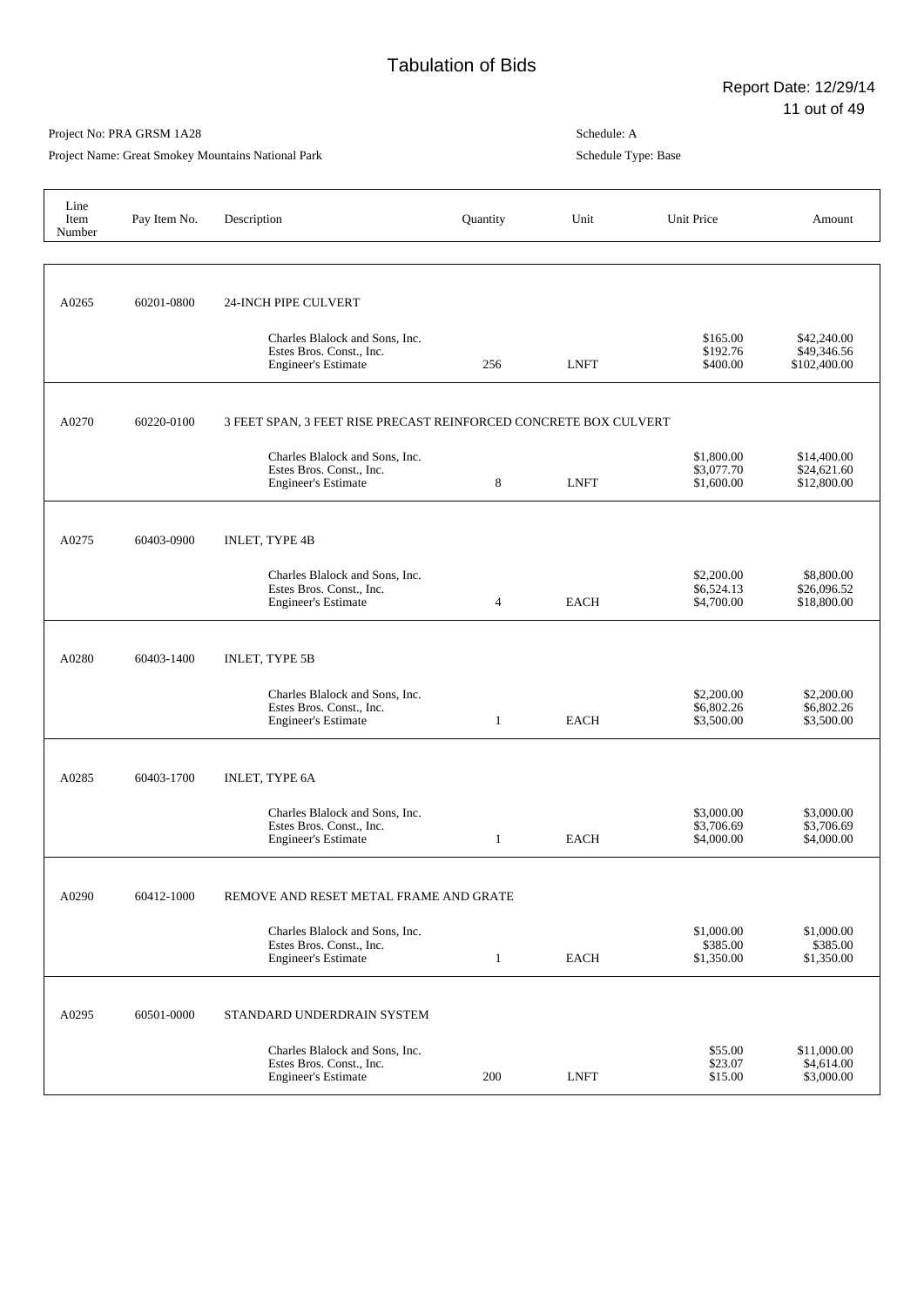## Project No: PRA GRSM 1A28

Project Name: Great Smokey Mountains National Park

| Line<br>Item<br>Number | Pay Item No. | Description                                                                              | Quantity       | Unit        | Unit Price                             | Amount                                     |
|------------------------|--------------|------------------------------------------------------------------------------------------|----------------|-------------|----------------------------------------|--------------------------------------------|
|                        |              |                                                                                          |                |             |                                        |                                            |
| A0265                  | 60201-0800   | 24-INCH PIPE CULVERT                                                                     |                |             |                                        |                                            |
|                        |              | Charles Blalock and Sons, Inc.<br>Estes Bros. Const., Inc.<br><b>Engineer's Estimate</b> | 256            | <b>LNFT</b> | \$165.00<br>\$192.76<br>\$400.00       | \$42,240.00<br>\$49,346.56<br>\$102,400.00 |
| A0270                  | 60220-0100   | 3 FEET SPAN, 3 FEET RISE PRECAST REINFORCED CONCRETE BOX CULVERT                         |                |             |                                        |                                            |
|                        |              | Charles Blalock and Sons, Inc.<br>Estes Bros. Const., Inc.<br><b>Engineer's Estimate</b> | 8              | <b>LNFT</b> | \$1,800.00<br>\$3,077.70<br>\$1,600.00 | \$14,400.00<br>\$24,621.60<br>\$12,800.00  |
| A0275                  | 60403-0900   | <b>INLET, TYPE 4B</b>                                                                    |                |             |                                        |                                            |
|                        |              | Charles Blalock and Sons, Inc.<br>Estes Bros. Const., Inc.<br><b>Engineer's Estimate</b> | $\overline{4}$ | <b>EACH</b> | \$2,200.00<br>\$6,524.13<br>\$4,700.00 | \$8,800.00<br>\$26,096.52<br>\$18,800.00   |
| A0280                  | 60403-1400   | INLET, TYPE 5B                                                                           |                |             |                                        |                                            |
|                        |              | Charles Blalock and Sons, Inc.<br>Estes Bros. Const., Inc.<br><b>Engineer's Estimate</b> | 1              | <b>EACH</b> | \$2,200.00<br>\$6,802.26<br>\$3,500.00 | \$2,200.00<br>\$6,802.26<br>\$3,500.00     |
| A0285                  | 60403-1700   | INLET, TYPE 6A                                                                           |                |             |                                        |                                            |
|                        |              | Charles Blalock and Sons, Inc.<br>Estes Bros. Const., Inc.<br><b>Engineer's Estimate</b> | $\mathbf{1}$   | <b>EACH</b> | \$3,000.00<br>\$3,706.69<br>\$4,000.00 | \$3,000.00<br>\$3,706.69<br>\$4,000.00     |
| A0290                  | 60412-1000   | REMOVE AND RESET METAL FRAME AND GRATE                                                   |                |             |                                        |                                            |
|                        |              | Charles Blalock and Sons, Inc.<br>Estes Bros. Const., Inc.<br><b>Engineer's Estimate</b> | $\mathbf{1}$   | <b>EACH</b> | \$1,000.00<br>\$385.00<br>\$1,350.00   | \$1,000.00<br>\$385.00<br>\$1,350.00       |
| A0295                  | 60501-0000   | STANDARD UNDERDRAIN SYSTEM                                                               |                |             |                                        |                                            |
|                        |              | Charles Blalock and Sons, Inc.<br>Estes Bros. Const., Inc.<br><b>Engineer's Estimate</b> | 200            | <b>LNFT</b> | \$55.00<br>\$23.07<br>\$15.00          | \$11,000.00<br>\$4,614.00<br>\$3,000.00    |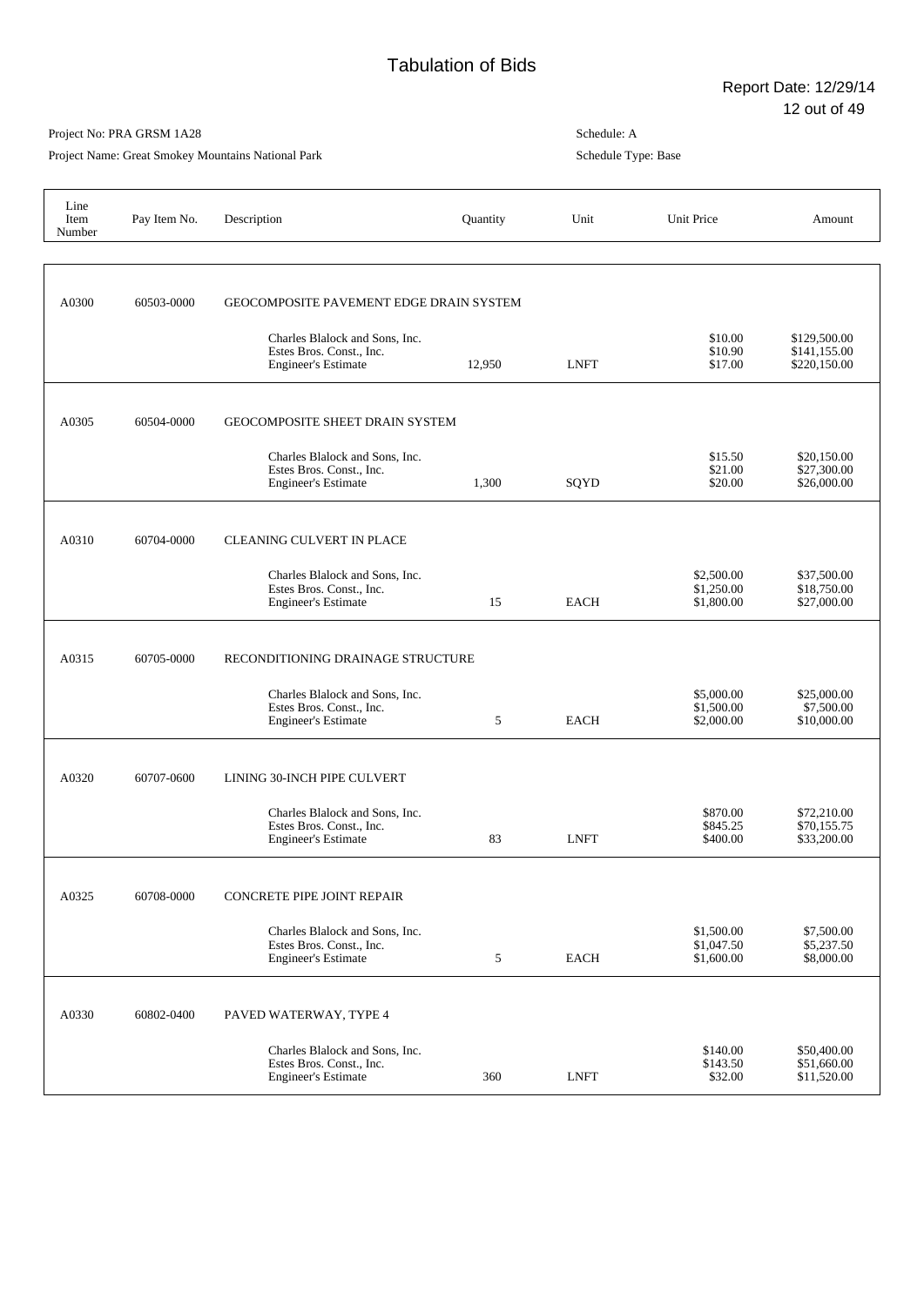## Project No: PRA GRSM 1A28

Project Name: Great Smokey Mountains National Park

| Line<br>Item<br>Number | Pay Item No. | Description                                                                              | Quantity       | Unit        | Unit Price                             | Amount                                       |
|------------------------|--------------|------------------------------------------------------------------------------------------|----------------|-------------|----------------------------------------|----------------------------------------------|
| A0300                  | 60503-0000   | GEOCOMPOSITE PAVEMENT EDGE DRAIN SYSTEM                                                  |                |             |                                        |                                              |
|                        |              | Charles Blalock and Sons, Inc.<br>Estes Bros. Const., Inc.<br>Engineer's Estimate        | 12,950         | <b>LNFT</b> | \$10.00<br>\$10.90<br>\$17.00          | \$129,500.00<br>\$141,155.00<br>\$220,150.00 |
| A0305                  | 60504-0000   | GEOCOMPOSITE SHEET DRAIN SYSTEM                                                          |                |             |                                        |                                              |
|                        |              | Charles Blalock and Sons, Inc.<br>Estes Bros. Const., Inc.<br><b>Engineer's Estimate</b> | 1,300          | SQYD        | \$15.50<br>\$21.00<br>\$20.00          | \$20,150.00<br>\$27,300.00<br>\$26,000.00    |
| A0310                  | 60704-0000   | <b>CLEANING CULVERT IN PLACE</b>                                                         |                |             |                                        |                                              |
|                        |              | Charles Blalock and Sons, Inc.<br>Estes Bros. Const., Inc.<br><b>Engineer's Estimate</b> | 15             | <b>EACH</b> | \$2,500.00<br>\$1,250.00<br>\$1,800.00 | \$37,500.00<br>\$18,750.00<br>\$27,000.00    |
| A0315                  | 60705-0000   | RECONDITIONING DRAINAGE STRUCTURE                                                        |                |             |                                        |                                              |
|                        |              | Charles Blalock and Sons, Inc.<br>Estes Bros. Const., Inc.<br><b>Engineer's Estimate</b> | 5              | <b>EACH</b> | \$5,000.00<br>\$1,500.00<br>\$2,000.00 | \$25,000.00<br>\$7,500.00<br>\$10,000.00     |
| A0320                  | 60707-0600   | LINING 30-INCH PIPE CULVERT                                                              |                |             |                                        |                                              |
|                        |              | Charles Blalock and Sons, Inc.<br>Estes Bros. Const., Inc.<br><b>Engineer's Estimate</b> | 83             | <b>LNFT</b> | \$870.00<br>\$845.25<br>\$400.00       | \$72,210.00<br>\$70,155.75<br>\$33,200.00    |
| A0325                  | 60708-0000   | CONCRETE PIPE JOINT REPAIR                                                               |                |             |                                        |                                              |
|                        |              | Charles Blalock and Sons, Inc.<br>Estes Bros. Const., Inc.<br><b>Engineer's Estimate</b> | $\mathfrak{S}$ | <b>EACH</b> | \$1,500.00<br>\$1,047.50<br>\$1,600.00 | \$7,500.00<br>\$5,237.50<br>\$8,000.00       |
| A0330                  | 60802-0400   | PAVED WATERWAY, TYPE 4                                                                   |                |             |                                        |                                              |
|                        |              | Charles Blalock and Sons, Inc.<br>Estes Bros. Const., Inc.<br><b>Engineer's Estimate</b> | 360            | <b>LNFT</b> | \$140.00<br>\$143.50<br>\$32.00        | \$50,400.00<br>\$51,660.00<br>\$11,520.00    |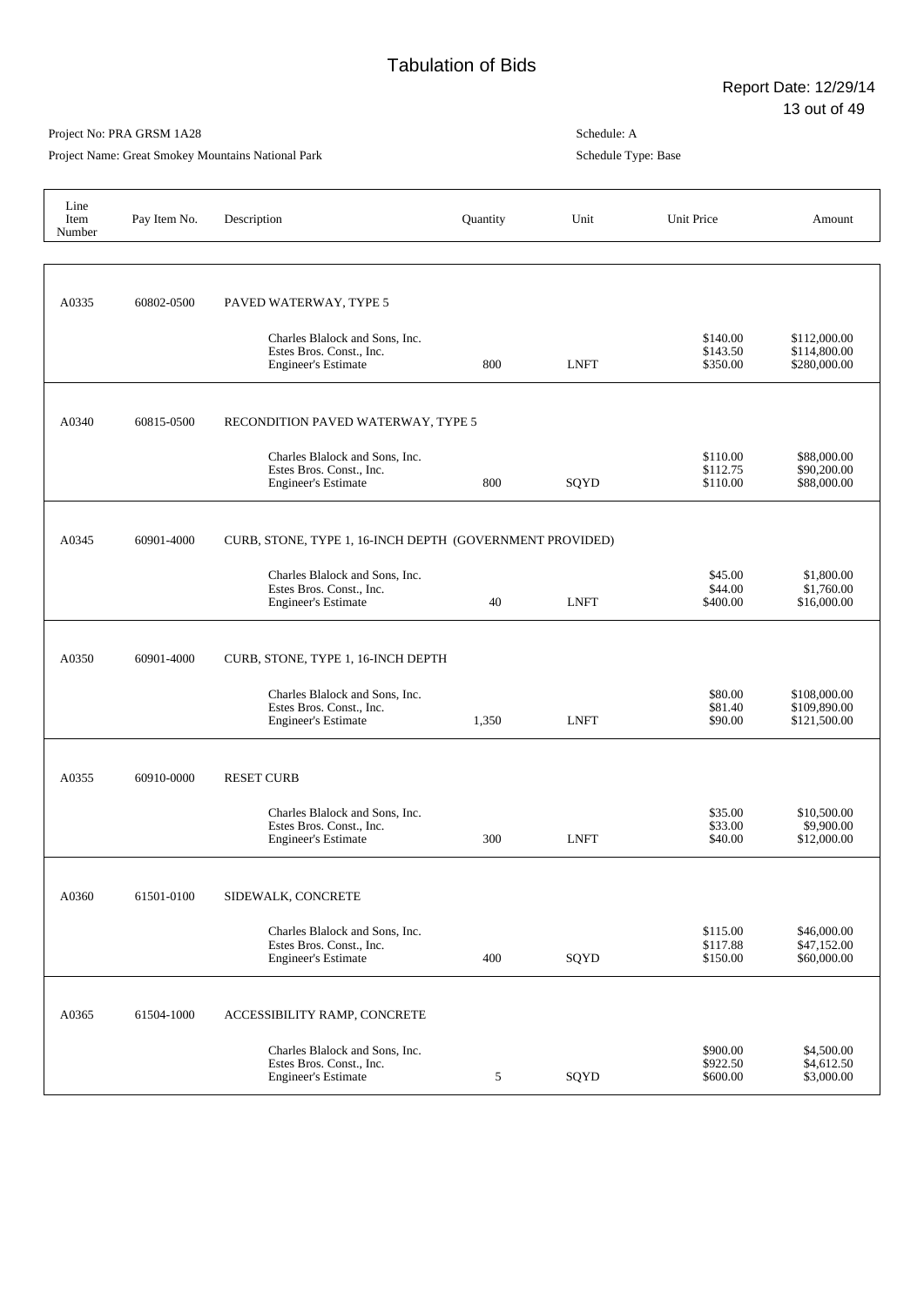### Project No: PRA GRSM 1A28

Project Name: Great Smokey Mountains National Park

| Line<br>Item<br>Number | Pay Item No. | Description                                                                              | Quantity | Unit        | Unit Price                       | Amount                                       |
|------------------------|--------------|------------------------------------------------------------------------------------------|----------|-------------|----------------------------------|----------------------------------------------|
|                        |              |                                                                                          |          |             |                                  |                                              |
| A0335                  | 60802-0500   | PAVED WATERWAY, TYPE 5                                                                   |          |             |                                  |                                              |
|                        |              | Charles Blalock and Sons, Inc.<br>Estes Bros. Const., Inc.<br><b>Engineer's Estimate</b> | 800      | <b>LNFT</b> | \$140.00<br>\$143.50<br>\$350.00 | \$112,000.00<br>\$114,800.00<br>\$280,000.00 |
| A0340                  | 60815-0500   | RECONDITION PAVED WATERWAY, TYPE 5                                                       |          |             |                                  |                                              |
|                        |              | Charles Blalock and Sons, Inc.<br>Estes Bros. Const., Inc.<br><b>Engineer's Estimate</b> | 800      | SQYD        | \$110.00<br>\$112.75<br>\$110.00 | \$88,000.00<br>\$90,200.00<br>\$88,000.00    |
| A0345                  | 60901-4000   | CURB, STONE, TYPE 1, 16-INCH DEPTH (GOVERNMENT PROVIDED)                                 |          |             |                                  |                                              |
|                        |              | Charles Blalock and Sons, Inc.<br>Estes Bros. Const., Inc.<br><b>Engineer's Estimate</b> | 40       | <b>LNFT</b> | \$45.00<br>\$44.00<br>\$400.00   | \$1,800.00<br>\$1,760.00<br>\$16,000.00      |
| A0350                  | 60901-4000   | CURB, STONE, TYPE 1, 16-INCH DEPTH                                                       |          |             |                                  |                                              |
|                        |              | Charles Blalock and Sons, Inc.<br>Estes Bros. Const., Inc.<br><b>Engineer's Estimate</b> | 1,350    | <b>LNFT</b> | \$80.00<br>\$81.40<br>\$90.00    | \$108,000.00<br>\$109,890.00<br>\$121,500.00 |
| A0355                  | 60910-0000   | <b>RESET CURB</b>                                                                        |          |             |                                  |                                              |
|                        |              | Charles Blalock and Sons, Inc.<br>Estes Bros. Const., Inc.<br><b>Engineer's Estimate</b> | 300      | <b>LNFT</b> | \$35.00<br>\$33.00<br>\$40.00    | \$10,500.00<br>\$9,900.00<br>\$12,000.00     |
| A0360                  | 61501-0100   | SIDEWALK, CONCRETE                                                                       |          |             |                                  |                                              |
|                        |              | Charles Blalock and Sons, Inc.<br>Estes Bros. Const., Inc.<br><b>Engineer's Estimate</b> | 400      | SQYD        | \$115.00<br>\$117.88<br>\$150.00 | \$46,000.00<br>\$47,152.00<br>\$60,000.00    |
| A0365                  | 61504-1000   | ACCESSIBILITY RAMP, CONCRETE                                                             |          |             |                                  |                                              |
|                        |              | Charles Blalock and Sons, Inc.<br>Estes Bros. Const., Inc.<br><b>Engineer's Estimate</b> | 5        | SQYD        | \$900.00<br>\$922.50<br>\$600.00 | \$4,500.00<br>\$4,612.50<br>\$3,000.00       |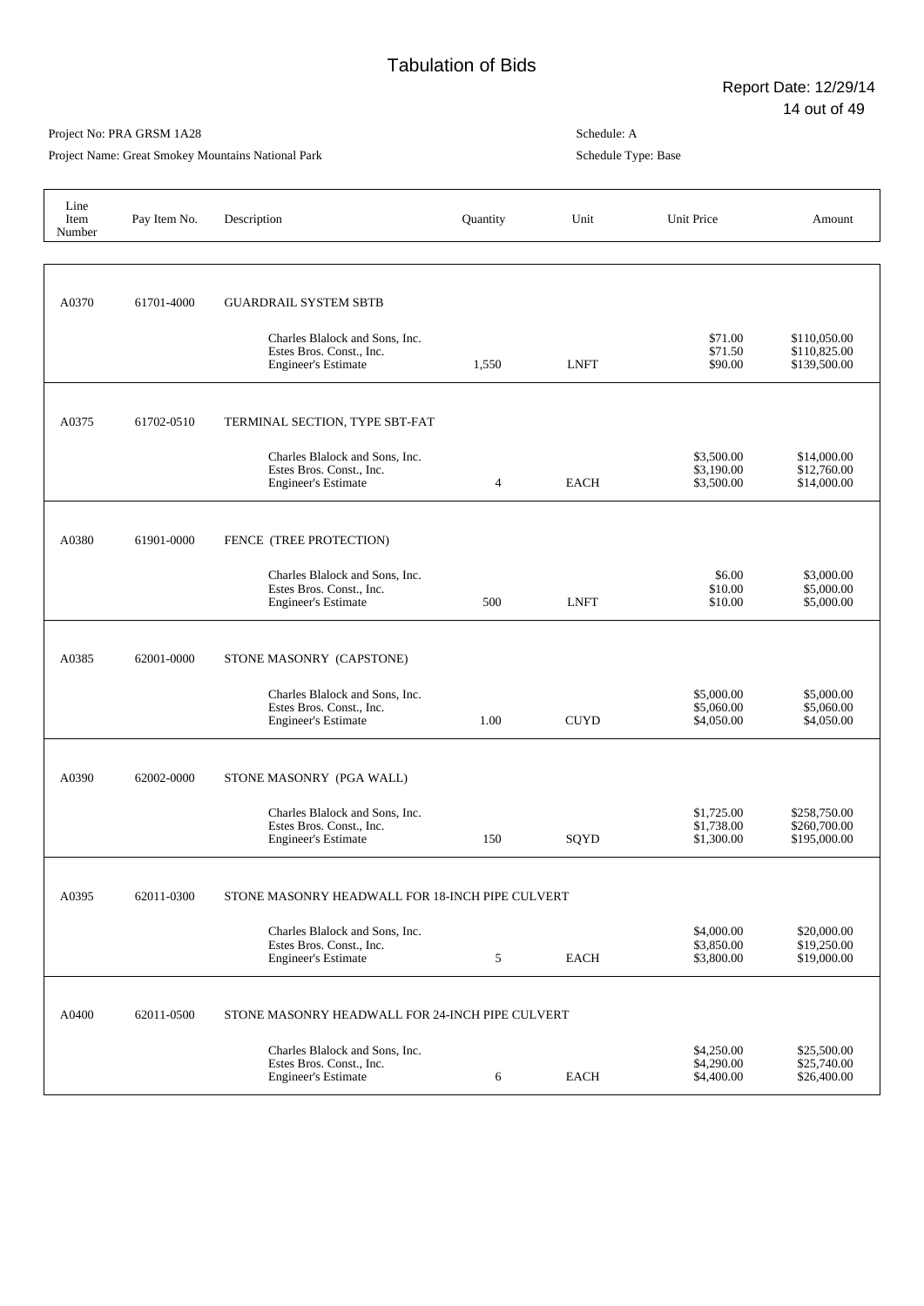## Project No: PRA GRSM 1A28

Project Name: Great Smokey Mountains National Park

| Line<br>Item<br>Number | Pay Item No. | Description                                                                              | Quantity | Unit        | Unit Price                             | Amount                                       |
|------------------------|--------------|------------------------------------------------------------------------------------------|----------|-------------|----------------------------------------|----------------------------------------------|
| A0370                  | 61701-4000   | <b>GUARDRAIL SYSTEM SBTB</b>                                                             |          |             |                                        |                                              |
|                        |              | Charles Blalock and Sons, Inc.<br>Estes Bros. Const., Inc.<br><b>Engineer's Estimate</b> | 1,550    | <b>LNFT</b> | \$71.00<br>\$71.50<br>\$90.00          | \$110,050.00<br>\$110,825.00<br>\$139,500.00 |
| A0375                  | 61702-0510   | TERMINAL SECTION, TYPE SBT-FAT                                                           |          |             |                                        |                                              |
|                        |              | Charles Blalock and Sons, Inc.<br>Estes Bros. Const., Inc.<br><b>Engineer's Estimate</b> | 4        | <b>EACH</b> | \$3,500.00<br>\$3,190.00<br>\$3,500.00 | \$14,000.00<br>\$12,760.00<br>\$14,000.00    |
| A0380                  | 61901-0000   | FENCE (TREE PROTECTION)                                                                  |          |             |                                        |                                              |
|                        |              | Charles Blalock and Sons, Inc.<br>Estes Bros. Const., Inc.<br><b>Engineer's Estimate</b> | 500      | <b>LNFT</b> | \$6.00<br>\$10.00<br>\$10.00           | \$3,000.00<br>\$5,000.00<br>\$5,000.00       |
| A0385                  | 62001-0000   | STONE MASONRY (CAPSTONE)                                                                 |          |             |                                        |                                              |
|                        |              | Charles Blalock and Sons, Inc.<br>Estes Bros. Const., Inc.<br><b>Engineer's Estimate</b> | 1.00     | <b>CUYD</b> | \$5,000.00<br>\$5,060.00<br>\$4,050.00 | \$5,000.00<br>\$5,060.00<br>\$4,050.00       |
| A0390                  | 62002-0000   | STONE MASONRY (PGA WALL)                                                                 |          |             |                                        |                                              |
|                        |              | Charles Blalock and Sons, Inc.<br>Estes Bros. Const., Inc.<br><b>Engineer's Estimate</b> | 150      | SQYD        | \$1,725.00<br>\$1,738.00<br>\$1,300.00 | \$258,750.00<br>\$260,700.00<br>\$195,000.00 |
| A0395                  | 62011-0300   | STONE MASONRY HEADWALL FOR 18-INCH PIPE CULVERT                                          |          |             |                                        |                                              |
|                        |              | Charles Blalock and Sons, Inc.<br>Estes Bros. Const., Inc.<br><b>Engineer's Estimate</b> | 5        | <b>EACH</b> | \$4,000.00<br>\$3,850.00<br>\$3,800.00 | \$20,000.00<br>\$19,250.00<br>\$19,000.00    |
| A0400                  | 62011-0500   | STONE MASONRY HEADWALL FOR 24-INCH PIPE CULVERT                                          |          |             |                                        |                                              |
|                        |              | Charles Blalock and Sons, Inc.<br>Estes Bros. Const., Inc.<br><b>Engineer's Estimate</b> | 6        | <b>EACH</b> | \$4,250.00<br>\$4,290.00<br>\$4,400.00 | \$25,500.00<br>\$25,740.00<br>\$26,400.00    |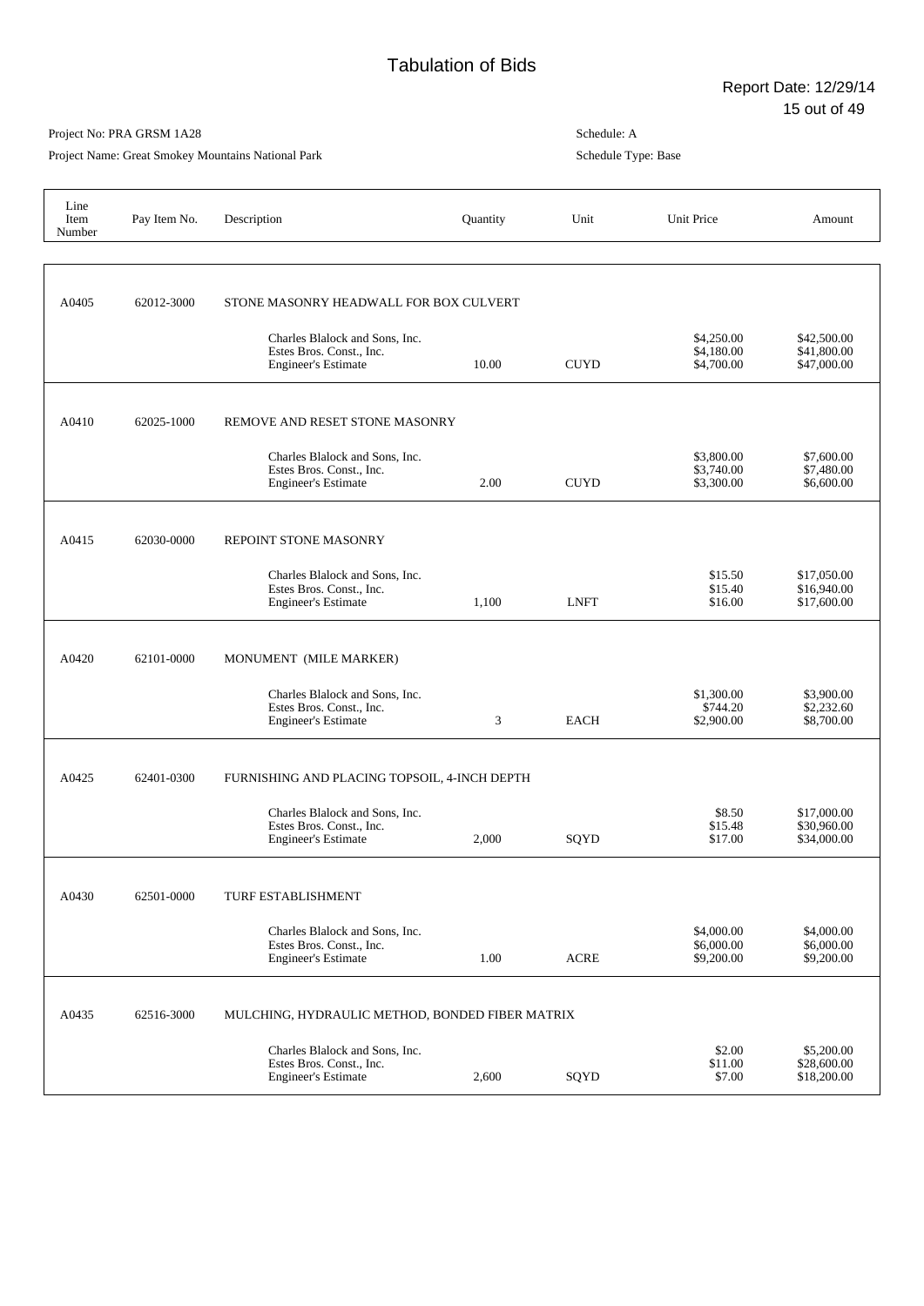### Project No: PRA GRSM 1A28

Project Name: Great Smokey Mountains National Park

| Line<br>Item<br>Number | Pay Item No. | Description                                                                              | Quantity | Unit        | Unit Price                             | Amount                                    |
|------------------------|--------------|------------------------------------------------------------------------------------------|----------|-------------|----------------------------------------|-------------------------------------------|
| A0405                  | 62012-3000   | STONE MASONRY HEADWALL FOR BOX CULVERT                                                   |          |             |                                        |                                           |
|                        |              | Charles Blalock and Sons, Inc.<br>Estes Bros. Const., Inc.<br><b>Engineer's Estimate</b> | 10.00    | <b>CUYD</b> | \$4,250.00<br>\$4,180.00<br>\$4,700.00 | \$42,500.00<br>\$41,800.00<br>\$47,000.00 |
| A0410                  | 62025-1000   | REMOVE AND RESET STONE MASONRY                                                           |          |             |                                        |                                           |
|                        |              | Charles Blalock and Sons, Inc.<br>Estes Bros. Const., Inc.<br><b>Engineer's Estimate</b> | 2.00     | <b>CUYD</b> | \$3,800.00<br>\$3,740.00<br>\$3,300.00 | \$7,600.00<br>\$7,480.00<br>\$6,600.00    |
| A0415                  | 62030-0000   | REPOINT STONE MASONRY                                                                    |          |             |                                        |                                           |
|                        |              | Charles Blalock and Sons, Inc.<br>Estes Bros. Const., Inc.<br><b>Engineer's Estimate</b> | 1,100    | <b>LNFT</b> | \$15.50<br>\$15.40<br>\$16.00          | \$17,050.00<br>\$16,940.00<br>\$17,600.00 |
| A0420                  | 62101-0000   | MONUMENT (MILE MARKER)                                                                   |          |             |                                        |                                           |
|                        |              | Charles Blalock and Sons, Inc.<br>Estes Bros. Const., Inc.<br><b>Engineer's Estimate</b> | 3        | <b>EACH</b> | \$1,300.00<br>\$744.20<br>\$2,900.00   | \$3,900.00<br>\$2,232.60<br>\$8,700.00    |
| A0425                  | 62401-0300   | FURNISHING AND PLACING TOPSOIL, 4-INCH DEPTH                                             |          |             |                                        |                                           |
|                        |              | Charles Blalock and Sons, Inc.<br>Estes Bros. Const., Inc.<br><b>Engineer's Estimate</b> | 2,000    | SQYD        | \$8.50<br>\$15.48<br>\$17.00           | \$17,000.00<br>\$30,960.00<br>\$34,000.00 |
| A0430                  | 62501-0000   | TURF ESTABLISHMENT                                                                       |          |             |                                        |                                           |
|                        |              | Charles Blalock and Sons, Inc.<br>Estes Bros. Const., Inc.<br><b>Engineer's Estimate</b> | 1.00     | <b>ACRE</b> | \$4,000.00<br>\$6,000.00<br>\$9,200.00 | \$4,000.00<br>\$6,000.00<br>\$9,200.00    |
| A0435                  | 62516-3000   | MULCHING, HYDRAULIC METHOD, BONDED FIBER MATRIX                                          |          |             |                                        |                                           |
|                        |              | Charles Blalock and Sons, Inc.<br>Estes Bros. Const., Inc.<br><b>Engineer's Estimate</b> | 2,600    | SQYD        | \$2.00<br>\$11.00<br>\$7.00            | \$5,200.00<br>\$28,600.00<br>\$18,200.00  |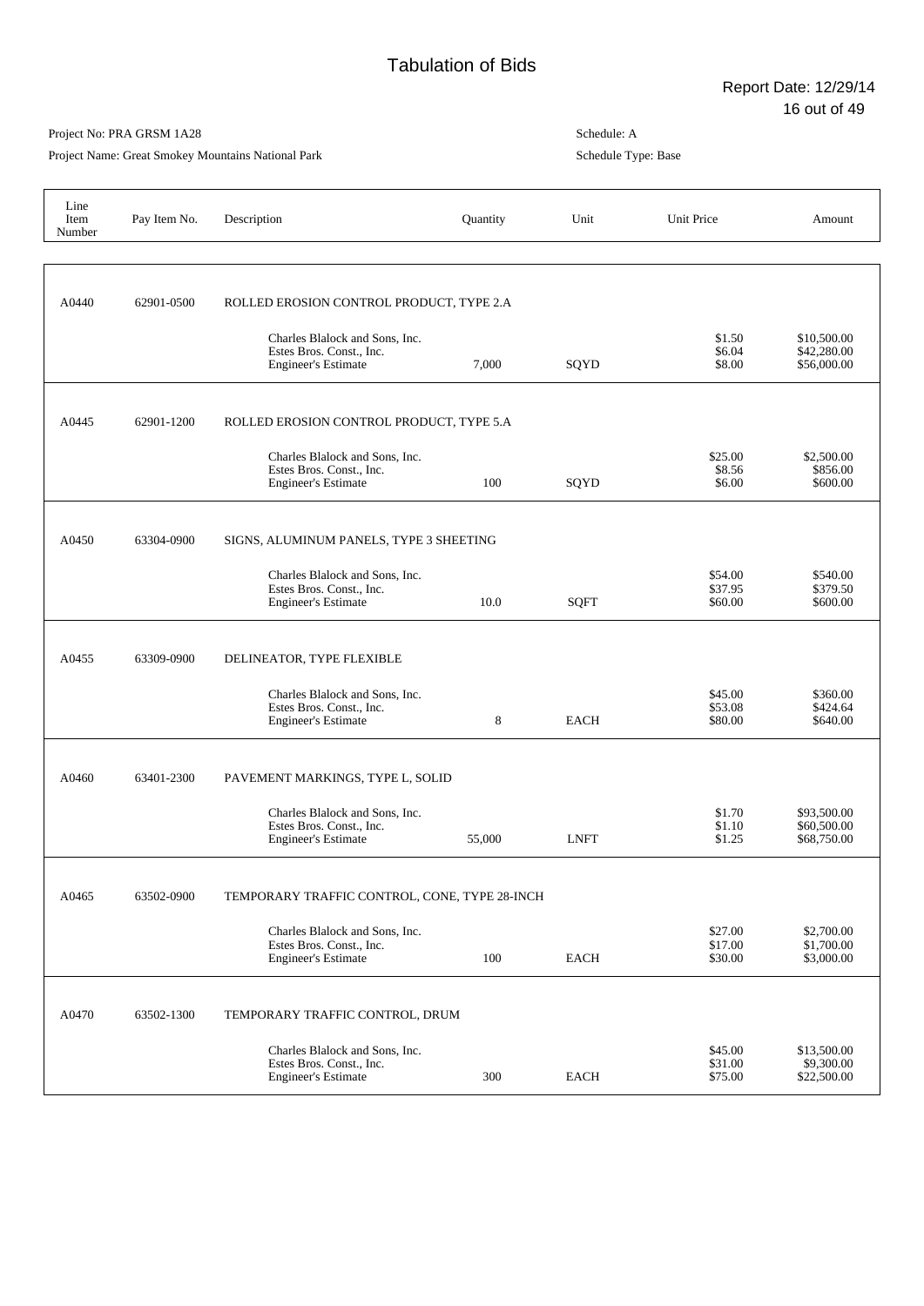### Project No: PRA GRSM 1A28

Project Name: Great Smokey Mountains National Park

| Line<br>Item<br>Number | Pay Item No. | Description                                                                              | Quantity | Unit        | Unit Price                    | Amount                                    |
|------------------------|--------------|------------------------------------------------------------------------------------------|----------|-------------|-------------------------------|-------------------------------------------|
|                        |              |                                                                                          |          |             |                               |                                           |
| A0440                  | 62901-0500   | ROLLED EROSION CONTROL PRODUCT, TYPE 2.A                                                 |          |             |                               |                                           |
|                        |              | Charles Blalock and Sons, Inc.<br>Estes Bros. Const., Inc.<br><b>Engineer's Estimate</b> | 7,000    | SQYD        | \$1.50<br>\$6.04<br>\$8.00    | \$10,500.00<br>\$42,280.00<br>\$56,000.00 |
| A0445                  | 62901-1200   | ROLLED EROSION CONTROL PRODUCT, TYPE 5.A                                                 |          |             |                               |                                           |
|                        |              | Charles Blalock and Sons, Inc.<br>Estes Bros. Const., Inc.<br><b>Engineer's Estimate</b> | 100      | SQYD        | \$25.00<br>\$8.56<br>\$6.00   | \$2,500.00<br>\$856.00<br>\$600.00        |
| A0450                  | 63304-0900   | SIGNS, ALUMINUM PANELS, TYPE 3 SHEETING                                                  |          |             |                               |                                           |
|                        |              | Charles Blalock and Sons, Inc.<br>Estes Bros. Const., Inc.<br><b>Engineer's Estimate</b> | 10.0     | <b>SQFT</b> | \$54.00<br>\$37.95<br>\$60.00 | \$540.00<br>\$379.50<br>\$600.00          |
| A0455                  | 63309-0900   | DELINEATOR, TYPE FLEXIBLE                                                                |          |             |                               |                                           |
|                        |              | Charles Blalock and Sons, Inc.<br>Estes Bros. Const., Inc.<br><b>Engineer's Estimate</b> | 8        | <b>EACH</b> | \$45.00<br>\$53.08<br>\$80.00 | \$360.00<br>\$424.64<br>\$640.00          |
| A0460                  | 63401-2300   | PAVEMENT MARKINGS, TYPE L, SOLID                                                         |          |             |                               |                                           |
|                        |              | Charles Blalock and Sons, Inc.<br>Estes Bros. Const., Inc.<br><b>Engineer's Estimate</b> | 55,000   | <b>LNFT</b> | \$1.70<br>\$1.10<br>\$1.25    | \$93,500.00<br>\$60,500.00<br>\$68,750.00 |
| A0465                  | 63502-0900   | TEMPORARY TRAFFIC CONTROL, CONE, TYPE 28-INCH                                            |          |             |                               |                                           |
|                        |              | Charles Blalock and Sons, Inc.<br>Estes Bros. Const., Inc.<br><b>Engineer's Estimate</b> | 100      | <b>EACH</b> | \$27.00<br>\$17.00<br>\$30.00 | \$2,700.00<br>\$1,700.00<br>\$3,000.00    |
| A0470                  | 63502-1300   | TEMPORARY TRAFFIC CONTROL, DRUM                                                          |          |             |                               |                                           |
|                        |              | Charles Blalock and Sons, Inc.<br>Estes Bros. Const., Inc.<br><b>Engineer's Estimate</b> | 300      | <b>EACH</b> | \$45.00<br>\$31.00<br>\$75.00 | \$13,500.00<br>\$9,300.00<br>\$22,500.00  |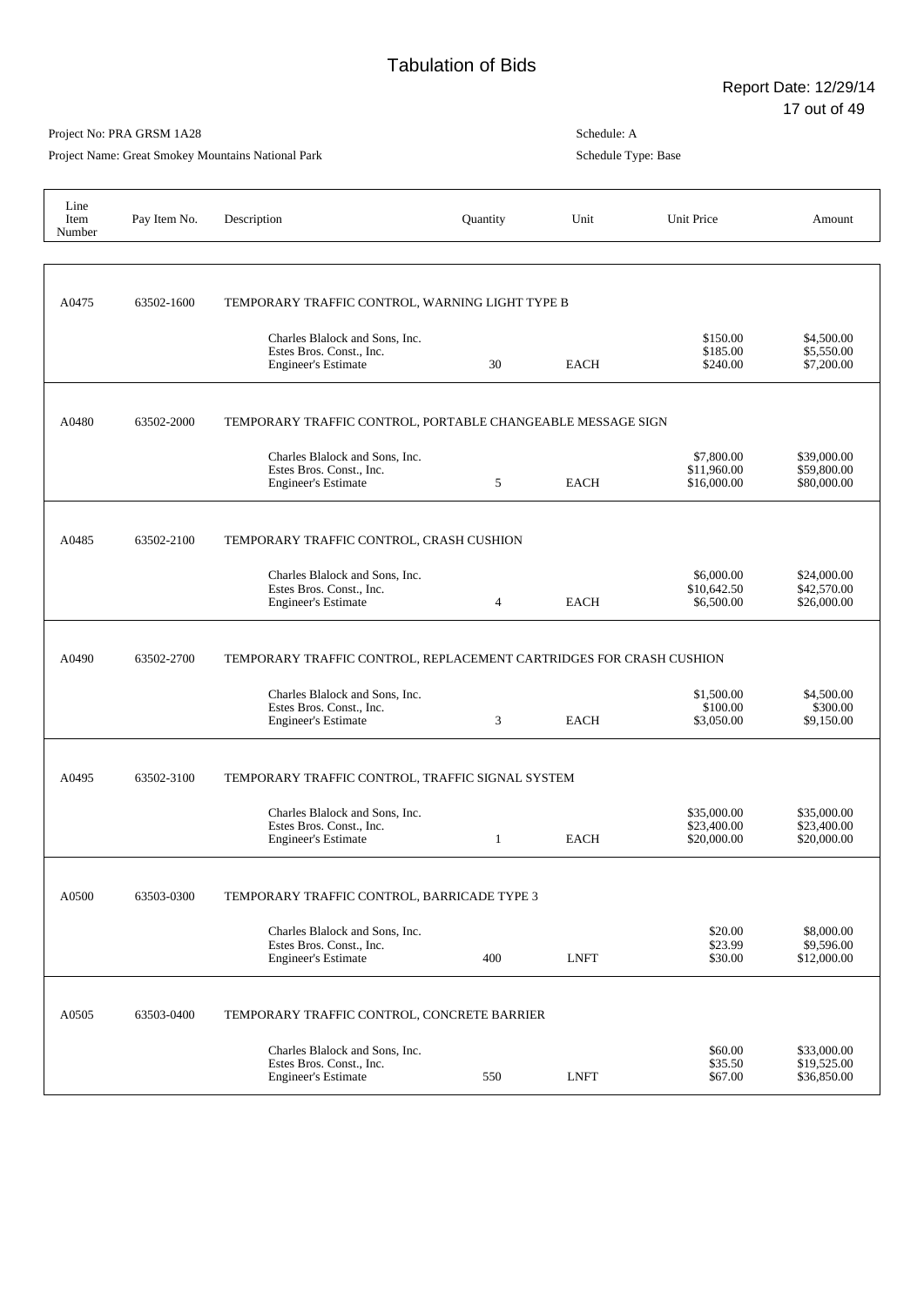### Project No: PRA GRSM 1A28

Project Name: Great Smokey Mountains National Park

| Line<br>Item<br>Number | Pay Item No. | Description                                                                              | Quantity                                                    | Unit        | Unit Price                                | Amount                                    |  |
|------------------------|--------------|------------------------------------------------------------------------------------------|-------------------------------------------------------------|-------------|-------------------------------------------|-------------------------------------------|--|
| A0475                  | 63502-1600   | TEMPORARY TRAFFIC CONTROL, WARNING LIGHT TYPE B                                          |                                                             |             |                                           |                                           |  |
|                        |              | Charles Blalock and Sons, Inc.<br>Estes Bros. Const., Inc.<br><b>Engineer's Estimate</b> | 30                                                          | <b>EACH</b> | \$150.00<br>\$185.00<br>\$240.00          | \$4,500.00<br>\$5,550.00<br>\$7,200.00    |  |
| A0480                  | 63502-2000   |                                                                                          | TEMPORARY TRAFFIC CONTROL, PORTABLE CHANGEABLE MESSAGE SIGN |             |                                           |                                           |  |
|                        |              | Charles Blalock and Sons, Inc.<br>Estes Bros. Const., Inc.<br><b>Engineer's Estimate</b> | 5                                                           | EACH        | \$7,800.00<br>\$11,960.00<br>\$16,000.00  | \$39,000.00<br>\$59,800.00<br>\$80,000.00 |  |
| A0485                  | 63502-2100   | TEMPORARY TRAFFIC CONTROL, CRASH CUSHION                                                 |                                                             |             |                                           |                                           |  |
|                        |              | Charles Blalock and Sons, Inc.<br>Estes Bros. Const., Inc.<br><b>Engineer's Estimate</b> | $\overline{4}$                                              | <b>EACH</b> | \$6,000.00<br>\$10,642.50<br>\$6,500.00   | \$24,000.00<br>\$42,570.00<br>\$26,000.00 |  |
| A0490                  | 63502-2700   | TEMPORARY TRAFFIC CONTROL, REPLACEMENT CARTRIDGES FOR CRASH CUSHION                      |                                                             |             |                                           |                                           |  |
|                        |              | Charles Blalock and Sons, Inc.<br>Estes Bros. Const., Inc.<br><b>Engineer's Estimate</b> | 3                                                           | EACH        | \$1,500.00<br>\$100.00<br>\$3,050.00      | \$4,500.00<br>\$300.00<br>\$9,150.00      |  |
| A0495                  | 63502-3100   | TEMPORARY TRAFFIC CONTROL, TRAFFIC SIGNAL SYSTEM                                         |                                                             |             |                                           |                                           |  |
|                        |              | Charles Blalock and Sons, Inc.<br>Estes Bros. Const., Inc.<br><b>Engineer's Estimate</b> | 1                                                           | EACH        | \$35,000.00<br>\$23,400.00<br>\$20,000.00 | \$35,000.00<br>\$23,400.00<br>\$20,000.00 |  |
| A0500                  | 63503-0300   | TEMPORARY TRAFFIC CONTROL, BARRICADE TYPE 3                                              |                                                             |             |                                           |                                           |  |
|                        |              | Charles Blalock and Sons, Inc.<br>Estes Bros. Const., Inc.<br><b>Engineer's Estimate</b> | 400                                                         | <b>LNFT</b> | \$20.00<br>\$23.99<br>\$30.00             | \$8,000.00<br>\$9,596.00<br>\$12,000.00   |  |
| A0505                  | 63503-0400   | TEMPORARY TRAFFIC CONTROL, CONCRETE BARRIER                                              |                                                             |             |                                           |                                           |  |
|                        |              | Charles Blalock and Sons, Inc.<br>Estes Bros. Const., Inc.<br><b>Engineer's Estimate</b> | 550                                                         | <b>LNFT</b> | \$60.00<br>\$35.50<br>\$67.00             | \$33,000.00<br>\$19,525.00<br>\$36,850.00 |  |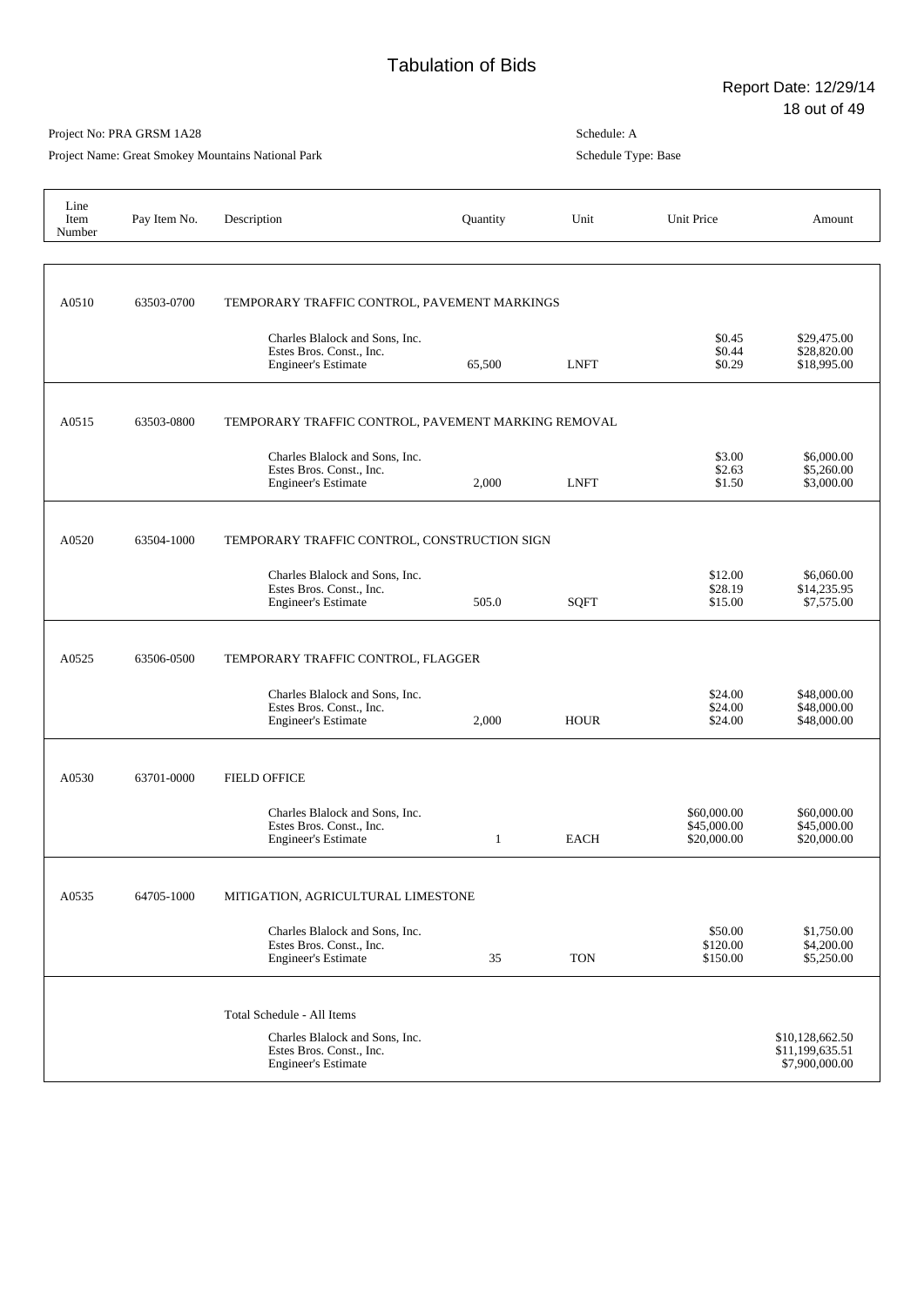## Project No: PRA GRSM 1A28

Project Name: Great Smokey Mountains National Park

| Line<br>Item<br>Number | Pay Item No. | Description                                                                              | Quantity     | Unit        | Unit Price                                | Amount                                               |
|------------------------|--------------|------------------------------------------------------------------------------------------|--------------|-------------|-------------------------------------------|------------------------------------------------------|
| A0510                  | 63503-0700   | TEMPORARY TRAFFIC CONTROL, PAVEMENT MARKINGS                                             |              |             |                                           |                                                      |
|                        |              | Charles Blalock and Sons, Inc.<br>Estes Bros. Const., Inc.<br><b>Engineer's Estimate</b> | 65,500       | <b>LNFT</b> | \$0.45<br>\$0.44<br>\$0.29                | \$29,475.00<br>\$28,820.00<br>\$18,995.00            |
| A0515                  | 63503-0800   | TEMPORARY TRAFFIC CONTROL, PAVEMENT MARKING REMOVAL                                      |              |             |                                           |                                                      |
|                        |              | Charles Blalock and Sons, Inc.<br>Estes Bros. Const., Inc.<br><b>Engineer's Estimate</b> | 2,000        | <b>LNFT</b> | \$3.00<br>\$2.63<br>\$1.50                | \$6,000.00<br>\$5,260.00<br>\$3,000.00               |
| A0520                  | 63504-1000   | TEMPORARY TRAFFIC CONTROL, CONSTRUCTION SIGN                                             |              |             |                                           |                                                      |
|                        |              | Charles Blalock and Sons, Inc.<br>Estes Bros. Const., Inc.<br><b>Engineer's Estimate</b> | 505.0        | <b>SQFT</b> | \$12.00<br>\$28.19<br>\$15.00             | \$6,060.00<br>\$14,235.95<br>\$7,575.00              |
| A0525                  | 63506-0500   | TEMPORARY TRAFFIC CONTROL, FLAGGER                                                       |              |             |                                           |                                                      |
|                        |              | Charles Blalock and Sons, Inc.<br>Estes Bros. Const., Inc.<br><b>Engineer's Estimate</b> | 2,000        | <b>HOUR</b> | \$24.00<br>\$24.00<br>\$24.00             | \$48,000.00<br>\$48,000.00<br>\$48,000.00            |
| A0530                  | 63701-0000   | <b>FIELD OFFICE</b>                                                                      |              |             |                                           |                                                      |
|                        |              | Charles Blalock and Sons, Inc.<br>Estes Bros. Const., Inc.<br><b>Engineer's Estimate</b> | $\mathbf{1}$ | <b>EACH</b> | \$60,000.00<br>\$45,000.00<br>\$20,000.00 | \$60,000.00<br>\$45,000.00<br>\$20,000.00            |
| A0535                  | 64705-1000   | MITIGATION, AGRICULTURAL LIMESTONE                                                       |              |             |                                           |                                                      |
|                        |              | Charles Blalock and Sons, Inc.<br>Estes Bros. Const., Inc.<br><b>Engineer's Estimate</b> | 35           | <b>TON</b>  | \$50.00<br>\$120.00<br>\$150.00           | \$1,750.00<br>\$4,200.00<br>\$5,250.00               |
|                        |              | Total Schedule - All Items                                                               |              |             |                                           |                                                      |
|                        |              | Charles Blalock and Sons, Inc.<br>Estes Bros. Const., Inc.<br><b>Engineer's Estimate</b> |              |             |                                           | \$10,128,662.50<br>\$11,199,635.51<br>\$7,900,000.00 |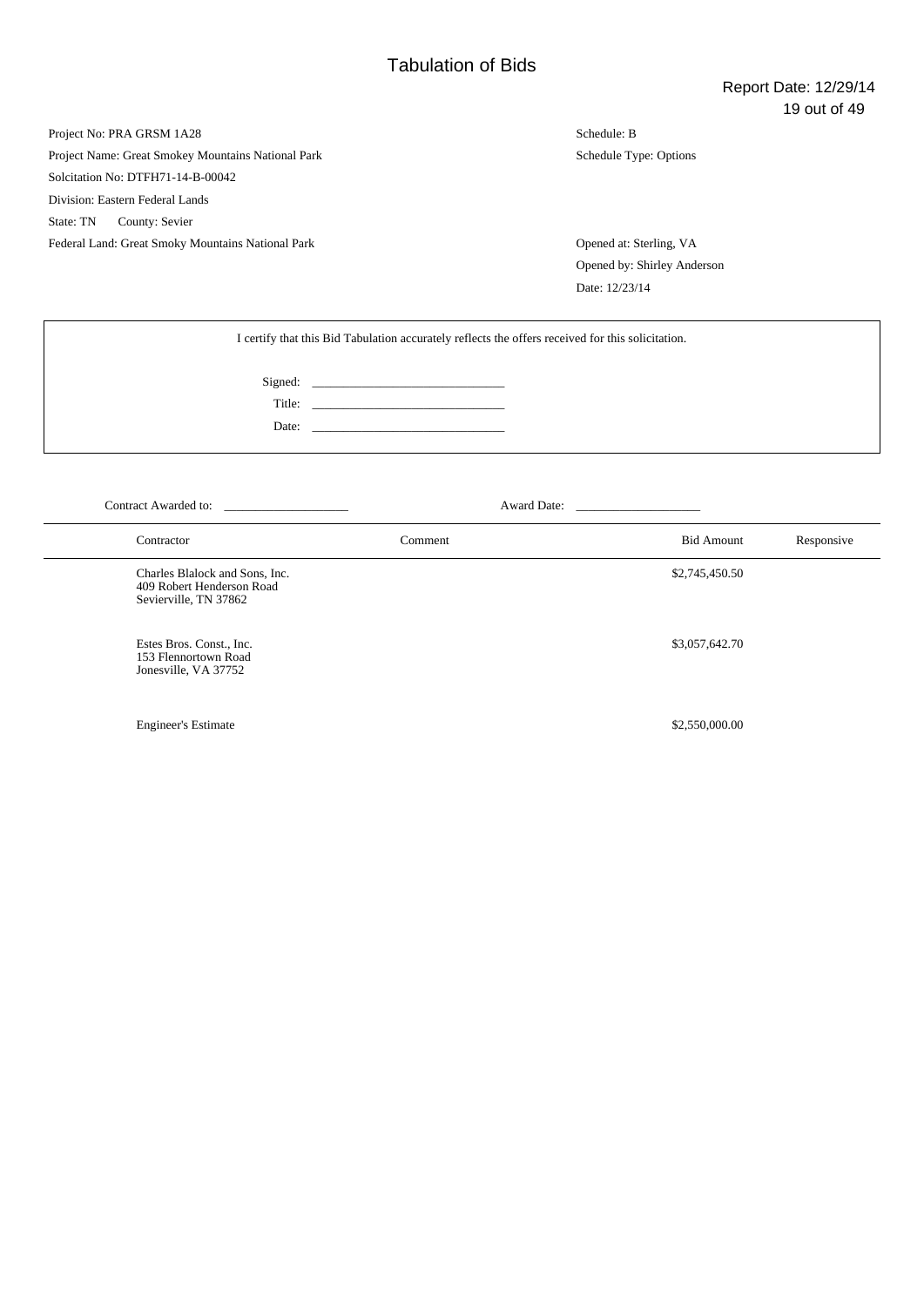# Project No: PRA GRSM 1A28 Project Name: Great Smokey Mountains National Park Solcitation No: DTFH71-14-B-00042 Division: Eastern Federal Lands

State: TN County: Sevier

Federal Land: Great Smoky Mountains National Park **Opened at: Sterling, VA** Opened at: Sterling, VA

Schedule: B Schedule Type: Options

Opened by: Shirley Anderson Date: 12/23/14

| I certify that this Bid Tabulation accurately reflects the offers received for this solicitation. |  |  |  |  |  |
|---------------------------------------------------------------------------------------------------|--|--|--|--|--|
|                                                                                                   |  |  |  |  |  |
|                                                                                                   |  |  |  |  |  |
|                                                                                                   |  |  |  |  |  |
|                                                                                                   |  |  |  |  |  |
|                                                                                                   |  |  |  |  |  |
|                                                                                                   |  |  |  |  |  |

| Contract Awarded to:                                                                 | Award Date: |                   |            |
|--------------------------------------------------------------------------------------|-------------|-------------------|------------|
| Contractor                                                                           | Comment     | <b>Bid Amount</b> | Responsive |
| Charles Blalock and Sons, Inc.<br>409 Robert Henderson Road<br>Sevierville, TN 37862 |             | \$2,745,450.50    |            |
| Estes Bros. Const., Inc.<br>153 Flennortown Road<br>Jonesville, VA 37752             |             | \$3,057,642.70    |            |
| <b>Engineer's Estimate</b>                                                           |             | \$2,550,000.00    |            |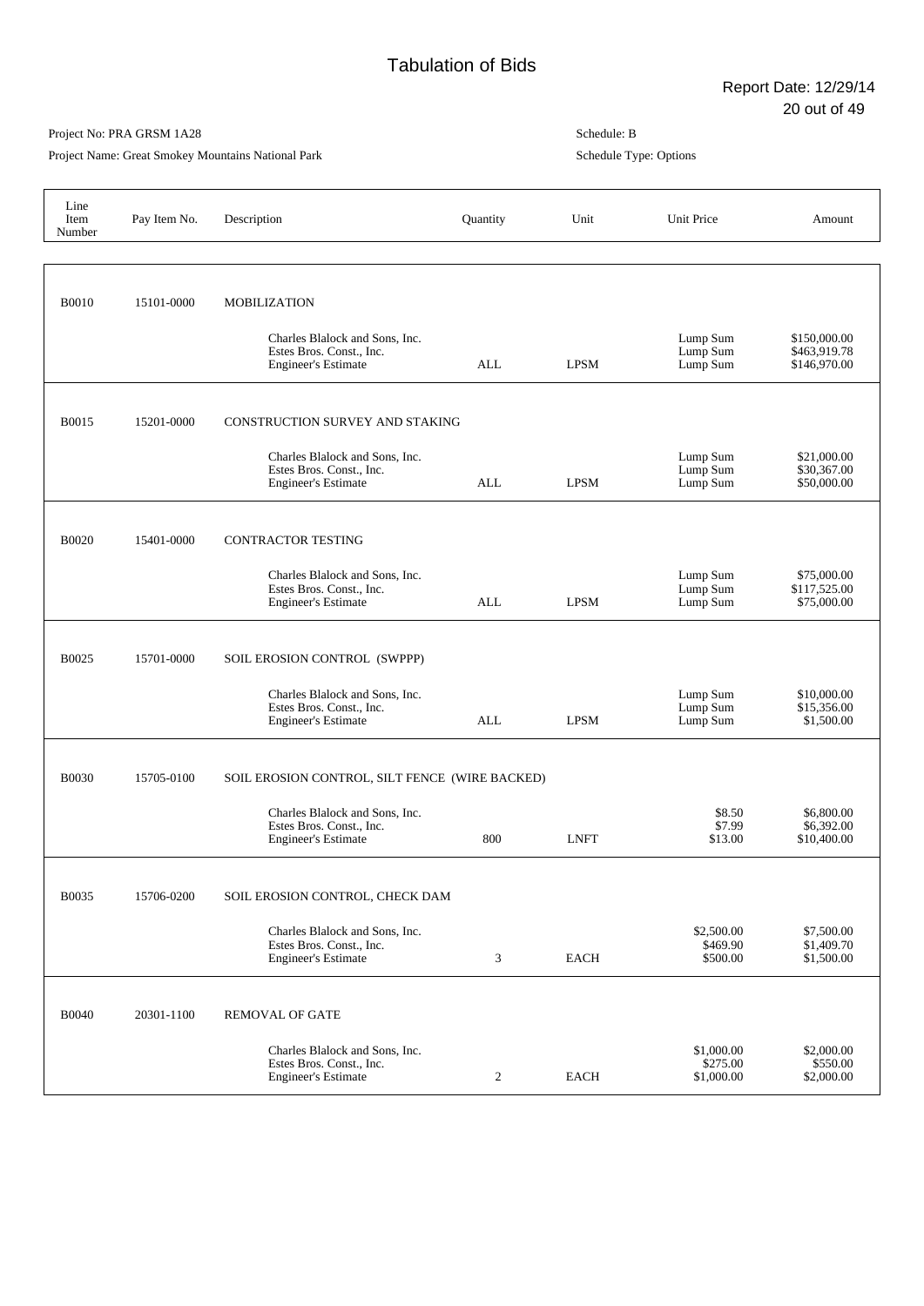### Project No: PRA GRSM 1A28

Project Name: Great Smokey Mountains National Park

| Line<br>Item<br>Number | Pay Item No. | Description                                                                              | Quantity       | Unit        | Unit Price                           | Amount                                       |
|------------------------|--------------|------------------------------------------------------------------------------------------|----------------|-------------|--------------------------------------|----------------------------------------------|
|                        |              |                                                                                          |                |             |                                      |                                              |
| <b>B0010</b>           | 15101-0000   | <b>MOBILIZATION</b>                                                                      |                |             |                                      |                                              |
|                        |              | Charles Blalock and Sons, Inc.<br>Estes Bros. Const., Inc.<br><b>Engineer's Estimate</b> | ALL            | <b>LPSM</b> | Lump Sum<br>Lump Sum<br>Lump Sum     | \$150,000.00<br>\$463,919.78<br>\$146,970.00 |
| <b>B0015</b>           | 15201-0000   | CONSTRUCTION SURVEY AND STAKING                                                          |                |             |                                      |                                              |
|                        |              | Charles Blalock and Sons, Inc.<br>Estes Bros. Const., Inc.<br><b>Engineer's Estimate</b> | ALL            | <b>LPSM</b> | Lump Sum<br>Lump Sum<br>Lump Sum     | \$21,000.00<br>\$30,367.00<br>\$50,000.00    |
| <b>B0020</b>           | 15401-0000   | <b>CONTRACTOR TESTING</b>                                                                |                |             |                                      |                                              |
|                        |              | Charles Blalock and Sons, Inc.<br>Estes Bros. Const., Inc.<br><b>Engineer's Estimate</b> | ALL            | <b>LPSM</b> | Lump Sum<br>Lump Sum<br>Lump Sum     | \$75,000.00<br>\$117,525.00<br>\$75,000.00   |
| <b>B0025</b>           | 15701-0000   | SOIL EROSION CONTROL (SWPPP)                                                             |                |             |                                      |                                              |
|                        |              | Charles Blalock and Sons, Inc.<br>Estes Bros. Const., Inc.<br><b>Engineer's Estimate</b> | ALL            | <b>LPSM</b> | Lump Sum<br>Lump Sum<br>Lump Sum     | \$10,000.00<br>\$15,356.00<br>\$1,500.00     |
| <b>B0030</b>           | 15705-0100   | SOIL EROSION CONTROL, SILT FENCE (WIRE BACKED)                                           |                |             |                                      |                                              |
|                        |              | Charles Blalock and Sons, Inc.<br>Estes Bros. Const., Inc.<br><b>Engineer's Estimate</b> | 800            | <b>LNFT</b> | \$8.50<br>\$7.99<br>\$13.00          | \$6,800.00<br>\$6,392.00<br>\$10,400.00      |
| B0035                  | 15706-0200   | SOIL EROSION CONTROL, CHECK DAM                                                          |                |             |                                      |                                              |
|                        |              | Charles Blalock and Sons, Inc.<br>Estes Bros. Const., Inc.<br><b>Engineer's Estimate</b> | 3              | <b>EACH</b> | \$2,500.00<br>\$469.90<br>\$500.00   | \$7,500.00<br>\$1,409.70<br>\$1,500.00       |
| <b>B0040</b>           | 20301-1100   | <b>REMOVAL OF GATE</b>                                                                   |                |             |                                      |                                              |
|                        |              | Charles Blalock and Sons, Inc.<br>Estes Bros. Const., Inc.<br><b>Engineer's Estimate</b> | $\overline{c}$ | <b>EACH</b> | \$1,000.00<br>\$275.00<br>\$1,000.00 | \$2,000.00<br>\$550.00<br>\$2,000.00         |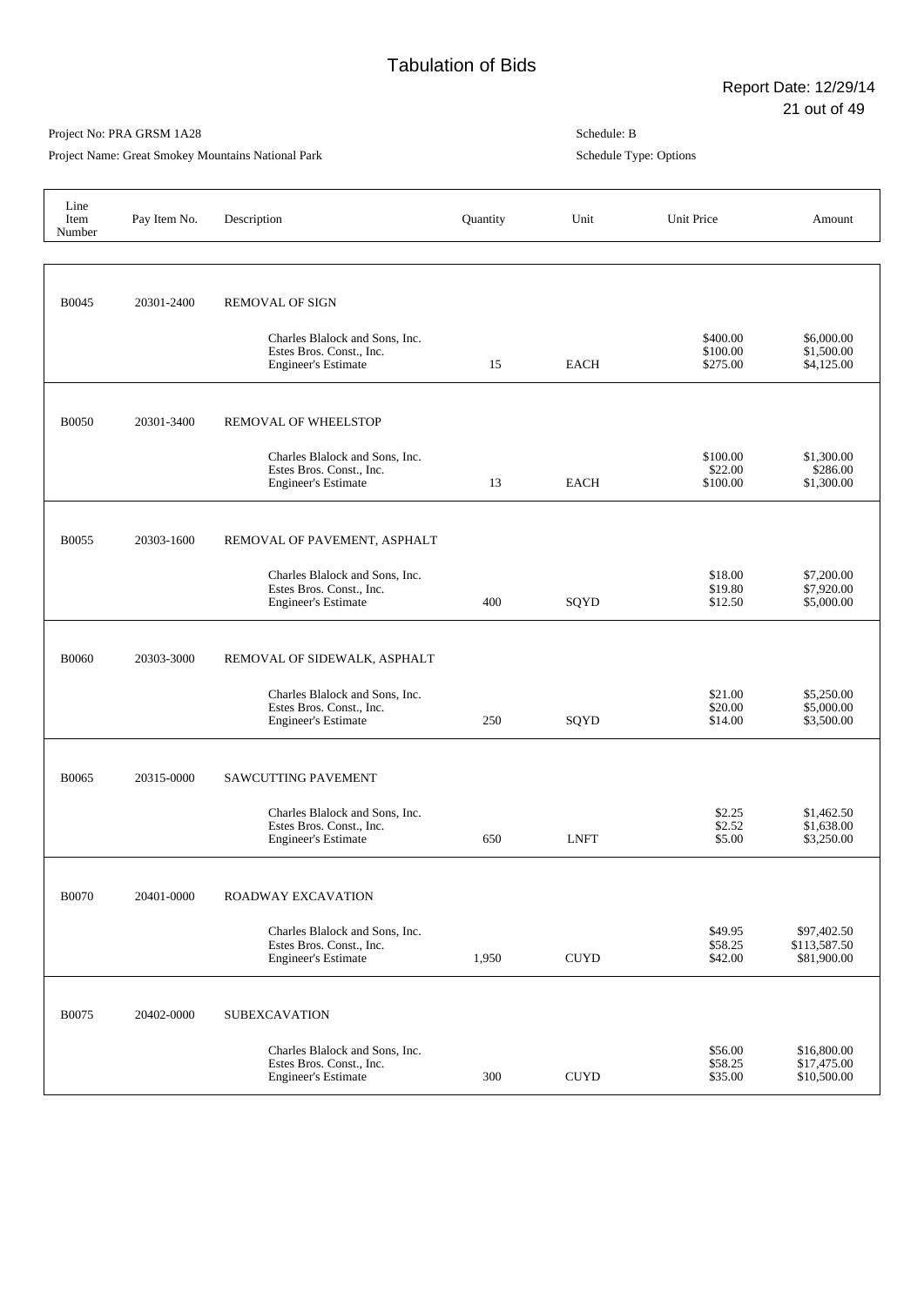### Project No: PRA GRSM 1A28

Project Name: Great Smokey Mountains National Park

| Line<br>Item<br>Number | Pay Item No. | Description                                                                              | Quantity | Unit        | Unit Price                       | Amount                                     |
|------------------------|--------------|------------------------------------------------------------------------------------------|----------|-------------|----------------------------------|--------------------------------------------|
|                        |              |                                                                                          |          |             |                                  |                                            |
| <b>B0045</b>           | 20301-2400   | <b>REMOVAL OF SIGN</b>                                                                   |          |             |                                  |                                            |
|                        |              | Charles Blalock and Sons, Inc.<br>Estes Bros. Const., Inc.<br><b>Engineer's Estimate</b> | 15       | EACH        | \$400.00<br>\$100.00<br>\$275.00 | \$6,000.00<br>\$1,500.00<br>\$4,125.00     |
| <b>B0050</b>           | 20301-3400   | <b>REMOVAL OF WHEELSTOP</b>                                                              |          |             |                                  |                                            |
|                        |              | Charles Blalock and Sons, Inc.<br>Estes Bros. Const., Inc.<br><b>Engineer's Estimate</b> | 13       | <b>EACH</b> | \$100.00<br>\$22.00<br>\$100.00  | \$1,300.00<br>\$286.00<br>\$1,300.00       |
| <b>B0055</b>           | 20303-1600   | REMOVAL OF PAVEMENT, ASPHALT                                                             |          |             |                                  |                                            |
|                        |              | Charles Blalock and Sons, Inc.<br>Estes Bros. Const., Inc.<br><b>Engineer's Estimate</b> | 400      | SQYD        | \$18.00<br>\$19.80<br>\$12.50    | \$7,200.00<br>\$7,920.00<br>\$5,000.00     |
| <b>B0060</b>           | 20303-3000   | REMOVAL OF SIDEWALK, ASPHALT                                                             |          |             |                                  |                                            |
|                        |              | Charles Blalock and Sons, Inc.<br>Estes Bros. Const., Inc.<br><b>Engineer's Estimate</b> | 250      | SQYD        | \$21.00<br>\$20.00<br>\$14.00    | \$5,250.00<br>\$5,000.00<br>\$3,500.00     |
| <b>B0065</b>           | 20315-0000   | SAWCUTTING PAVEMENT                                                                      |          |             |                                  |                                            |
|                        |              | Charles Blalock and Sons, Inc.<br>Estes Bros. Const., Inc.<br><b>Engineer's Estimate</b> | 650      | <b>LNFT</b> | \$2.25<br>\$2.52<br>\$5.00       | \$1,462.50<br>\$1,638.00<br>\$3,250.00     |
| <b>B0070</b>           | 20401-0000   | ROADWAY EXCAVATION                                                                       |          |             |                                  |                                            |
|                        |              | Charles Blalock and Sons, Inc.<br>Estes Bros. Const., Inc.<br><b>Engineer's Estimate</b> | 1,950    | <b>CUYD</b> | \$49.95<br>\$58.25<br>\$42.00    | \$97,402.50<br>\$113,587.50<br>\$81,900.00 |
| B0075                  | 20402-0000   | <b>SUBEXCAVATION</b>                                                                     |          |             |                                  |                                            |
|                        |              | Charles Blalock and Sons, Inc.<br>Estes Bros. Const., Inc.<br><b>Engineer's Estimate</b> | 300      | <b>CUYD</b> | \$56.00<br>\$58.25<br>\$35.00    | \$16,800.00<br>\$17,475.00<br>\$10,500.00  |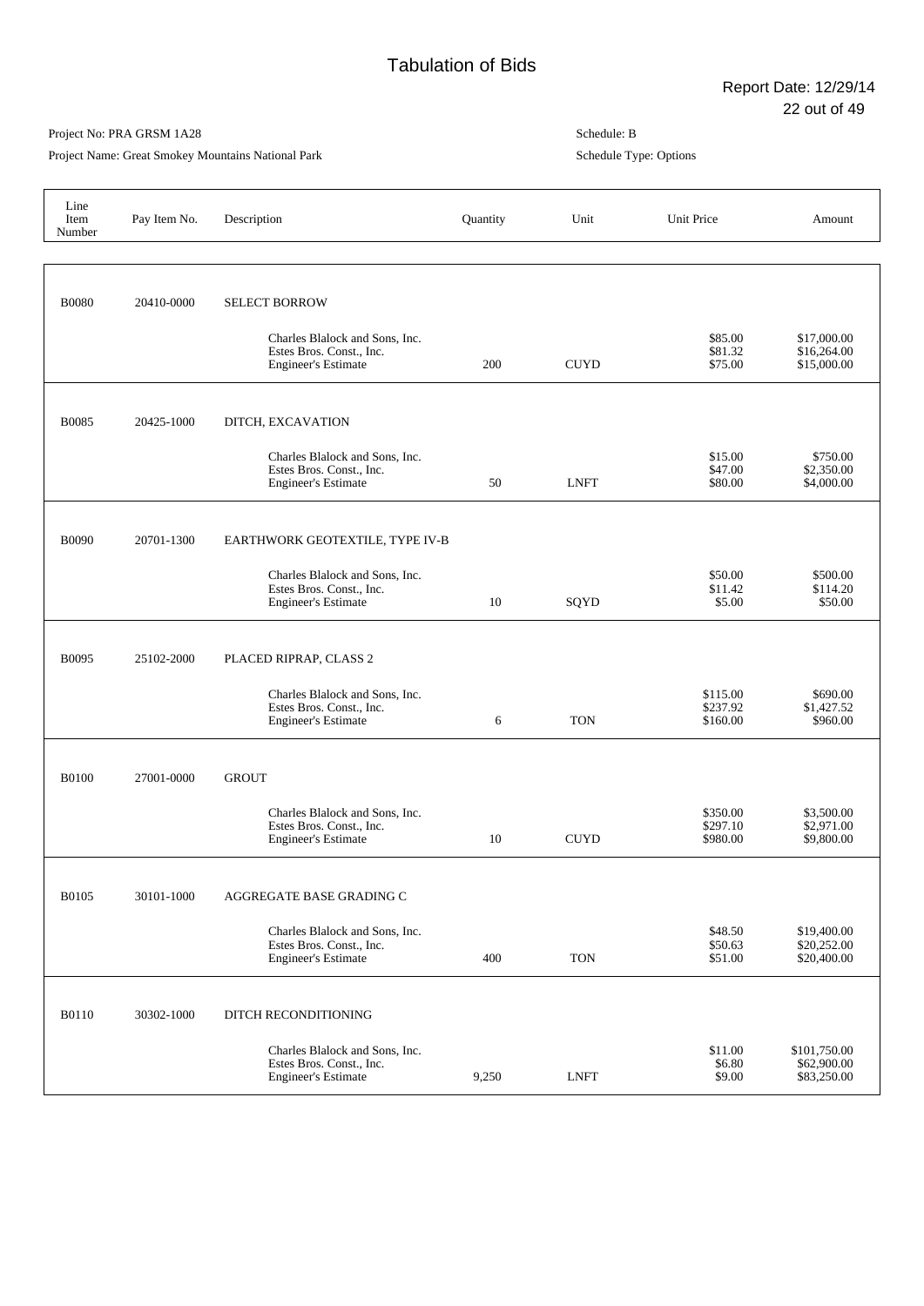#### Project No: PRA GRSM 1A28

Project Name: Great Smokey Mountains National Park

| Line<br>Item<br>Number | Pay Item No. | Description                                                                              | Quantity | Unit        | Unit Price                       | Amount                                     |
|------------------------|--------------|------------------------------------------------------------------------------------------|----------|-------------|----------------------------------|--------------------------------------------|
|                        |              |                                                                                          |          |             |                                  |                                            |
| <b>B0080</b>           | 20410-0000   | SELECT BORROW                                                                            |          |             |                                  |                                            |
|                        |              | Charles Blalock and Sons, Inc.<br>Estes Bros. Const., Inc.<br><b>Engineer's Estimate</b> | 200      | <b>CUYD</b> | \$85.00<br>\$81.32<br>\$75.00    | \$17,000.00<br>\$16,264.00<br>\$15,000.00  |
| <b>B0085</b>           | 20425-1000   | DITCH, EXCAVATION                                                                        |          |             |                                  |                                            |
|                        |              | Charles Blalock and Sons, Inc.<br>Estes Bros. Const., Inc.<br><b>Engineer's Estimate</b> | 50       | <b>LNFT</b> | \$15.00<br>\$47.00<br>\$80.00    | \$750.00<br>\$2,350.00<br>\$4,000.00       |
| <b>B0090</b>           | 20701-1300   | EARTHWORK GEOTEXTILE, TYPE IV-B                                                          |          |             |                                  |                                            |
|                        |              | Charles Blalock and Sons, Inc.<br>Estes Bros. Const., Inc.<br><b>Engineer's Estimate</b> | 10       | SQYD        | \$50.00<br>\$11.42<br>\$5.00     | \$500.00<br>\$114.20<br>\$50.00            |
| <b>B0095</b>           | 25102-2000   | PLACED RIPRAP, CLASS 2                                                                   |          |             |                                  |                                            |
|                        |              | Charles Blalock and Sons, Inc.<br>Estes Bros. Const., Inc.<br><b>Engineer's Estimate</b> | 6        | <b>TON</b>  | \$115.00<br>\$237.92<br>\$160.00 | \$690.00<br>\$1,427.52<br>\$960.00         |
| <b>B0100</b>           | 27001-0000   | <b>GROUT</b>                                                                             |          |             |                                  |                                            |
|                        |              | Charles Blalock and Sons, Inc.<br>Estes Bros. Const., Inc.<br><b>Engineer's Estimate</b> | 10       | <b>CUYD</b> | \$350.00<br>\$297.10<br>\$980.00 | \$3,500.00<br>\$2,971.00<br>\$9,800.00     |
| B0105                  | 30101-1000   | AGGREGATE BASE GRADING C                                                                 |          |             |                                  |                                            |
|                        |              | Charles Blalock and Sons, Inc.<br>Estes Bros. Const., Inc.<br><b>Engineer's Estimate</b> | 400      | <b>TON</b>  | \$48.50<br>\$50.63<br>\$51.00    | \$19,400.00<br>\$20,252.00<br>\$20,400.00  |
| <b>B0110</b>           | 30302-1000   | DITCH RECONDITIONING                                                                     |          |             |                                  |                                            |
|                        |              | Charles Blalock and Sons, Inc.<br>Estes Bros. Const., Inc.<br><b>Engineer's Estimate</b> | 9,250    | <b>LNFT</b> | \$11.00<br>\$6.80<br>\$9.00      | \$101,750.00<br>\$62,900.00<br>\$83,250.00 |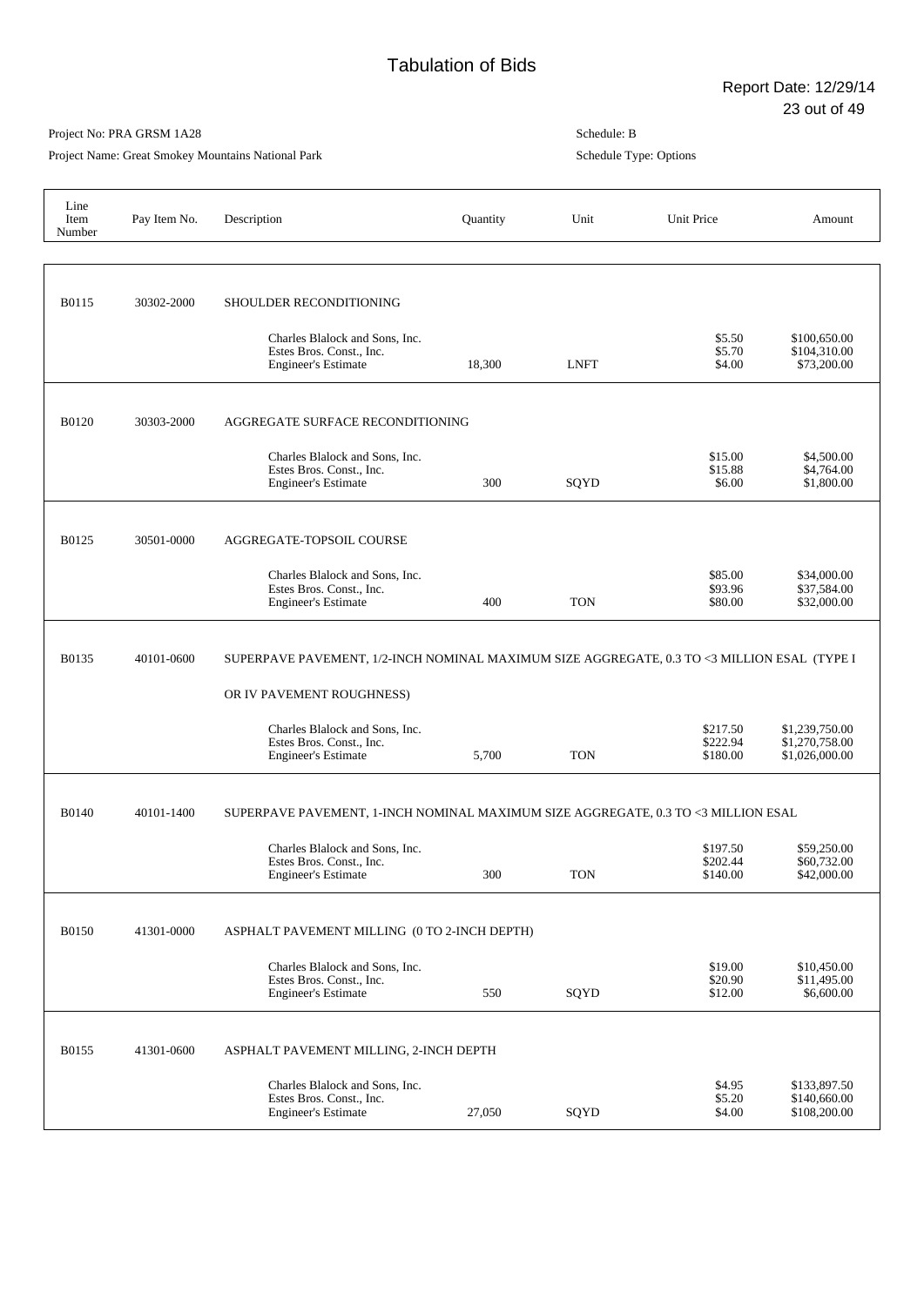### Project No: PRA GRSM 1A28

Project Name: Great Smokey Mountains National Park

| Line<br>Item<br>Number | Pay Item No. | Description                                                                                 | Quantity | Unit        | Unit Price                       | Amount                                             |
|------------------------|--------------|---------------------------------------------------------------------------------------------|----------|-------------|----------------------------------|----------------------------------------------------|
|                        |              |                                                                                             |          |             |                                  |                                                    |
| B0115                  | 30302-2000   | SHOULDER RECONDITIONING                                                                     |          |             |                                  |                                                    |
|                        |              | Charles Blalock and Sons, Inc.<br>Estes Bros. Const., Inc.<br><b>Engineer's Estimate</b>    | 18,300   | <b>LNFT</b> | \$5.50<br>\$5.70<br>\$4.00       | \$100,650.00<br>\$104,310.00<br>\$73,200.00        |
| <b>B0120</b>           | 30303-2000   | AGGREGATE SURFACE RECONDITIONING                                                            |          |             |                                  |                                                    |
|                        |              | Charles Blalock and Sons, Inc.<br>Estes Bros. Const., Inc.<br><b>Engineer's Estimate</b>    | 300      | SQYD        | \$15.00<br>\$15.88<br>\$6.00     | \$4,500.00<br>\$4,764.00<br>\$1,800.00             |
| B0125                  | 30501-0000   | AGGREGATE-TOPSOIL COURSE                                                                    |          |             |                                  |                                                    |
|                        |              | Charles Blalock and Sons, Inc.<br>Estes Bros. Const., Inc.<br><b>Engineer's Estimate</b>    | 400      | <b>TON</b>  | \$85.00<br>\$93.96<br>\$80.00    | \$34,000.00<br>\$37,584.00<br>\$32,000.00          |
| B0135                  | 40101-0600   | SUPERPAVE PAVEMENT, 1/2-INCH NOMINAL MAXIMUM SIZE AGGREGATE, 0.3 TO <3 MILLION ESAL (TYPE I |          |             |                                  |                                                    |
|                        |              | OR IV PAVEMENT ROUGHNESS)                                                                   |          |             |                                  |                                                    |
|                        |              | Charles Blalock and Sons, Inc.<br>Estes Bros. Const., Inc.<br><b>Engineer's Estimate</b>    | 5,700    | <b>TON</b>  | \$217.50<br>\$222.94<br>\$180.00 | \$1,239,750.00<br>\$1,270,758.00<br>\$1,026,000.00 |
| <b>B0140</b>           | 40101-1400   | SUPERPAVE PAVEMENT, 1-INCH NOMINAL MAXIMUM SIZE AGGREGATE, 0.3 TO <3 MILLION ESAL           |          |             |                                  |                                                    |
|                        |              | Charles Blalock and Sons, Inc.<br>Estes Bros. Const., Inc.<br><b>Engineer's Estimate</b>    | 300      | <b>TON</b>  | \$197.50<br>\$202.44<br>\$140.00 | \$59,250.00<br>\$60,732.00<br>\$42,000.00          |
| <b>B0150</b>           | 41301-0000   | ASPHALT PAVEMENT MILLING (0 TO 2-INCH DEPTH)                                                |          |             |                                  |                                                    |
|                        |              | Charles Blalock and Sons, Inc.<br>Estes Bros. Const., Inc.<br>Engineer's Estimate           | 550      | SQYD        | \$19.00<br>\$20.90<br>\$12.00    | \$10,450.00<br>\$11,495.00<br>\$6,600.00           |
| B0155                  | 41301-0600   | ASPHALT PAVEMENT MILLING, 2-INCH DEPTH                                                      |          |             |                                  |                                                    |
|                        |              | Charles Blalock and Sons, Inc.<br>Estes Bros. Const., Inc.<br><b>Engineer's Estimate</b>    | 27,050   | SQYD        | \$4.95<br>\$5.20<br>\$4.00       | \$133,897.50<br>\$140,660.00<br>\$108,200.00       |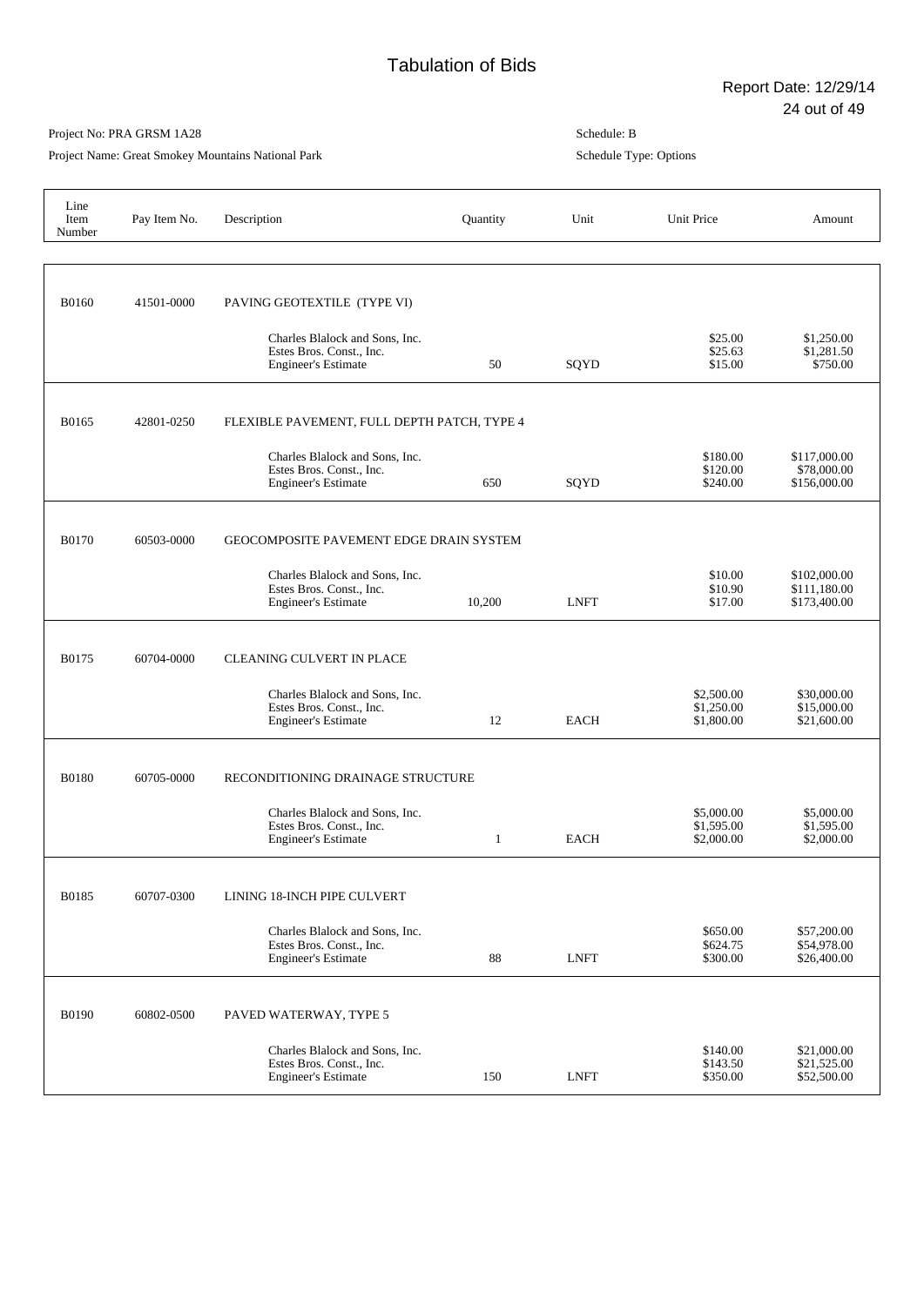#### Project No: PRA GRSM 1A28

Project Name: Great Smokey Mountains National Park

| Line<br>Item<br>Number | Pay Item No. | Description                                                                              | Quantity     | Unit        | Unit Price                             | Amount                                       |
|------------------------|--------------|------------------------------------------------------------------------------------------|--------------|-------------|----------------------------------------|----------------------------------------------|
|                        |              |                                                                                          |              |             |                                        |                                              |
| <b>B0160</b>           | 41501-0000   | PAVING GEOTEXTILE (TYPE VI)                                                              |              |             |                                        |                                              |
|                        |              | Charles Blalock and Sons, Inc.<br>Estes Bros. Const., Inc.<br><b>Engineer's Estimate</b> | 50           | SQYD        | \$25.00<br>\$25.63<br>\$15.00          | \$1,250.00<br>\$1,281.50<br>\$750.00         |
| B0165                  | 42801-0250   | FLEXIBLE PAVEMENT, FULL DEPTH PATCH, TYPE 4                                              |              |             |                                        |                                              |
|                        |              | Charles Blalock and Sons, Inc.<br>Estes Bros. Const., Inc.<br><b>Engineer's Estimate</b> | 650          | SQYD        | \$180.00<br>\$120.00<br>\$240.00       | \$117,000.00<br>\$78,000.00<br>\$156,000.00  |
| <b>B0170</b>           | 60503-0000   | GEOCOMPOSITE PAVEMENT EDGE DRAIN SYSTEM                                                  |              |             |                                        |                                              |
|                        |              | Charles Blalock and Sons, Inc.<br>Estes Bros. Const., Inc.<br><b>Engineer's Estimate</b> | 10,200       | <b>LNFT</b> | \$10.00<br>\$10.90<br>\$17.00          | \$102,000.00<br>\$111.180.00<br>\$173,400.00 |
| B0175                  | 60704-0000   | CLEANING CULVERT IN PLACE                                                                |              |             |                                        |                                              |
|                        |              | Charles Blalock and Sons, Inc.<br>Estes Bros. Const., Inc.<br><b>Engineer's Estimate</b> | 12           | <b>EACH</b> | \$2,500.00<br>\$1,250.00<br>\$1,800.00 | \$30,000.00<br>\$15,000.00<br>\$21,600.00    |
| <b>B0180</b>           | 60705-0000   | RECONDITIONING DRAINAGE STRUCTURE                                                        |              |             |                                        |                                              |
|                        |              | Charles Blalock and Sons, Inc.<br>Estes Bros. Const., Inc.<br><b>Engineer's Estimate</b> | $\mathbf{1}$ | EACH        | \$5,000.00<br>\$1,595.00<br>\$2,000.00 | \$5,000.00<br>\$1,595.00<br>\$2,000.00       |
| <b>B0185</b>           | 60707-0300   | LINING 18-INCH PIPE CULVERT                                                              |              |             |                                        |                                              |
|                        |              | Charles Blalock and Sons, Inc.<br>Estes Bros. Const., Inc.<br><b>Engineer's Estimate</b> | 88           | <b>LNFT</b> | \$650.00<br>\$624.75<br>\$300.00       | \$57,200.00<br>\$54,978.00<br>\$26,400.00    |
| <b>B0190</b>           | 60802-0500   | PAVED WATERWAY, TYPE 5                                                                   |              |             |                                        |                                              |
|                        |              | Charles Blalock and Sons, Inc.<br>Estes Bros. Const., Inc.<br><b>Engineer's Estimate</b> | 150          | <b>LNFT</b> | \$140.00<br>\$143.50<br>\$350.00       | \$21,000.00<br>\$21,525.00<br>\$52,500.00    |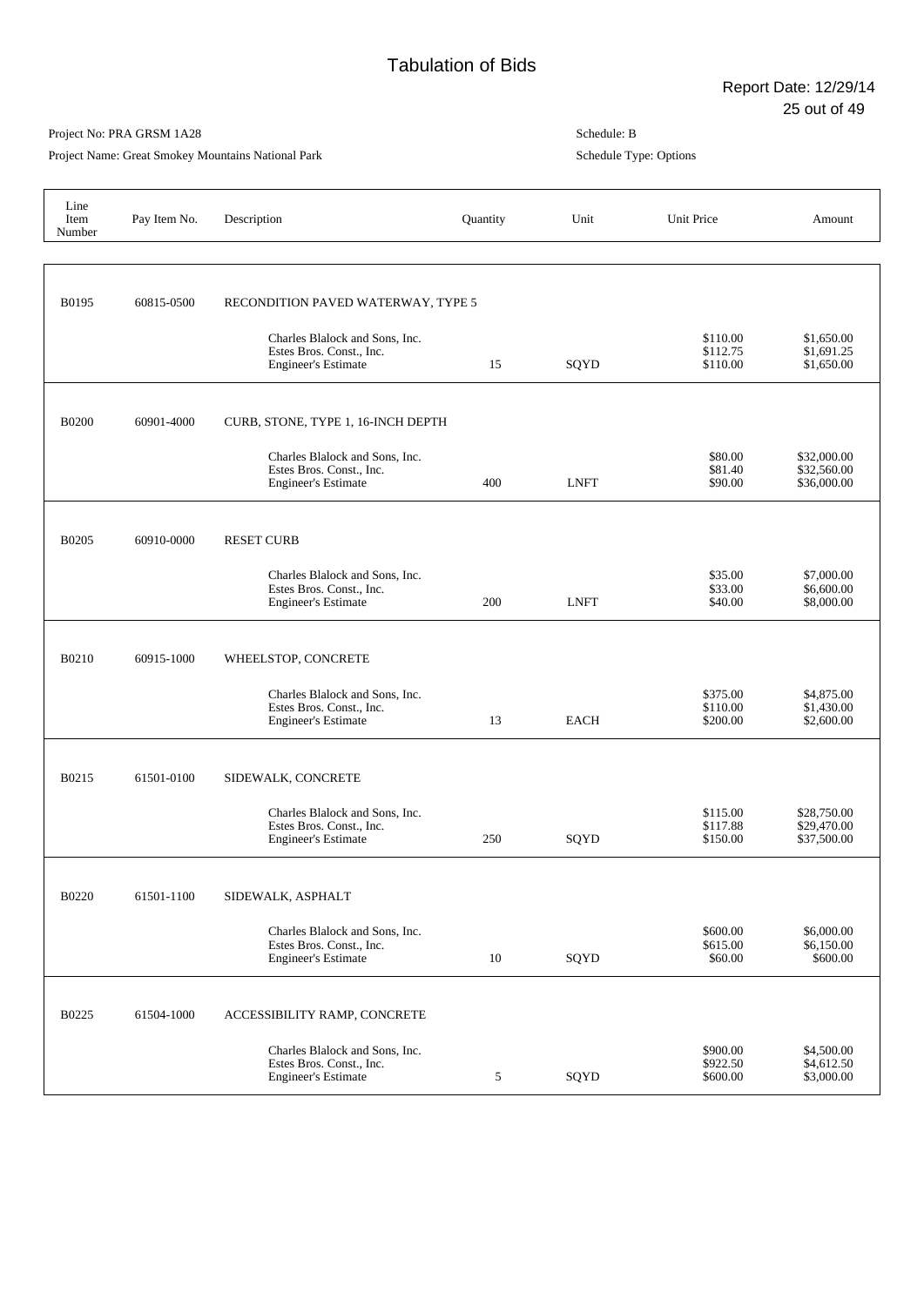### Project No: PRA GRSM 1A28

Project Name: Great Smokey Mountains National Park

| Line<br>Item<br>Number | Pay Item No. | Description                                                                              | Quantity | Unit        | Unit Price                       | Amount                                    |
|------------------------|--------------|------------------------------------------------------------------------------------------|----------|-------------|----------------------------------|-------------------------------------------|
|                        |              |                                                                                          |          |             |                                  |                                           |
| B0195                  | 60815-0500   | RECONDITION PAVED WATERWAY, TYPE 5                                                       |          |             |                                  |                                           |
|                        |              | Charles Blalock and Sons, Inc.<br>Estes Bros. Const., Inc.<br><b>Engineer's Estimate</b> | 15       | SQYD        | \$110.00<br>\$112.75<br>\$110.00 | \$1,650.00<br>\$1,691.25<br>\$1,650.00    |
| <b>B0200</b>           | 60901-4000   | CURB, STONE, TYPE 1, 16-INCH DEPTH                                                       |          |             |                                  |                                           |
|                        |              | Charles Blalock and Sons, Inc.<br>Estes Bros. Const., Inc.<br><b>Engineer's Estimate</b> | 400      | <b>LNFT</b> | \$80.00<br>\$81.40<br>\$90.00    | \$32,000.00<br>\$32,560.00<br>\$36,000.00 |
| <b>B0205</b>           | 60910-0000   | <b>RESET CURB</b>                                                                        |          |             |                                  |                                           |
|                        |              | Charles Blalock and Sons, Inc.<br>Estes Bros. Const., Inc.<br><b>Engineer's Estimate</b> | 200      | <b>LNFT</b> | \$35.00<br>\$33.00<br>\$40.00    | \$7,000.00<br>\$6,600.00<br>\$8,000.00    |
| <b>B0210</b>           | 60915-1000   | WHEELSTOP, CONCRETE                                                                      |          |             |                                  |                                           |
|                        |              | Charles Blalock and Sons, Inc.<br>Estes Bros. Const., Inc.<br><b>Engineer's Estimate</b> | 13       | <b>EACH</b> | \$375.00<br>\$110.00<br>\$200.00 | \$4,875.00<br>\$1,430.00<br>\$2,600.00    |
| B0215                  | 61501-0100   | SIDEWALK, CONCRETE                                                                       |          |             |                                  |                                           |
|                        |              | Charles Blalock and Sons, Inc.<br>Estes Bros. Const., Inc.<br><b>Engineer's Estimate</b> | 250      | SQYD        | \$115.00<br>\$117.88<br>\$150.00 | \$28,750.00<br>\$29,470.00<br>\$37,500.00 |
| B0220                  | 61501-1100   | SIDEWALK, ASPHALT                                                                        |          |             |                                  |                                           |
|                        |              | Charles Blalock and Sons, Inc.<br>Estes Bros. Const., Inc.<br><b>Engineer's Estimate</b> | 10       | SQYD        | \$600.00<br>\$615.00<br>\$60.00  | \$6,000.00<br>\$6,150.00<br>\$600.00      |
| B0225                  | 61504-1000   | ACCESSIBILITY RAMP, CONCRETE                                                             |          |             |                                  |                                           |
|                        |              | Charles Blalock and Sons, Inc.<br>Estes Bros. Const., Inc.<br><b>Engineer's Estimate</b> | 5        | SQYD        | \$900.00<br>\$922.50<br>\$600.00 | \$4,500.00<br>\$4,612.50<br>\$3,000.00    |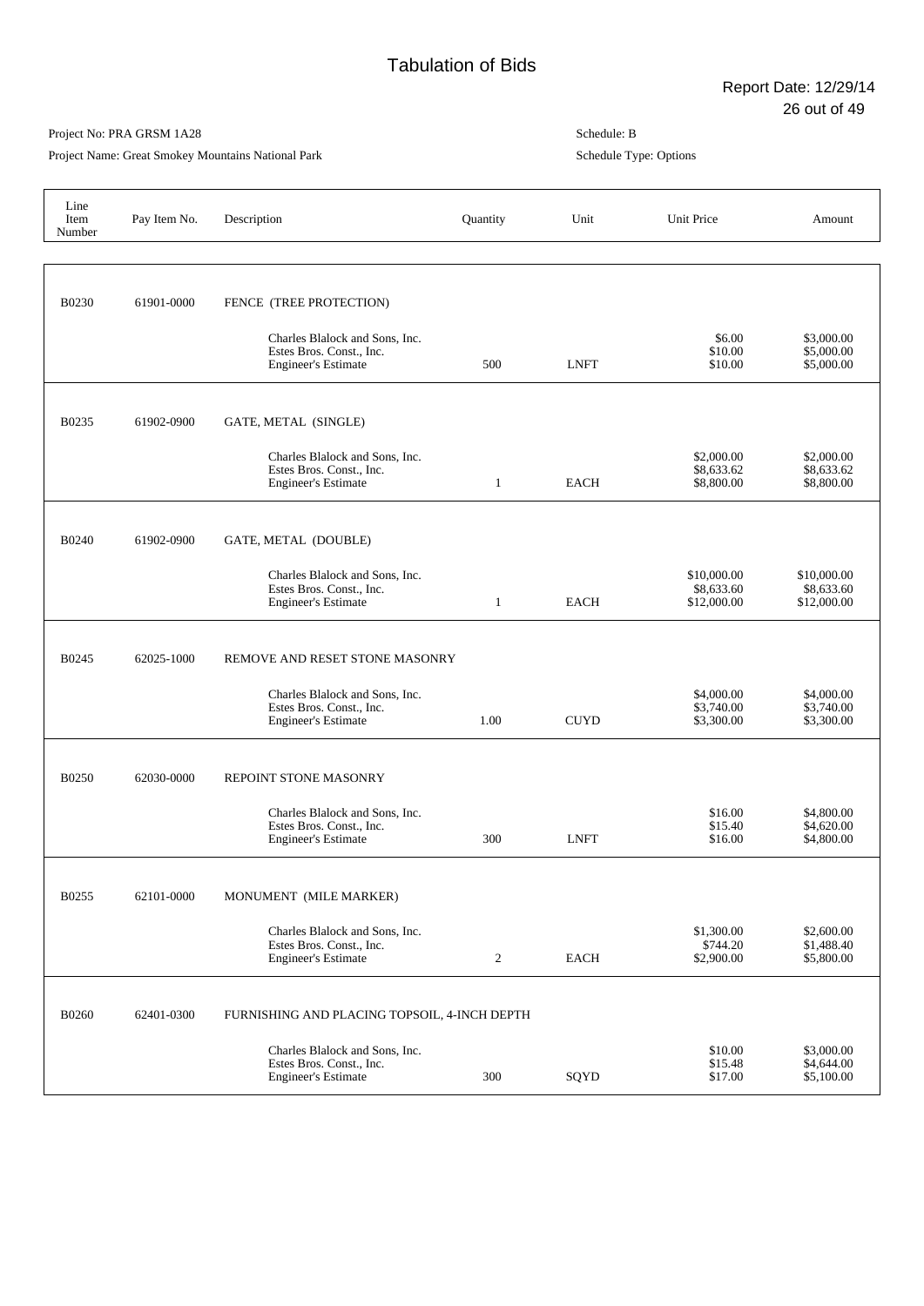Project Name: Great Smokey Mountains National Park

| Line<br>Item<br>Number | Pay Item No. | Description                                                                              | Quantity       | Unit        | Unit Price                               | Amount                                   |
|------------------------|--------------|------------------------------------------------------------------------------------------|----------------|-------------|------------------------------------------|------------------------------------------|
|                        |              |                                                                                          |                |             |                                          |                                          |
| <b>B0230</b>           | 61901-0000   | FENCE (TREE PROTECTION)                                                                  |                |             |                                          |                                          |
|                        |              | Charles Blalock and Sons, Inc.<br>Estes Bros. Const., Inc.<br><b>Engineer's Estimate</b> | 500            | <b>LNFT</b> | \$6.00<br>\$10.00<br>\$10.00             | \$3,000.00<br>\$5,000.00<br>\$5,000.00   |
| B0235                  | 61902-0900   | GATE, METAL (SINGLE)                                                                     |                |             |                                          |                                          |
|                        |              | Charles Blalock and Sons, Inc.<br>Estes Bros. Const., Inc.<br><b>Engineer's Estimate</b> | 1              | <b>EACH</b> | \$2,000.00<br>\$8,633.62<br>\$8,800.00   | \$2,000.00<br>\$8,633.62<br>\$8,800.00   |
| <b>B0240</b>           | 61902-0900   | GATE, METAL (DOUBLE)                                                                     |                |             |                                          |                                          |
|                        |              | Charles Blalock and Sons, Inc.<br>Estes Bros. Const., Inc.<br><b>Engineer's Estimate</b> | $\mathbf{1}$   | <b>EACH</b> | \$10,000.00<br>\$8,633.60<br>\$12,000.00 | \$10,000.00<br>\$8,633.60<br>\$12,000.00 |
| B0245                  | 62025-1000   | REMOVE AND RESET STONE MASONRY                                                           |                |             |                                          |                                          |
|                        |              | Charles Blalock and Sons, Inc.<br>Estes Bros. Const., Inc.<br><b>Engineer's Estimate</b> | 1.00           | <b>CUYD</b> | \$4,000.00<br>\$3,740.00<br>\$3,300.00   | \$4,000.00<br>\$3,740.00<br>\$3,300.00   |
| <b>B0250</b>           | 62030-0000   | REPOINT STONE MASONRY                                                                    |                |             |                                          |                                          |
|                        |              | Charles Blalock and Sons, Inc.<br>Estes Bros. Const., Inc.<br><b>Engineer's Estimate</b> | 300            | <b>LNFT</b> | \$16.00<br>\$15.40<br>\$16.00            | \$4,800.00<br>\$4,620.00<br>\$4,800.00   |
| B0255                  | 62101-0000   | MONUMENT (MILE MARKER)                                                                   |                |             |                                          |                                          |
|                        |              | Charles Blalock and Sons, Inc.<br>Estes Bros. Const., Inc.<br><b>Engineer's Estimate</b> | $\overline{2}$ | <b>EACH</b> | \$1,300.00<br>\$744.20<br>\$2,900.00     | \$2,600.00<br>\$1,488.40<br>\$5,800.00   |
| <b>B0260</b>           | 62401-0300   | FURNISHING AND PLACING TOPSOIL, 4-INCH DEPTH                                             |                |             |                                          |                                          |
|                        |              | Charles Blalock and Sons, Inc.<br>Estes Bros. Const., Inc.<br><b>Engineer's Estimate</b> | 300            | SQYD        | \$10.00<br>\$15.48<br>\$17.00            | \$3,000.00<br>\$4,644.00<br>\$5,100.00   |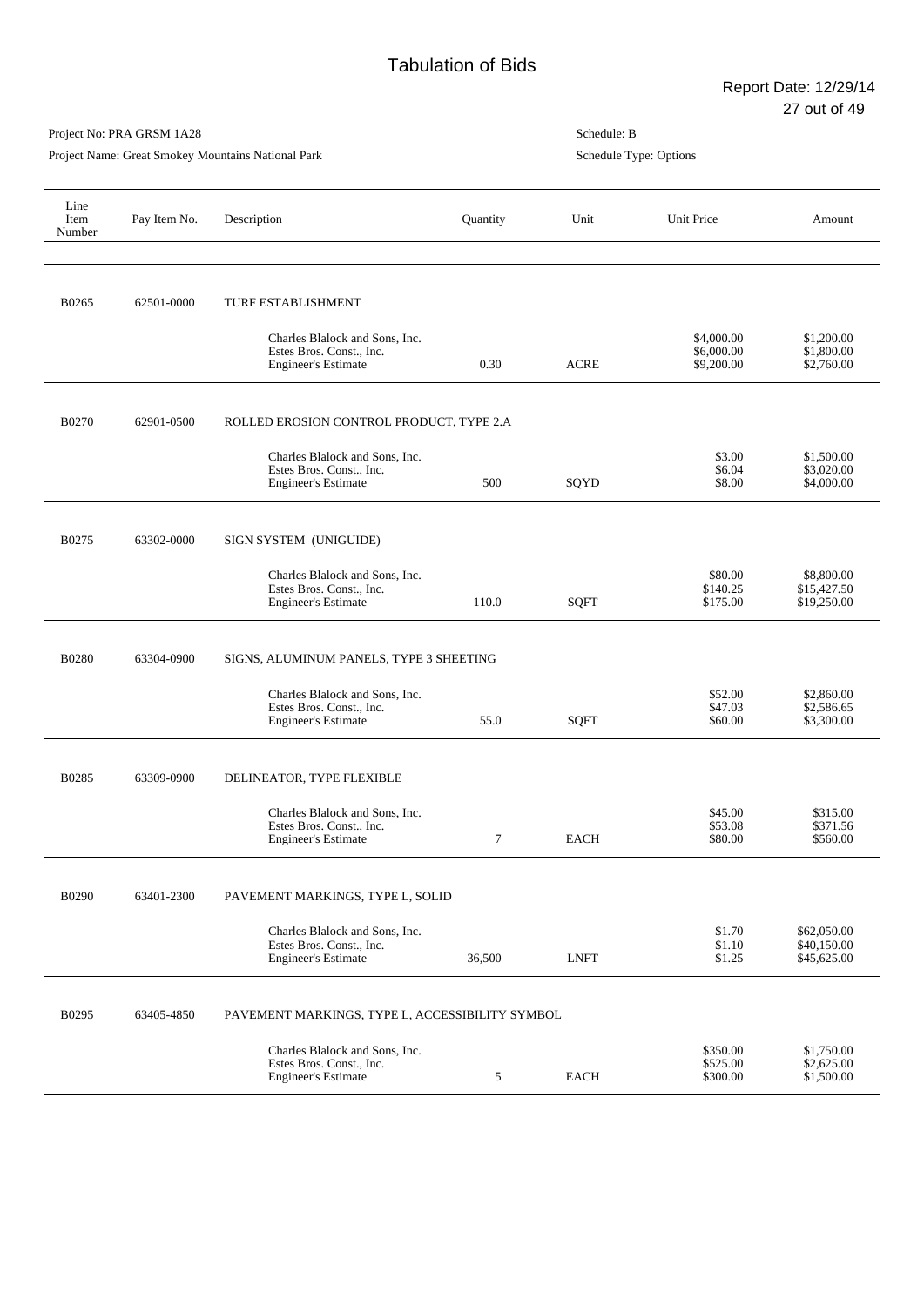Project Name: Great Smokey Mountains National Park

| Line<br>Item<br>Number | Pay Item No. | Description                                                                              | Quantity | Unit        | Unit Price                             | Amount                                    |
|------------------------|--------------|------------------------------------------------------------------------------------------|----------|-------------|----------------------------------------|-------------------------------------------|
|                        |              |                                                                                          |          |             |                                        |                                           |
| B0265                  | 62501-0000   | TURF ESTABLISHMENT                                                                       |          |             |                                        |                                           |
|                        |              | Charles Blalock and Sons, Inc.<br>Estes Bros. Const., Inc.<br><b>Engineer's Estimate</b> | 0.30     | <b>ACRE</b> | \$4,000.00<br>\$6,000.00<br>\$9,200.00 | \$1,200.00<br>\$1,800.00<br>\$2,760.00    |
| <b>B0270</b>           | 62901-0500   | ROLLED EROSION CONTROL PRODUCT, TYPE 2.A                                                 |          |             |                                        |                                           |
|                        |              | Charles Blalock and Sons, Inc.<br>Estes Bros. Const., Inc.<br><b>Engineer's Estimate</b> | 500      | SQYD        | \$3.00<br>\$6.04<br>\$8.00             | \$1,500.00<br>\$3,020.00<br>\$4,000.00    |
| B0275                  | 63302-0000   | SIGN SYSTEM (UNIGUIDE)                                                                   |          |             |                                        |                                           |
|                        |              | Charles Blalock and Sons, Inc.<br>Estes Bros. Const., Inc.<br><b>Engineer's Estimate</b> | 110.0    | <b>SQFT</b> | \$80.00<br>\$140.25<br>\$175.00        | \$8,800.00<br>\$15,427.50<br>\$19,250.00  |
| <b>B0280</b>           | 63304-0900   | SIGNS, ALUMINUM PANELS, TYPE 3 SHEETING                                                  |          |             |                                        |                                           |
|                        |              | Charles Blalock and Sons, Inc.<br>Estes Bros. Const., Inc.<br><b>Engineer's Estimate</b> | 55.0     | <b>SQFT</b> | \$52.00<br>\$47.03<br>\$60.00          | \$2,860.00<br>\$2,586.65<br>\$3,300.00    |
| B0285                  | 63309-0900   | DELINEATOR, TYPE FLEXIBLE                                                                |          |             |                                        |                                           |
|                        |              | Charles Blalock and Sons, Inc.<br>Estes Bros. Const., Inc.<br><b>Engineer's Estimate</b> | $\tau$   | EACH        | \$45.00<br>\$53.08<br>\$80.00          | \$315.00<br>\$371.56<br>\$560.00          |
| B0290                  | 63401-2300   | PAVEMENT MARKINGS, TYPE L, SOLID                                                         |          |             |                                        |                                           |
|                        |              | Charles Blalock and Sons, Inc.<br>Estes Bros. Const., Inc.<br><b>Engineer's Estimate</b> | 36,500   | <b>LNFT</b> | \$1.70<br>\$1.10<br>\$1.25             | \$62,050.00<br>\$40,150.00<br>\$45,625.00 |
| B0295                  | 63405-4850   | PAVEMENT MARKINGS, TYPE L, ACCESSIBILITY SYMBOL                                          |          |             |                                        |                                           |
|                        |              | Charles Blalock and Sons, Inc.<br>Estes Bros. Const., Inc.<br><b>Engineer's Estimate</b> | 5        | <b>EACH</b> | \$350.00<br>\$525.00<br>\$300.00       | \$1,750.00<br>\$2,625.00<br>\$1,500.00    |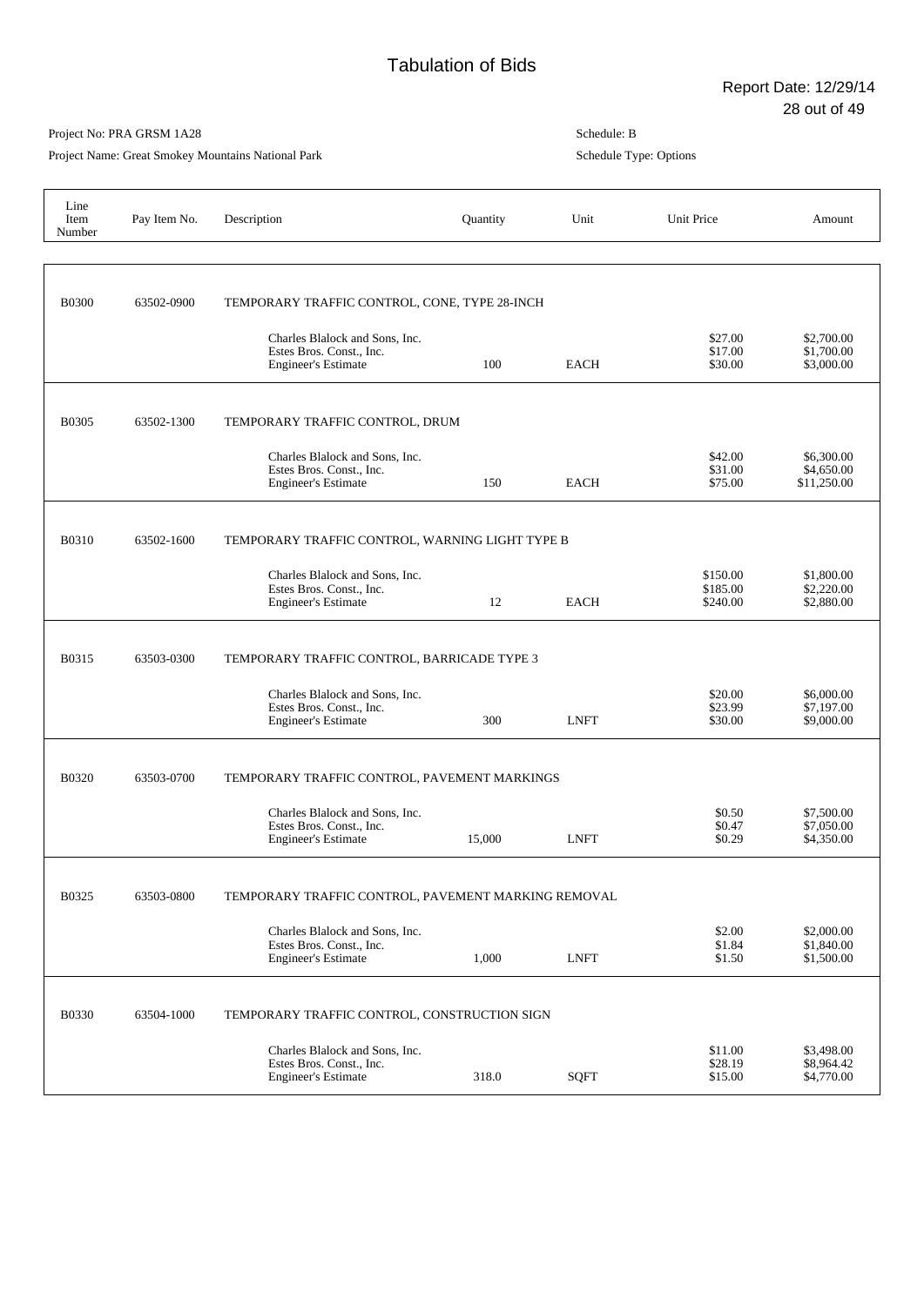Project Name: Great Smokey Mountains National Park

| Line<br>Item<br>Number | Pay Item No. | Description                                                                              | Quantity | Unit        | Unit Price                       | Amount                                  |
|------------------------|--------------|------------------------------------------------------------------------------------------|----------|-------------|----------------------------------|-----------------------------------------|
|                        |              |                                                                                          |          |             |                                  |                                         |
| <b>B0300</b>           | 63502-0900   | TEMPORARY TRAFFIC CONTROL, CONE, TYPE 28-INCH                                            |          |             |                                  |                                         |
|                        |              | Charles Blalock and Sons, Inc.<br>Estes Bros. Const., Inc.<br><b>Engineer's Estimate</b> | 100      | EACH        | \$27.00<br>\$17.00<br>\$30.00    | \$2,700.00<br>\$1,700.00<br>\$3,000.00  |
| <b>B0305</b>           | 63502-1300   | TEMPORARY TRAFFIC CONTROL, DRUM                                                          |          |             |                                  |                                         |
|                        |              | Charles Blalock and Sons, Inc.<br>Estes Bros. Const., Inc.<br><b>Engineer's Estimate</b> | 150      | <b>EACH</b> | \$42.00<br>\$31.00<br>\$75.00    | \$6,300.00<br>\$4,650.00<br>\$11,250.00 |
| <b>B0310</b>           | 63502-1600   | TEMPORARY TRAFFIC CONTROL, WARNING LIGHT TYPE B                                          |          |             |                                  |                                         |
|                        |              | Charles Blalock and Sons, Inc.<br>Estes Bros. Const., Inc.<br><b>Engineer's Estimate</b> | 12       | <b>EACH</b> | \$150.00<br>\$185.00<br>\$240.00 | \$1,800.00<br>\$2,220.00<br>\$2,880.00  |
| B0315                  | 63503-0300   | TEMPORARY TRAFFIC CONTROL, BARRICADE TYPE 3                                              |          |             |                                  |                                         |
|                        |              | Charles Blalock and Sons, Inc.<br>Estes Bros. Const., Inc.<br><b>Engineer's Estimate</b> | 300      | <b>LNFT</b> | \$20.00<br>\$23.99<br>\$30.00    | \$6,000.00<br>\$7,197.00<br>\$9,000.00  |
| B0320                  | 63503-0700   | TEMPORARY TRAFFIC CONTROL, PAVEMENT MARKINGS                                             |          |             |                                  |                                         |
|                        |              | Charles Blalock and Sons, Inc.<br>Estes Bros. Const., Inc.<br><b>Engineer's Estimate</b> | 15,000   | <b>LNFT</b> | \$0.50<br>\$0.47<br>\$0.29       | \$7,500.00<br>\$7,050.00<br>\$4,350.00  |
| B0325                  | 63503-0800   | TEMPORARY TRAFFIC CONTROL, PAVEMENT MARKING REMOVAL                                      |          |             |                                  |                                         |
|                        |              | Charles Blalock and Sons, Inc.<br>Estes Bros. Const., Inc.<br><b>Engineer's Estimate</b> | 1,000    | <b>LNFT</b> | \$2.00<br>\$1.84<br>\$1.50       | \$2,000.00<br>\$1,840.00<br>\$1,500.00  |
| <b>B0330</b>           | 63504-1000   | TEMPORARY TRAFFIC CONTROL, CONSTRUCTION SIGN                                             |          |             |                                  |                                         |
|                        |              | Charles Blalock and Sons, Inc.<br>Estes Bros. Const., Inc.<br><b>Engineer's Estimate</b> | 318.0    | <b>SQFT</b> | \$11.00<br>\$28.19<br>\$15.00    | \$3,498.00<br>\$8,964.42<br>\$4,770.00  |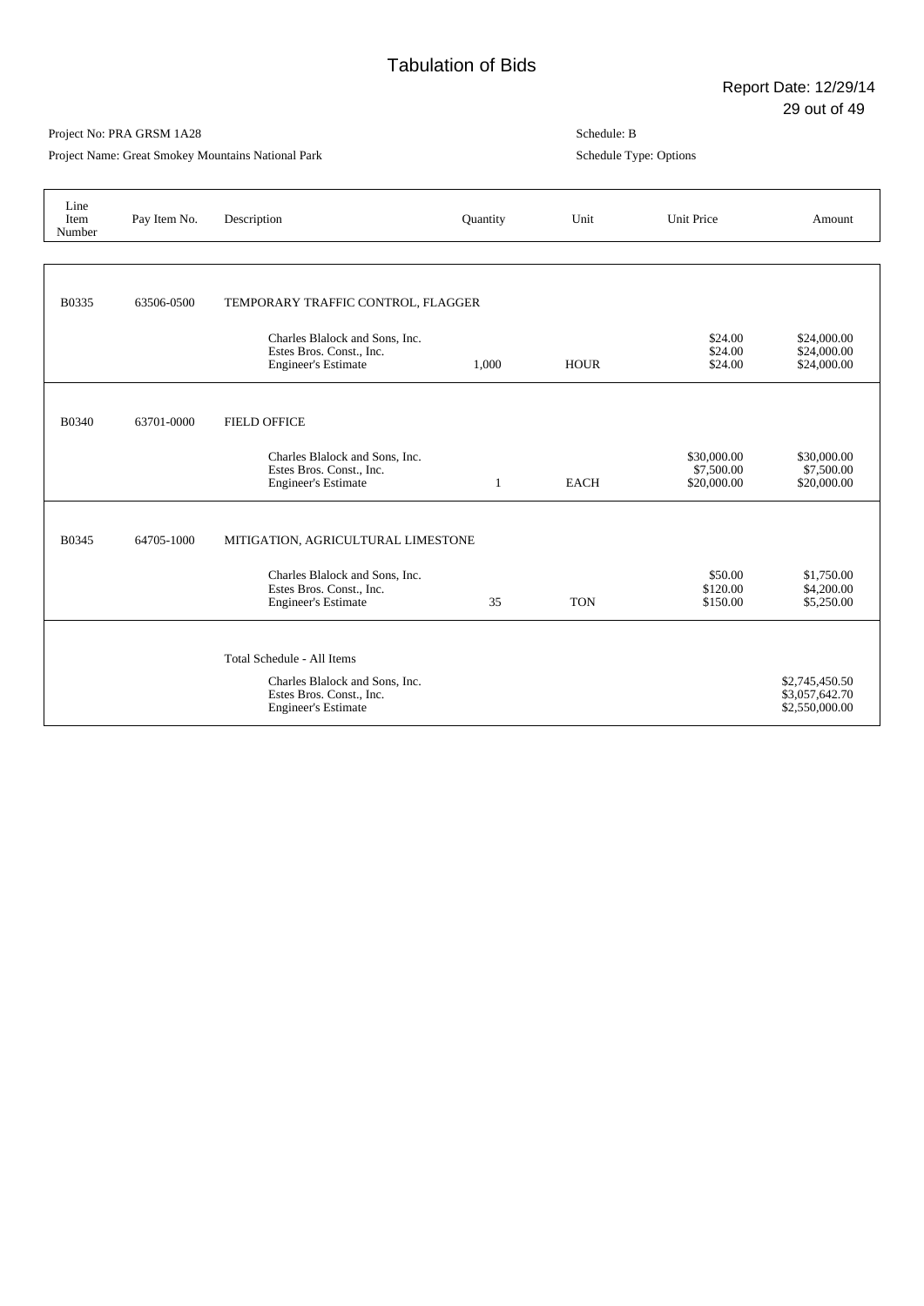Project Name: Great Smokey Mountains National Park

| Line<br>Item<br>Number | Pay Item No. | Description                                                                              | Quantity | Unit        | <b>Unit Price</b>                        | Amount                                             |
|------------------------|--------------|------------------------------------------------------------------------------------------|----------|-------------|------------------------------------------|----------------------------------------------------|
|                        |              |                                                                                          |          |             |                                          |                                                    |
| B0335                  | 63506-0500   | TEMPORARY TRAFFIC CONTROL, FLAGGER                                                       |          |             |                                          |                                                    |
|                        |              | Charles Blalock and Sons, Inc.<br>Estes Bros. Const., Inc.<br><b>Engineer's Estimate</b> | 1,000    | <b>HOUR</b> | \$24.00<br>\$24.00<br>\$24.00            | \$24,000.00<br>\$24,000.00<br>\$24,000.00          |
| B0340                  | 63701-0000   | <b>FIELD OFFICE</b>                                                                      |          |             |                                          |                                                    |
|                        |              | Charles Blalock and Sons, Inc.<br>Estes Bros. Const., Inc.<br><b>Engineer's Estimate</b> | 1        | <b>EACH</b> | \$30,000.00<br>\$7,500.00<br>\$20,000.00 | \$30,000.00<br>\$7,500.00<br>\$20,000.00           |
| B0345                  | 64705-1000   | MITIGATION, AGRICULTURAL LIMESTONE                                                       |          |             |                                          |                                                    |
|                        |              | Charles Blalock and Sons, Inc.<br>Estes Bros. Const., Inc.<br><b>Engineer's Estimate</b> | 35       | <b>TON</b>  | \$50.00<br>\$120.00<br>\$150.00          | \$1,750.00<br>\$4,200.00<br>\$5,250.00             |
|                        |              | Total Schedule - All Items                                                               |          |             |                                          |                                                    |
|                        |              | Charles Blalock and Sons, Inc.<br>Estes Bros. Const., Inc.<br><b>Engineer's Estimate</b> |          |             |                                          | \$2,745,450.50<br>\$3,057,642.70<br>\$2,550,000.00 |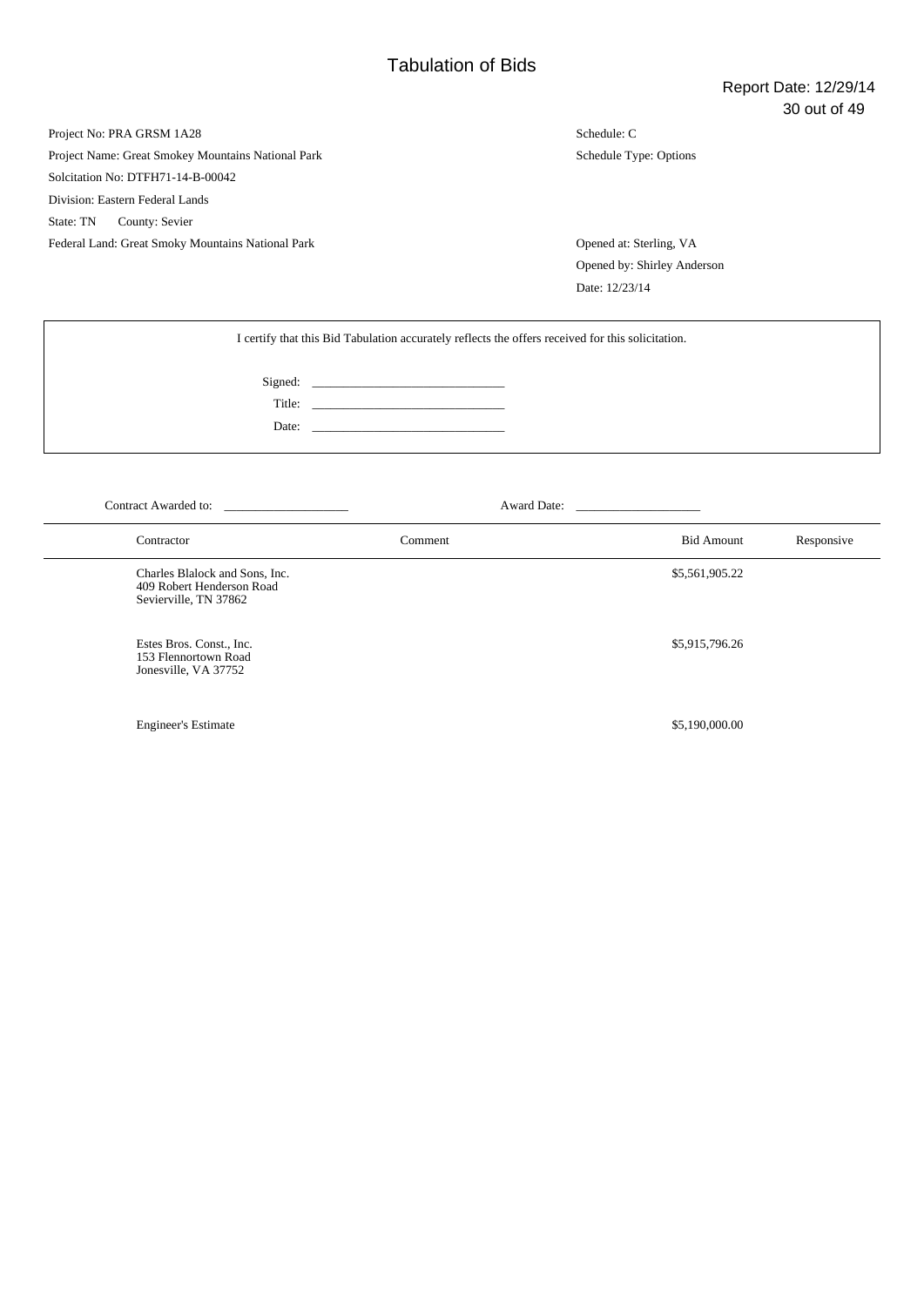# Project No: PRA GRSM 1A28 Project Name: Great Smokey Mountains National Park Solcitation No: DTFH71-14-B-00042 Division: Eastern Federal Lands

State: TN County: Sevier

Federal Land: Great Smoky Mountains National Park **Opened at: Sterling, VA** Opened at: Sterling, VA

Schedule: C Schedule Type: Options

Opened by: Shirley Anderson Date: 12/23/14

|       | I certify that this Bid Tabulation accurately reflects the offers received for this solicitation.                     |
|-------|-----------------------------------------------------------------------------------------------------------------------|
| Date: | <u> 1980 - John Harry Harry Harry Harry Harry Harry Harry Harry Harry Harry Harry Harry Harry Harry Harry Harry H</u> |

Contract Awarded to: \_\_\_\_\_\_\_\_\_\_\_\_\_\_\_\_\_\_\_\_ Award Date: \_\_\_\_\_\_\_\_\_\_\_\_\_\_\_\_\_\_\_\_

| Contractor                                                                           | Comment | <b>Bid Amount</b> | Responsive |
|--------------------------------------------------------------------------------------|---------|-------------------|------------|
| Charles Blalock and Sons, Inc.<br>409 Robert Henderson Road<br>Sevierville, TN 37862 |         | \$5,561,905.22    |            |
| Estes Bros. Const., Inc.<br>153 Flennortown Road<br>Jonesville, VA 37752             |         | \$5,915,796.26    |            |
| <b>Engineer's Estimate</b>                                                           |         | \$5,190,000.00    |            |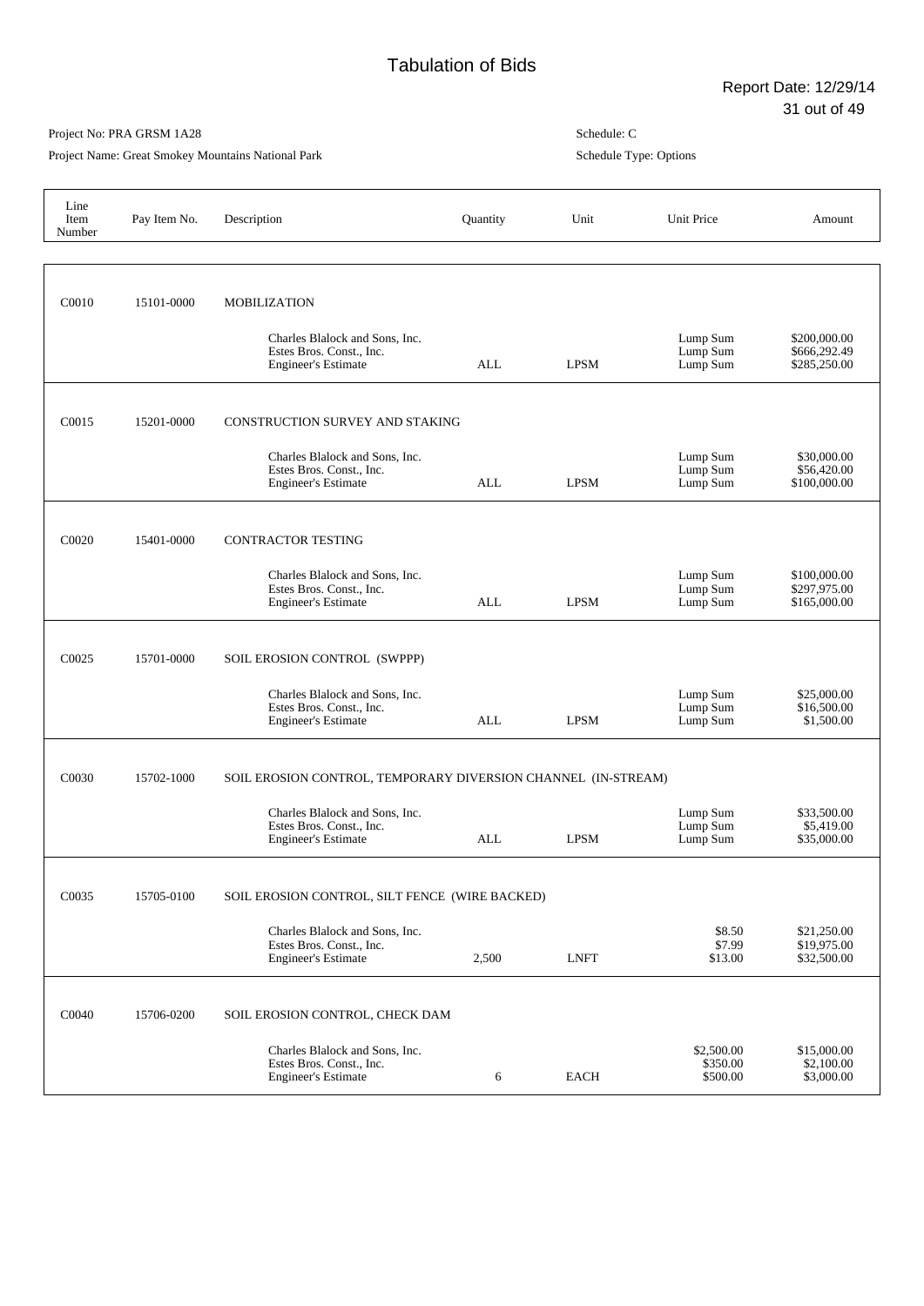### Project No: PRA GRSM 1A28

Project Name: Great Smokey Mountains National Park

| Line<br>Item<br>Number | Pay Item No. | Description                                                                              | Quantity   | Unit        | Unit Price                         | Amount                                       |
|------------------------|--------------|------------------------------------------------------------------------------------------|------------|-------------|------------------------------------|----------------------------------------------|
| C0010                  | 15101-0000   | <b>MOBILIZATION</b>                                                                      |            |             |                                    |                                              |
|                        |              | Charles Blalock and Sons, Inc.<br>Estes Bros. Const., Inc.<br><b>Engineer's Estimate</b> | ALL        | <b>LPSM</b> | Lump Sum<br>Lump Sum<br>Lump Sum   | \$200,000.00<br>\$666,292.49<br>\$285,250.00 |
| C0015                  | 15201-0000   | CONSTRUCTION SURVEY AND STAKING                                                          |            |             |                                    |                                              |
|                        |              | Charles Blalock and Sons, Inc.<br>Estes Bros. Const., Inc.<br><b>Engineer's Estimate</b> | <b>ALL</b> | <b>LPSM</b> | Lump Sum<br>Lump Sum<br>Lump Sum   | \$30,000.00<br>\$56,420.00<br>\$100,000.00   |
| C0020                  | 15401-0000   | <b>CONTRACTOR TESTING</b>                                                                |            |             |                                    |                                              |
|                        |              | Charles Blalock and Sons, Inc.<br>Estes Bros. Const., Inc.<br><b>Engineer's Estimate</b> | <b>ALL</b> | <b>LPSM</b> | Lump Sum<br>Lump Sum<br>Lump Sum   | \$100,000.00<br>\$297,975.00<br>\$165,000.00 |
| C0025                  | 15701-0000   | SOIL EROSION CONTROL (SWPPP)                                                             |            |             |                                    |                                              |
|                        |              | Charles Blalock and Sons, Inc.<br>Estes Bros. Const., Inc.<br><b>Engineer's Estimate</b> | <b>ALL</b> | <b>LPSM</b> | Lump Sum<br>Lump Sum<br>Lump Sum   | \$25,000.00<br>\$16,500.00<br>\$1,500.00     |
| C0030                  | 15702-1000   | SOIL EROSION CONTROL, TEMPORARY DIVERSION CHANNEL (IN-STREAM)                            |            |             |                                    |                                              |
|                        |              | Charles Blalock and Sons, Inc.<br>Estes Bros. Const., Inc.<br><b>Engineer's Estimate</b> | <b>ALL</b> | <b>LPSM</b> | Lump Sum<br>Lump Sum<br>Lump Sum   | \$33,500.00<br>\$5,419.00<br>\$35,000.00     |
| C0035                  | 15705-0100   | SOIL EROSION CONTROL, SILT FENCE (WIRE BACKED)                                           |            |             |                                    |                                              |
|                        |              | Charles Blalock and Sons, Inc.<br>Estes Bros. Const., Inc.<br><b>Engineer's Estimate</b> | 2,500      | <b>LNFT</b> | \$8.50<br>\$7.99<br>\$13.00        | \$21,250.00<br>\$19,975.00<br>\$32,500.00    |
| C0040                  | 15706-0200   | SOIL EROSION CONTROL, CHECK DAM                                                          |            |             |                                    |                                              |
|                        |              | Charles Blalock and Sons, Inc.<br>Estes Bros. Const., Inc.<br><b>Engineer's Estimate</b> | 6          | <b>EACH</b> | \$2,500.00<br>\$350.00<br>\$500.00 | \$15,000.00<br>\$2,100.00<br>\$3,000.00      |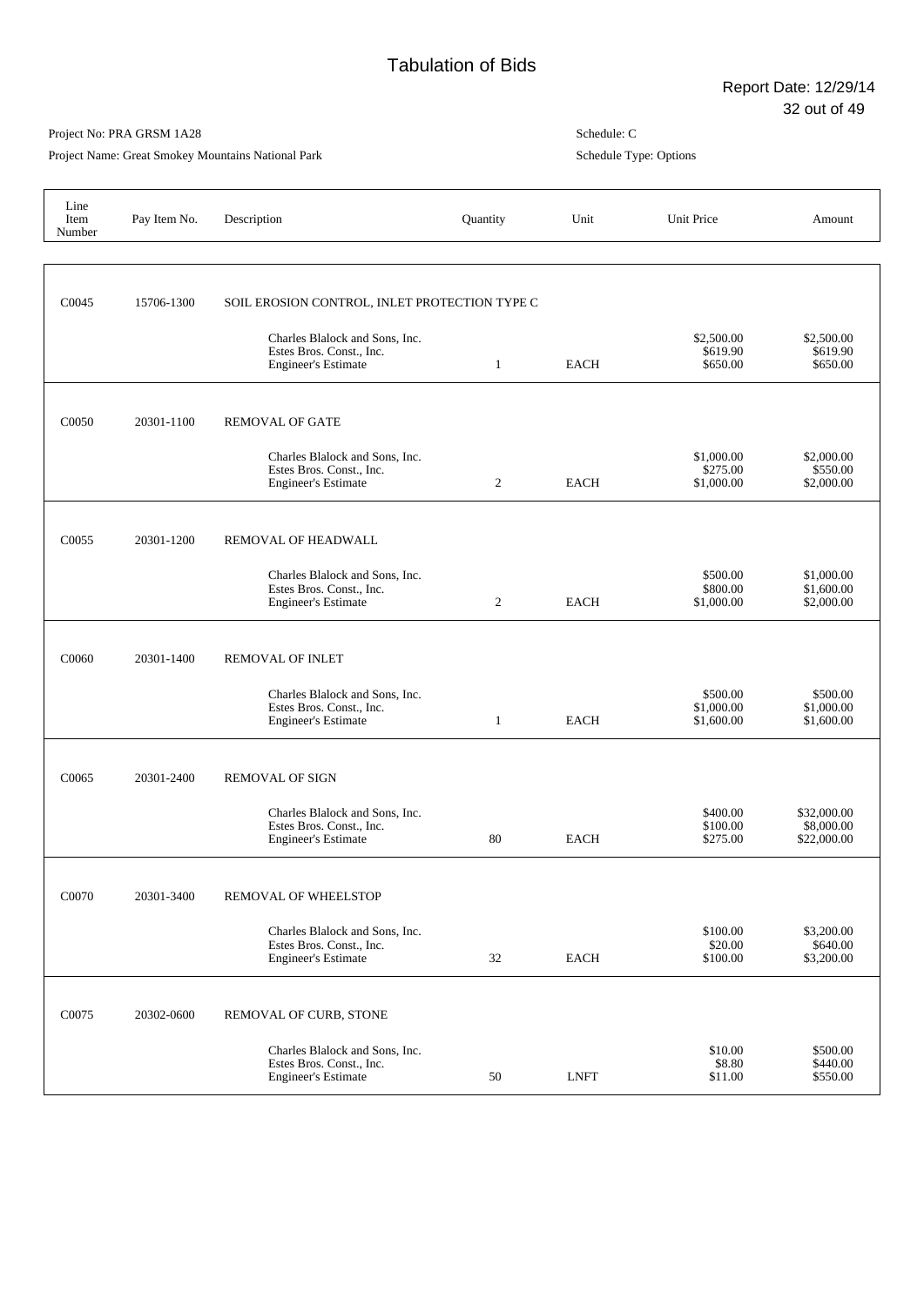### Project No: PRA GRSM 1A28

Project Name: Great Smokey Mountains National Park

| Line<br>Item<br>Number | Pay Item No. | Description                                                                              | Quantity     | Unit        | Unit Price                           | Amount                                   |
|------------------------|--------------|------------------------------------------------------------------------------------------|--------------|-------------|--------------------------------------|------------------------------------------|
|                        |              |                                                                                          |              |             |                                      |                                          |
| C0045                  | 15706-1300   | SOIL EROSION CONTROL, INLET PROTECTION TYPE C                                            |              |             |                                      |                                          |
|                        |              | Charles Blalock and Sons, Inc.<br>Estes Bros. Const., Inc.<br><b>Engineer's Estimate</b> | $\mathbf{1}$ | <b>EACH</b> | \$2,500.00<br>\$619.90<br>\$650.00   | \$2,500.00<br>\$619.90<br>\$650.00       |
| C0050                  | 20301-1100   | <b>REMOVAL OF GATE</b>                                                                   |              |             |                                      |                                          |
|                        |              | Charles Blalock and Sons, Inc.<br>Estes Bros. Const., Inc.<br><b>Engineer's Estimate</b> | 2            | <b>EACH</b> | \$1,000.00<br>\$275.00<br>\$1,000.00 | \$2,000.00<br>\$550.00<br>\$2,000.00     |
| C <sub>0055</sub>      | 20301-1200   | REMOVAL OF HEADWALL                                                                      |              |             |                                      |                                          |
|                        |              | Charles Blalock and Sons, Inc.<br>Estes Bros. Const., Inc.<br><b>Engineer's Estimate</b> | 2            | <b>EACH</b> | \$500.00<br>\$800.00<br>\$1,000.00   | \$1,000.00<br>\$1,600.00<br>\$2,000.00   |
| C0060                  | 20301-1400   | <b>REMOVAL OF INLET</b>                                                                  |              |             |                                      |                                          |
|                        |              | Charles Blalock and Sons, Inc.<br>Estes Bros. Const., Inc.<br><b>Engineer's Estimate</b> | $\mathbf{1}$ | <b>EACH</b> | \$500.00<br>\$1,000.00<br>\$1,600.00 | \$500.00<br>\$1,000.00<br>\$1,600.00     |
| C0065                  | 20301-2400   | <b>REMOVAL OF SIGN</b>                                                                   |              |             |                                      |                                          |
|                        |              | Charles Blalock and Sons, Inc.<br>Estes Bros. Const., Inc.<br><b>Engineer's Estimate</b> | 80           | <b>EACH</b> | \$400.00<br>\$100.00<br>\$275.00     | \$32,000.00<br>\$8,000.00<br>\$22,000.00 |
| C0070                  | 20301-3400   | REMOVAL OF WHEELSTOP                                                                     |              |             |                                      |                                          |
|                        |              | Charles Blalock and Sons, Inc.<br>Estes Bros. Const., Inc.<br><b>Engineer's Estimate</b> | 32           | <b>EACH</b> | \$100.00<br>\$20.00<br>\$100.00      | \$3,200.00<br>\$640.00<br>\$3,200.00     |
| C0075                  | 20302-0600   | REMOVAL OF CURB, STONE                                                                   |              |             |                                      |                                          |
|                        |              | Charles Blalock and Sons, Inc.<br>Estes Bros. Const., Inc.<br><b>Engineer's Estimate</b> | 50           | <b>LNFT</b> | \$10.00<br>\$8.80<br>\$11.00         | \$500.00<br>\$440.00<br>\$550.00         |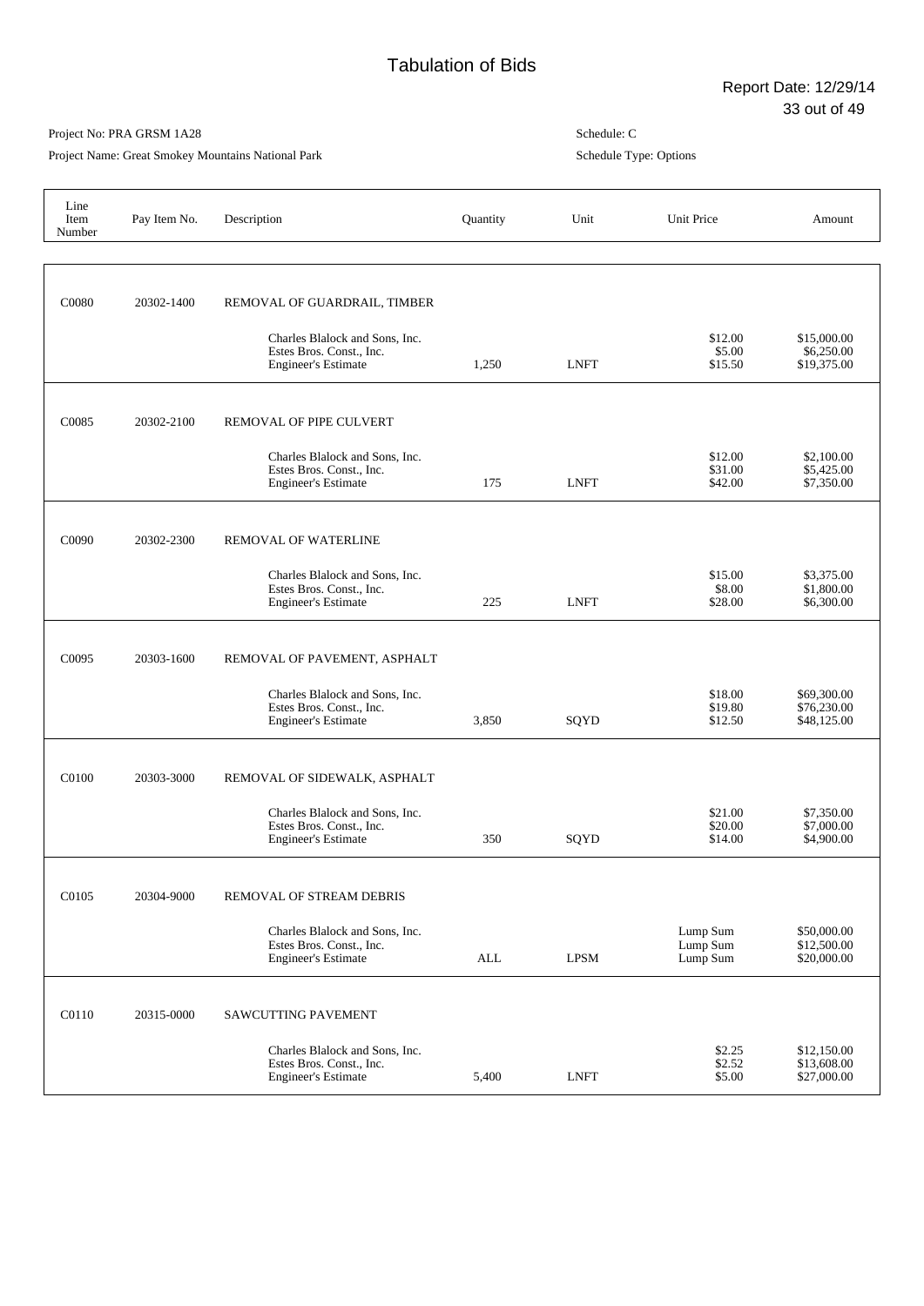#### Project No: PRA GRSM 1A28

Project Name: Great Smokey Mountains National Park

| Line<br>Item<br>Number | Pay Item No. | Description                                                                              | Quantity   | Unit        | Unit Price                       | Amount                                    |
|------------------------|--------------|------------------------------------------------------------------------------------------|------------|-------------|----------------------------------|-------------------------------------------|
|                        |              |                                                                                          |            |             |                                  |                                           |
| C0080                  | 20302-1400   | REMOVAL OF GUARDRAIL, TIMBER<br>Charles Blalock and Sons, Inc.                           |            |             | \$12.00                          | \$15,000.00                               |
|                        |              | Estes Bros. Const., Inc.<br><b>Engineer's Estimate</b>                                   | 1,250      | <b>LNFT</b> | \$5.00<br>\$15.50                | \$6,250.00<br>\$19,375.00                 |
| C0085                  | 20302-2100   | REMOVAL OF PIPE CULVERT                                                                  |            |             |                                  |                                           |
|                        |              | Charles Blalock and Sons, Inc.<br>Estes Bros. Const., Inc.<br><b>Engineer's Estimate</b> | 175        | <b>LNFT</b> | \$12.00<br>\$31.00<br>\$42.00    | \$2,100.00<br>\$5,425.00<br>\$7,350.00    |
| C0090                  | 20302-2300   | <b>REMOVAL OF WATERLINE</b>                                                              |            |             |                                  |                                           |
|                        |              | Charles Blalock and Sons, Inc.<br>Estes Bros. Const., Inc.<br><b>Engineer's Estimate</b> | 225        | <b>LNFT</b> | \$15.00<br>\$8.00<br>\$28.00     | \$3,375.00<br>\$1,800.00<br>\$6,300.00    |
| C <sub>0095</sub>      | 20303-1600   | REMOVAL OF PAVEMENT, ASPHALT                                                             |            |             |                                  |                                           |
|                        |              | Charles Blalock and Sons, Inc.<br>Estes Bros. Const., Inc.<br><b>Engineer's Estimate</b> | 3,850      | SQYD        | \$18.00<br>\$19.80<br>\$12.50    | \$69,300.00<br>\$76,230.00<br>\$48,125.00 |
| C0100                  | 20303-3000   | REMOVAL OF SIDEWALK, ASPHALT                                                             |            |             |                                  |                                           |
|                        |              | Charles Blalock and Sons, Inc.<br>Estes Bros. Const., Inc.<br><b>Engineer's Estimate</b> | 350        | SQYD        | \$21.00<br>\$20.00<br>\$14.00    | \$7,350.00<br>\$7,000.00<br>\$4,900.00    |
| C0105                  | 20304-9000   | REMOVAL OF STREAM DEBRIS                                                                 |            |             |                                  |                                           |
|                        |              | Charles Blalock and Sons, Inc.<br>Estes Bros. Const., Inc.<br><b>Engineer's Estimate</b> | <b>ALL</b> | <b>LPSM</b> | Lump Sum<br>Lump Sum<br>Lump Sum | \$50,000.00<br>\$12,500.00<br>\$20,000.00 |
| C0110                  | 20315-0000   | SAWCUTTING PAVEMENT                                                                      |            |             |                                  |                                           |
|                        |              | Charles Blalock and Sons, Inc.<br>Estes Bros. Const., Inc.<br><b>Engineer's Estimate</b> | 5,400      | <b>LNFT</b> | \$2.25<br>\$2.52<br>\$5.00       | \$12,150.00<br>\$13,608.00<br>\$27,000.00 |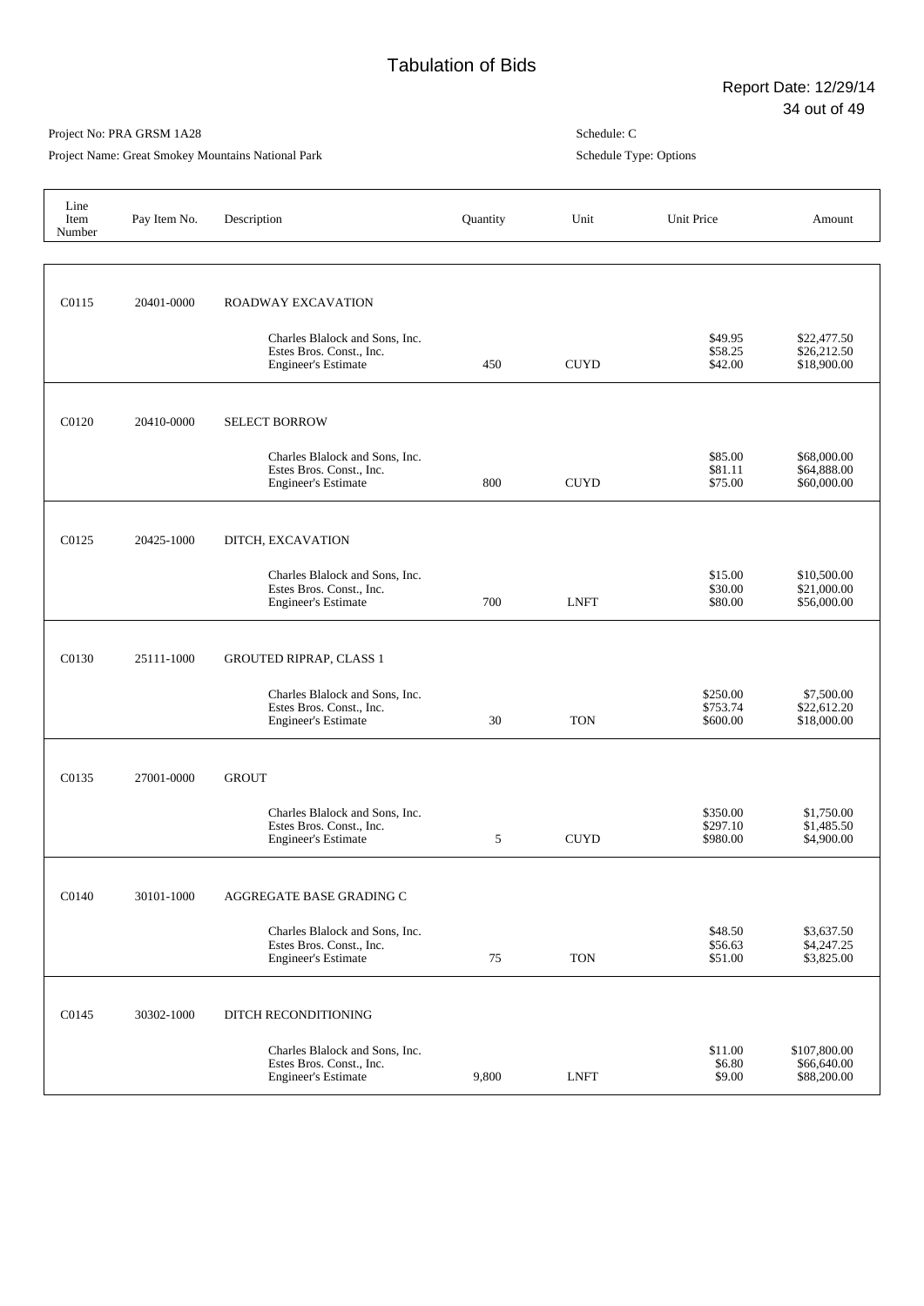Project Name: Great Smokey Mountains National Park

| Line<br>Item<br>Number | Pay Item No. | Description                                                                              | Quantity | Unit        | Unit Price                       | Amount                                     |
|------------------------|--------------|------------------------------------------------------------------------------------------|----------|-------------|----------------------------------|--------------------------------------------|
| C0115                  | 20401-0000   | <b>ROADWAY EXCAVATION</b>                                                                |          |             |                                  |                                            |
|                        |              | Charles Blalock and Sons, Inc.<br>Estes Bros. Const., Inc.<br><b>Engineer's Estimate</b> | 450      | <b>CUYD</b> | \$49.95<br>\$58.25<br>\$42.00    | \$22,477.50<br>\$26,212.50<br>\$18,900.00  |
| C0120                  | 20410-0000   | <b>SELECT BORROW</b>                                                                     |          |             |                                  |                                            |
|                        |              | Charles Blalock and Sons, Inc.<br>Estes Bros. Const., Inc.<br><b>Engineer's Estimate</b> | 800      | <b>CUYD</b> | \$85.00<br>\$81.11<br>\$75.00    | \$68,000.00<br>\$64,888.00<br>\$60,000.00  |
| C0125                  | 20425-1000   | DITCH, EXCAVATION                                                                        |          |             |                                  |                                            |
|                        |              | Charles Blalock and Sons, Inc.<br>Estes Bros. Const., Inc.<br><b>Engineer's Estimate</b> | 700      | <b>LNFT</b> | \$15.00<br>\$30.00<br>\$80.00    | \$10,500.00<br>\$21,000.00<br>\$56,000.00  |
| C0130                  | 25111-1000   | <b>GROUTED RIPRAP, CLASS 1</b>                                                           |          |             |                                  |                                            |
|                        |              | Charles Blalock and Sons, Inc.<br>Estes Bros. Const., Inc.<br><b>Engineer's Estimate</b> | 30       | <b>TON</b>  | \$250.00<br>\$753.74<br>\$600.00 | \$7,500.00<br>\$22,612.20<br>\$18,000.00   |
| C0135                  | 27001-0000   | <b>GROUT</b>                                                                             |          |             |                                  |                                            |
|                        |              | Charles Blalock and Sons, Inc.<br>Estes Bros. Const., Inc.<br><b>Engineer's Estimate</b> | 5        | <b>CUYD</b> | \$350.00<br>\$297.10<br>\$980.00 | \$1,750.00<br>\$1,485.50<br>\$4,900.00     |
| C0140                  | 30101-1000   | AGGREGATE BASE GRADING C                                                                 |          |             |                                  |                                            |
|                        |              | Charles Blalock and Sons, Inc.<br>Estes Bros. Const., Inc.<br><b>Engineer's Estimate</b> | 75       | <b>TON</b>  | \$48.50<br>\$56.63<br>\$51.00    | \$3,637.50<br>\$4,247.25<br>\$3,825.00     |
| C0145                  | 30302-1000   | DITCH RECONDITIONING                                                                     |          |             |                                  |                                            |
|                        |              | Charles Blalock and Sons, Inc.<br>Estes Bros. Const., Inc.<br><b>Engineer's Estimate</b> | 9,800    | <b>LNFT</b> | \$11.00<br>\$6.80<br>\$9.00      | \$107,800.00<br>\$66,640.00<br>\$88,200.00 |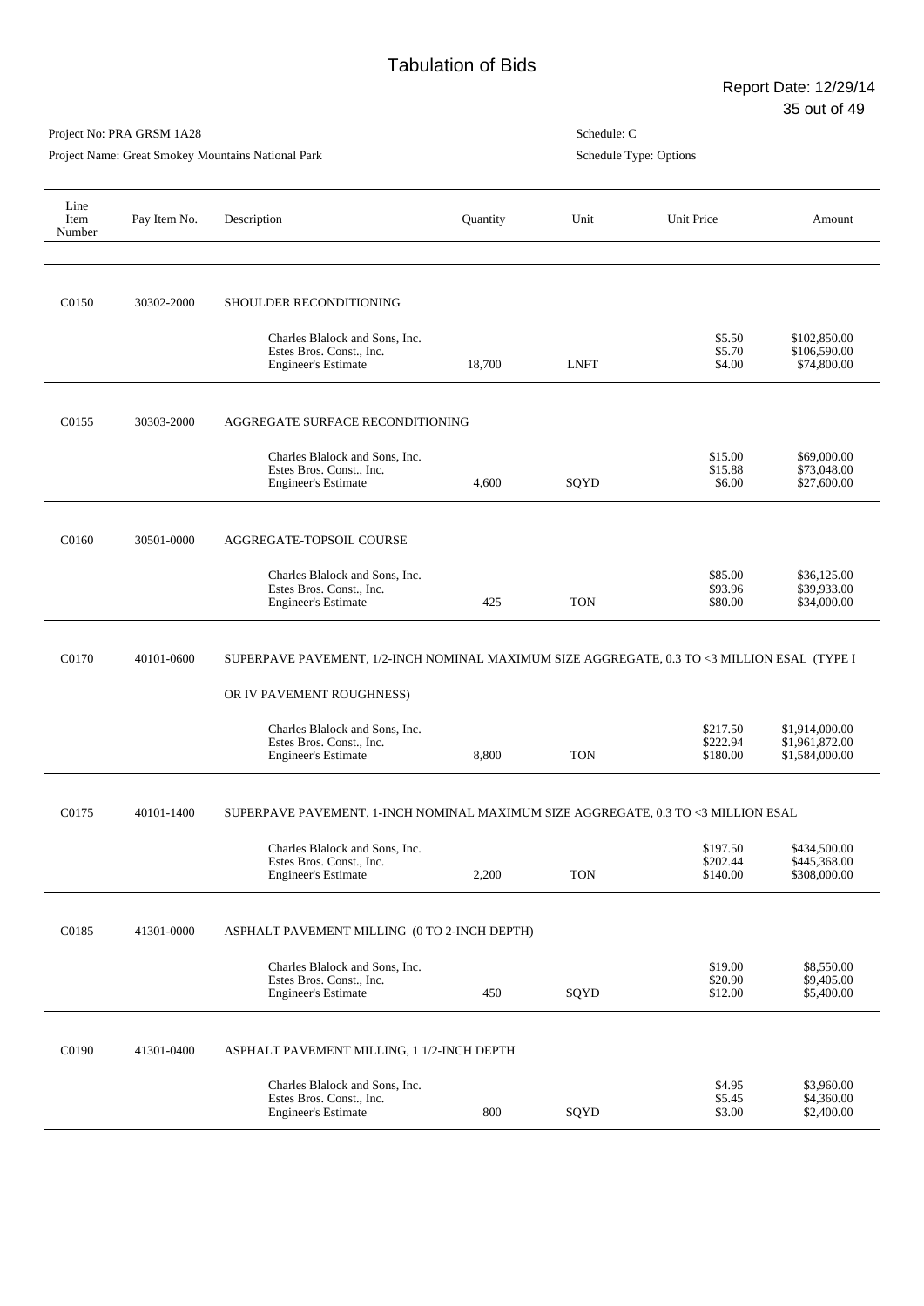### Project No: PRA GRSM 1A28

Project Name: Great Smokey Mountains National Park

| Line<br>Item<br>Number | Pay Item No. | Description                                                                                 | Quantity | Unit        | Unit Price                       | Amount                                             |
|------------------------|--------------|---------------------------------------------------------------------------------------------|----------|-------------|----------------------------------|----------------------------------------------------|
|                        |              |                                                                                             |          |             |                                  |                                                    |
| C <sub>0150</sub>      | 30302-2000   | SHOULDER RECONDITIONING                                                                     |          |             |                                  |                                                    |
|                        |              | Charles Blalock and Sons, Inc.<br>Estes Bros. Const., Inc.<br><b>Engineer's Estimate</b>    | 18,700   | <b>LNFT</b> | \$5.50<br>\$5.70<br>\$4.00       | \$102,850.00<br>\$106,590.00<br>\$74,800.00        |
| C0155                  | 30303-2000   | AGGREGATE SURFACE RECONDITIONING                                                            |          |             |                                  |                                                    |
|                        |              | Charles Blalock and Sons, Inc.<br>Estes Bros. Const., Inc.<br><b>Engineer's Estimate</b>    | 4,600    | SQYD        | \$15.00<br>\$15.88<br>\$6.00     | \$69,000.00<br>\$73,048.00<br>\$27,600.00          |
|                        |              |                                                                                             |          |             |                                  |                                                    |
| C0160                  | 30501-0000   | AGGREGATE-TOPSOIL COURSE                                                                    |          |             |                                  |                                                    |
|                        |              | Charles Blalock and Sons, Inc.<br>Estes Bros. Const., Inc.<br><b>Engineer's Estimate</b>    | 425      | <b>TON</b>  | \$85.00<br>\$93.96<br>\$80.00    | \$36,125.00<br>\$39,933.00<br>\$34,000.00          |
|                        |              |                                                                                             |          |             |                                  |                                                    |
| C0170                  | 40101-0600   | SUPERPAVE PAVEMENT, 1/2-INCH NOMINAL MAXIMUM SIZE AGGREGATE, 0.3 TO <3 MILLION ESAL (TYPE I |          |             |                                  |                                                    |
|                        |              | OR IV PAVEMENT ROUGHNESS)                                                                   |          |             |                                  |                                                    |
|                        |              | Charles Blalock and Sons, Inc.<br>Estes Bros. Const., Inc.<br><b>Engineer's Estimate</b>    | 8,800    | <b>TON</b>  | \$217.50<br>\$222.94<br>\$180.00 | \$1,914,000.00<br>\$1,961,872.00<br>\$1,584,000.00 |
| C0175                  | 40101-1400   | SUPERPAVE PAVEMENT, 1-INCH NOMINAL MAXIMUM SIZE AGGREGATE, 0.3 TO <3 MILLION ESAL           |          |             |                                  |                                                    |
|                        |              | Charles Blalock and Sons, Inc.                                                              |          |             |                                  |                                                    |
|                        |              | Estes Bros. Const., Inc.<br><b>Engineer's Estimate</b>                                      | 2,200    | <b>TON</b>  | \$197.50<br>\$202.44<br>\$140.00 | \$434,500.00<br>\$445,368.00<br>\$308,000.00       |
|                        |              |                                                                                             |          |             |                                  |                                                    |
| C0185                  | 41301-0000   | ASPHALT PAVEMENT MILLING (0 TO 2-INCH DEPTH)                                                |          |             |                                  |                                                    |
|                        |              | Charles Blalock and Sons, Inc.<br>Estes Bros. Const., Inc.<br><b>Engineer's Estimate</b>    | 450      | SQYD        | \$19.00<br>\$20.90<br>\$12.00    | \$8,550.00<br>\$9,405.00<br>\$5,400.00             |
| C0190                  | 41301-0400   | ASPHALT PAVEMENT MILLING, 1 1/2-INCH DEPTH                                                  |          |             |                                  |                                                    |
|                        |              | Charles Blalock and Sons, Inc.<br>Estes Bros. Const., Inc.<br><b>Engineer's Estimate</b>    | 800      | SQYD        | \$4.95<br>\$5.45<br>\$3.00       | \$3,960.00<br>\$4,360.00<br>\$2,400.00             |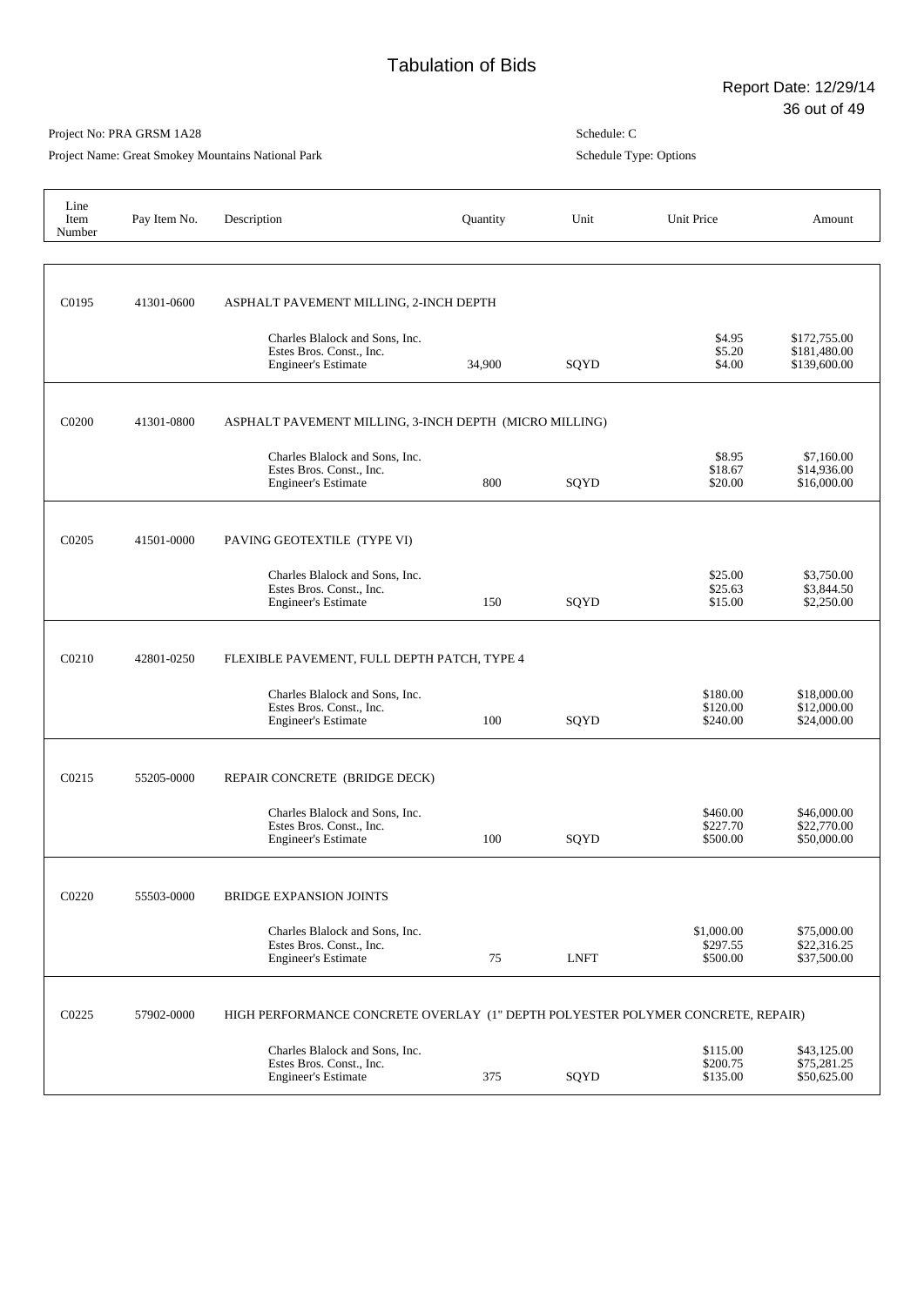### Project No: PRA GRSM 1A28

Project Name: Great Smokey Mountains National Park

| Line<br>Item<br>Number | Pay Item No. | Description                                                                              | Quantity | Unit        | Unit Price                         | Amount                                       |  |
|------------------------|--------------|------------------------------------------------------------------------------------------|----------|-------------|------------------------------------|----------------------------------------------|--|
| C0195                  | 41301-0600   | ASPHALT PAVEMENT MILLING, 2-INCH DEPTH                                                   |          |             |                                    |                                              |  |
|                        |              | Charles Blalock and Sons, Inc.<br>Estes Bros. Const., Inc.<br><b>Engineer's Estimate</b> | 34,900   | SQYD        | \$4.95<br>\$5.20<br>\$4.00         | \$172,755.00<br>\$181,480.00<br>\$139,600.00 |  |
| C0200                  | 41301-0800   | ASPHALT PAVEMENT MILLING, 3-INCH DEPTH (MICRO MILLING)                                   |          |             |                                    |                                              |  |
|                        |              | Charles Blalock and Sons, Inc.<br>Estes Bros. Const., Inc.<br><b>Engineer's Estimate</b> | 800      | SQYD        | \$8.95<br>\$18.67<br>\$20.00       | \$7,160.00<br>\$14,936.00<br>\$16,000.00     |  |
| C0205                  | 41501-0000   | PAVING GEOTEXTILE (TYPE VI)                                                              |          |             |                                    |                                              |  |
|                        |              | Charles Blalock and Sons, Inc.<br>Estes Bros. Const., Inc.<br><b>Engineer's Estimate</b> | 150      | SQYD        | \$25.00<br>\$25.63<br>\$15.00      | \$3,750.00<br>\$3,844.50<br>\$2,250.00       |  |
| C0210                  | 42801-0250   | FLEXIBLE PAVEMENT, FULL DEPTH PATCH, TYPE 4                                              |          |             |                                    |                                              |  |
|                        |              | Charles Blalock and Sons, Inc.<br>Estes Bros. Const., Inc.<br><b>Engineer's Estimate</b> | 100      | SQYD        | \$180.00<br>\$120.00<br>\$240.00   | \$18,000.00<br>\$12,000.00<br>\$24,000.00    |  |
| C0215                  | 55205-0000   | REPAIR CONCRETE (BRIDGE DECK)                                                            |          |             |                                    |                                              |  |
|                        |              | Charles Blalock and Sons, Inc.<br>Estes Bros. Const., Inc.<br><b>Engineer's Estimate</b> | 100      | SQYD        | \$460.00<br>\$227.70<br>\$500.00   | \$46,000.00<br>\$22,770.00<br>\$50,000.00    |  |
| C0220                  | 55503-0000   | <b>BRIDGE EXPANSION JOINTS</b>                                                           |          |             |                                    |                                              |  |
|                        |              | Charles Blalock and Sons, Inc.<br>Estes Bros. Const., Inc.<br><b>Engineer's Estimate</b> | 75       | <b>LNFT</b> | \$1,000.00<br>\$297.55<br>\$500.00 | \$75,000.00<br>\$22,316.25<br>\$37,500.00    |  |
| C0225                  | 57902-0000   | HIGH PERFORMANCE CONCRETE OVERLAY (1" DEPTH POLYESTER POLYMER CONCRETE, REPAIR)          |          |             |                                    |                                              |  |
|                        |              | Charles Blalock and Sons, Inc.<br>Estes Bros. Const., Inc.<br><b>Engineer's Estimate</b> | 375      | SQYD        | \$115.00<br>\$200.75<br>\$135.00   | \$43,125.00<br>\$75,281.25<br>\$50,625.00    |  |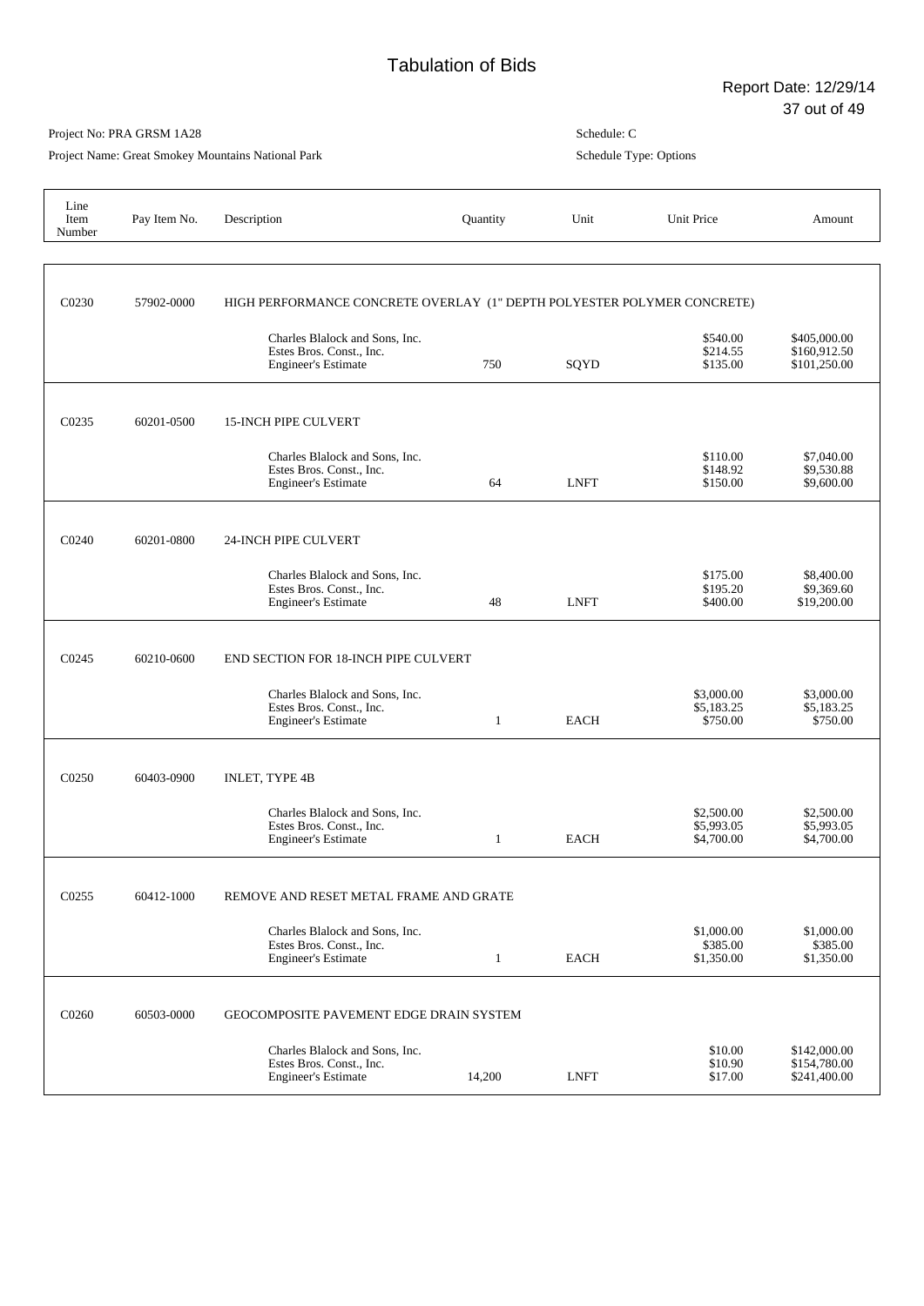Project Name: Great Smokey Mountains National Park

| Line<br>Item<br>Number | Pay Item No. | Description                                                                              | Quantity                                                                | Unit        | Unit Price                             | Amount                                       |  |
|------------------------|--------------|------------------------------------------------------------------------------------------|-------------------------------------------------------------------------|-------------|----------------------------------------|----------------------------------------------|--|
|                        |              |                                                                                          |                                                                         |             |                                        |                                              |  |
| C0230                  | 57902-0000   |                                                                                          | HIGH PERFORMANCE CONCRETE OVERLAY (1" DEPTH POLYESTER POLYMER CONCRETE) |             |                                        |                                              |  |
|                        |              | Charles Blalock and Sons, Inc.<br>Estes Bros. Const., Inc.<br><b>Engineer's Estimate</b> | 750                                                                     | SQYD        | \$540.00<br>\$214.55<br>\$135.00       | \$405,000.00<br>\$160,912.50<br>\$101,250.00 |  |
| C0235                  | 60201-0500   | <b>15-INCH PIPE CULVERT</b>                                                              |                                                                         |             |                                        |                                              |  |
|                        |              | Charles Blalock and Sons, Inc.<br>Estes Bros. Const., Inc.<br><b>Engineer's Estimate</b> | 64                                                                      | <b>LNFT</b> | \$110.00<br>\$148.92<br>\$150.00       | \$7,040.00<br>\$9,530.88<br>\$9,600.00       |  |
| C0240                  | 60201-0800   | 24-INCH PIPE CULVERT                                                                     |                                                                         |             |                                        |                                              |  |
|                        |              | Charles Blalock and Sons, Inc.<br>Estes Bros. Const., Inc.<br><b>Engineer's Estimate</b> | 48                                                                      | <b>LNFT</b> | \$175.00<br>\$195.20<br>\$400.00       | \$8,400.00<br>\$9,369.60<br>\$19,200.00      |  |
| C0245                  | 60210-0600   | END SECTION FOR 18-INCH PIPE CULVERT                                                     |                                                                         |             |                                        |                                              |  |
|                        |              | Charles Blalock and Sons, Inc.<br>Estes Bros. Const., Inc.<br><b>Engineer's Estimate</b> | 1                                                                       | <b>EACH</b> | \$3,000.00<br>\$5,183.25<br>\$750.00   | \$3,000.00<br>\$5,183.25<br>\$750.00         |  |
| C0250                  | 60403-0900   | <b>INLET, TYPE 4B</b>                                                                    |                                                                         |             |                                        |                                              |  |
|                        |              | Charles Blalock and Sons, Inc.<br>Estes Bros. Const., Inc.<br><b>Engineer's Estimate</b> | 1                                                                       | <b>EACH</b> | \$2,500.00<br>\$5,993.05<br>\$4,700.00 | \$2,500.00<br>\$5,993.05<br>\$4,700.00       |  |
| C0255                  | 60412-1000   | REMOVE AND RESET METAL FRAME AND GRATE                                                   |                                                                         |             |                                        |                                              |  |
|                        |              | Charles Blalock and Sons, Inc.<br>Estes Bros. Const., Inc.<br><b>Engineer's Estimate</b> | $\mathbf{1}$                                                            | <b>EACH</b> | \$1,000.00<br>\$385.00<br>\$1,350.00   | \$1,000.00<br>\$385.00<br>\$1,350.00         |  |
| C0260                  | 60503-0000   | GEOCOMPOSITE PAVEMENT EDGE DRAIN SYSTEM                                                  |                                                                         |             |                                        |                                              |  |
|                        |              | Charles Blalock and Sons, Inc.<br>Estes Bros. Const., Inc.<br><b>Engineer's Estimate</b> | 14,200                                                                  | <b>LNFT</b> | \$10.00<br>\$10.90<br>\$17.00          | \$142,000.00<br>\$154,780.00<br>\$241,400.00 |  |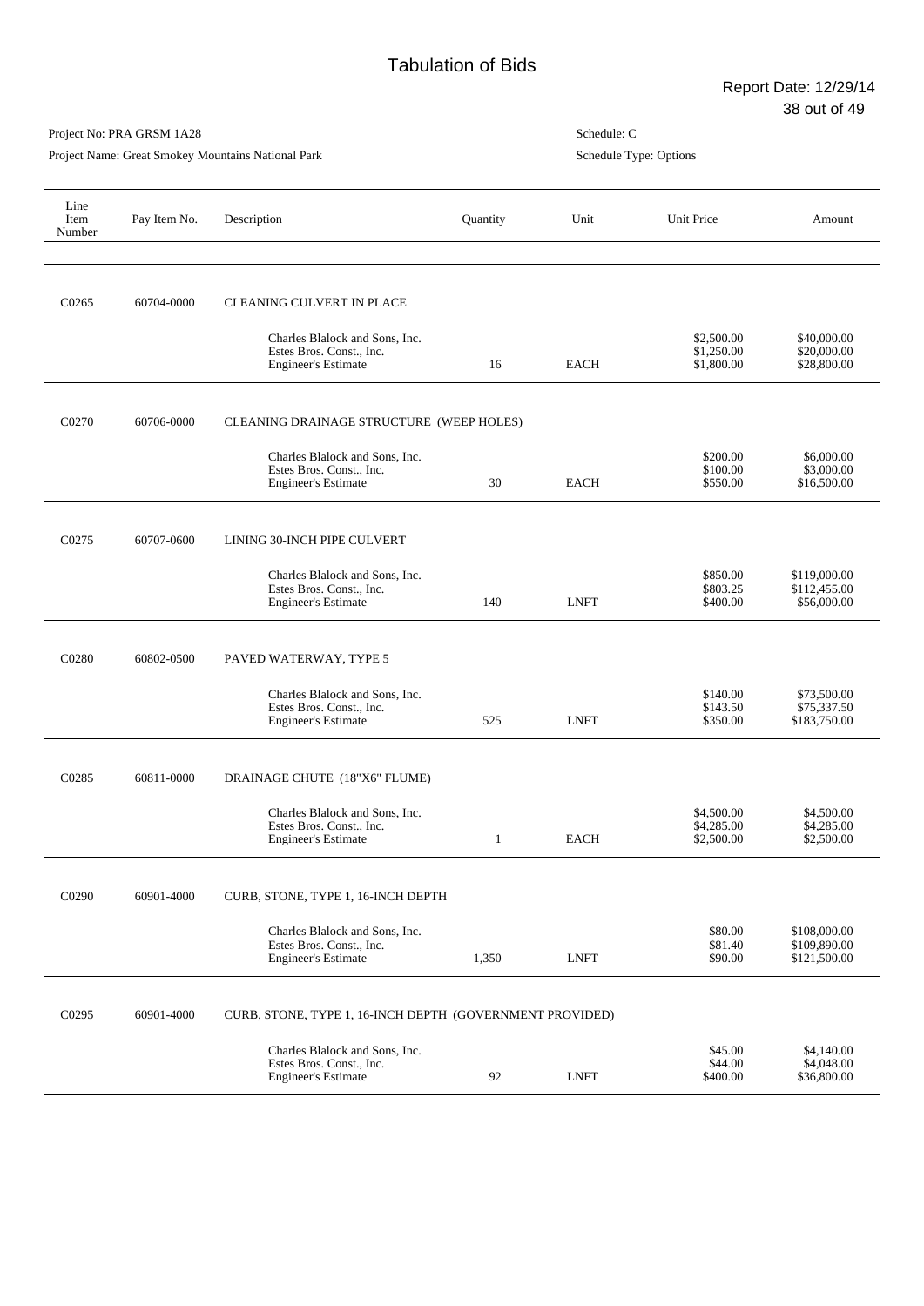$\overline{\phantom{0}}$ 

### Project No: PRA GRSM 1A28

Project Name: Great Smokey Mountains National Park

| Line<br>Item<br>Number | Pay Item No. | Description                                                                                    | Quantity | Unit        | Unit Price                             | Amount                                       |
|------------------------|--------------|------------------------------------------------------------------------------------------------|----------|-------------|----------------------------------------|----------------------------------------------|
|                        |              |                                                                                                |          |             |                                        |                                              |
| C <sub>0265</sub>      | 60704-0000   | <b>CLEANING CULVERT IN PLACE</b><br>Charles Blalock and Sons, Inc.<br>Estes Bros. Const., Inc. |          |             | \$2,500.00<br>\$1,250.00               | \$40,000.00<br>\$20,000.00                   |
|                        |              | <b>Engineer's Estimate</b>                                                                     | 16       | <b>EACH</b> | \$1,800.00                             | \$28,800.00                                  |
| C0270                  | 60706-0000   | CLEANING DRAINAGE STRUCTURE (WEEP HOLES)<br>Charles Blalock and Sons, Inc.                     |          |             | \$200.00                               | \$6,000.00                                   |
|                        |              | Estes Bros. Const., Inc.<br><b>Engineer's Estimate</b>                                         | 30       | EACH        | \$100.00<br>\$550.00                   | \$3,000.00<br>\$16,500.00                    |
|                        |              |                                                                                                |          |             |                                        |                                              |
| C0275                  | 60707-0600   | LINING 30-INCH PIPE CULVERT<br>Charles Blalock and Sons, Inc.                                  |          |             | \$850.00                               | \$119,000.00                                 |
|                        |              | Estes Bros. Const., Inc.<br><b>Engineer's Estimate</b>                                         | 140      | <b>LNFT</b> | \$803.25<br>\$400.00                   | \$112,455.00<br>\$56,000.00                  |
|                        |              |                                                                                                |          |             |                                        |                                              |
| C0280                  | 60802-0500   | PAVED WATERWAY, TYPE 5                                                                         |          |             |                                        |                                              |
|                        |              | Charles Blalock and Sons, Inc.<br>Estes Bros. Const., Inc.<br><b>Engineer's Estimate</b>       | 525      | <b>LNFT</b> | \$140.00<br>\$143.50<br>\$350.00       | \$73,500.00<br>\$75,337.50<br>\$183,750.00   |
| C0285                  | 60811-0000   | DRAINAGE CHUTE (18"X6" FLUME)                                                                  |          |             |                                        |                                              |
|                        |              | Charles Blalock and Sons, Inc.<br>Estes Bros. Const., Inc.<br><b>Engineer's Estimate</b>       | 1        | <b>EACH</b> | \$4,500.00<br>\$4,285.00<br>\$2,500.00 | \$4,500.00<br>\$4,285.00<br>\$2,500.00       |
| C0290                  | 60901-4000   | CURB, STONE, TYPE 1, 16-INCH DEPTH                                                             |          |             |                                        |                                              |
|                        |              | Charles Blalock and Sons, Inc.<br>Estes Bros. Const., Inc.<br><b>Engineer's Estimate</b>       | 1,350    | <b>LNFT</b> | \$80.00<br>\$81.40<br>\$90.00          | \$108,000.00<br>\$109,890.00<br>\$121,500.00 |
| C0295                  | 60901-4000   | CURB, STONE, TYPE 1, 16-INCH DEPTH (GOVERNMENT PROVIDED)                                       |          |             |                                        |                                              |
|                        |              | Charles Blalock and Sons, Inc.<br>Estes Bros. Const., Inc.<br><b>Engineer's Estimate</b>       | 92       | <b>LNFT</b> | \$45.00<br>\$44.00<br>\$400.00         | \$4,140.00<br>\$4,048.00<br>\$36,800.00      |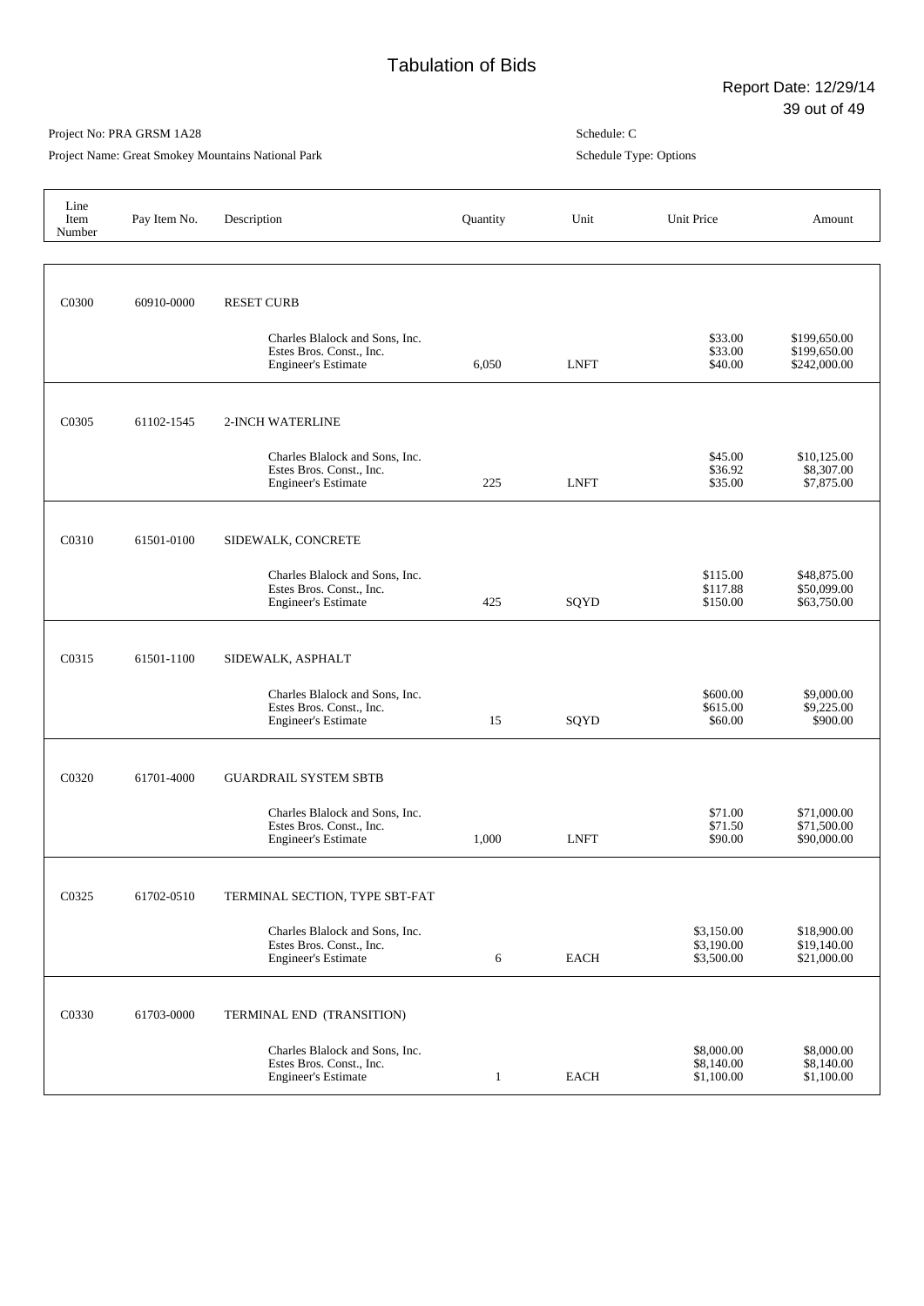### Project No: PRA GRSM 1A28

Project Name: Great Smokey Mountains National Park

| Line<br>Item<br>Number | Pay Item No. | Description                                                                              | Quantity     | Unit        | Unit Price                             | Amount                                       |
|------------------------|--------------|------------------------------------------------------------------------------------------|--------------|-------------|----------------------------------------|----------------------------------------------|
|                        |              |                                                                                          |              |             |                                        |                                              |
| C0300                  | 60910-0000   | <b>RESET CURB</b>                                                                        |              |             |                                        |                                              |
|                        |              | Charles Blalock and Sons, Inc.<br>Estes Bros. Const., Inc.<br><b>Engineer's Estimate</b> | 6,050        | <b>LNFT</b> | \$33.00<br>\$33.00<br>\$40.00          | \$199,650.00<br>\$199,650.00<br>\$242,000.00 |
| C <sub>0</sub> 305     | 61102-1545   | <b>2-INCH WATERLINE</b>                                                                  |              |             |                                        |                                              |
|                        |              | Charles Blalock and Sons, Inc.<br>Estes Bros. Const., Inc.<br><b>Engineer's Estimate</b> | 225          | <b>LNFT</b> | \$45.00<br>\$36.92<br>\$35.00          | \$10,125.00<br>\$8,307.00<br>\$7,875.00      |
| C0310                  | 61501-0100   | SIDEWALK, CONCRETE                                                                       |              |             |                                        |                                              |
|                        |              | Charles Blalock and Sons, Inc.<br>Estes Bros. Const., Inc.<br><b>Engineer's Estimate</b> | 425          | SQYD        | \$115.00<br>\$117.88<br>\$150.00       | \$48,875.00<br>\$50,099.00<br>\$63,750.00    |
| C0315                  | 61501-1100   | SIDEWALK, ASPHALT                                                                        |              |             |                                        |                                              |
|                        |              | Charles Blalock and Sons, Inc.<br>Estes Bros. Const., Inc.<br><b>Engineer's Estimate</b> | 15           | SQYD        | \$600.00<br>\$615.00<br>\$60.00        | \$9,000.00<br>\$9,225.00<br>\$900.00         |
| C0320                  | 61701-4000   | <b>GUARDRAIL SYSTEM SBTB</b>                                                             |              |             |                                        |                                              |
|                        |              | Charles Blalock and Sons, Inc.<br>Estes Bros. Const., Inc.<br><b>Engineer's Estimate</b> | 1,000        | <b>LNFT</b> | \$71.00<br>\$71.50<br>\$90.00          | \$71,000.00<br>\$71,500.00<br>\$90,000.00    |
| C0325                  | 61702-0510   | TERMINAL SECTION, TYPE SBT-FAT                                                           |              |             |                                        |                                              |
|                        |              | Charles Blalock and Sons, Inc.<br>Estes Bros. Const., Inc.<br><b>Engineer's Estimate</b> | 6            | <b>EACH</b> | \$3,150.00<br>\$3,190.00<br>\$3,500.00 | \$18,900.00<br>\$19,140.00<br>\$21,000.00    |
| C0330                  | 61703-0000   | TERMINAL END (TRANSITION)                                                                |              |             |                                        |                                              |
|                        |              | Charles Blalock and Sons, Inc.<br>Estes Bros. Const., Inc.<br><b>Engineer's Estimate</b> | $\mathbf{1}$ | <b>EACH</b> | \$8,000.00<br>\$8,140.00<br>\$1,100.00 | \$8,000.00<br>\$8,140.00<br>\$1,100.00       |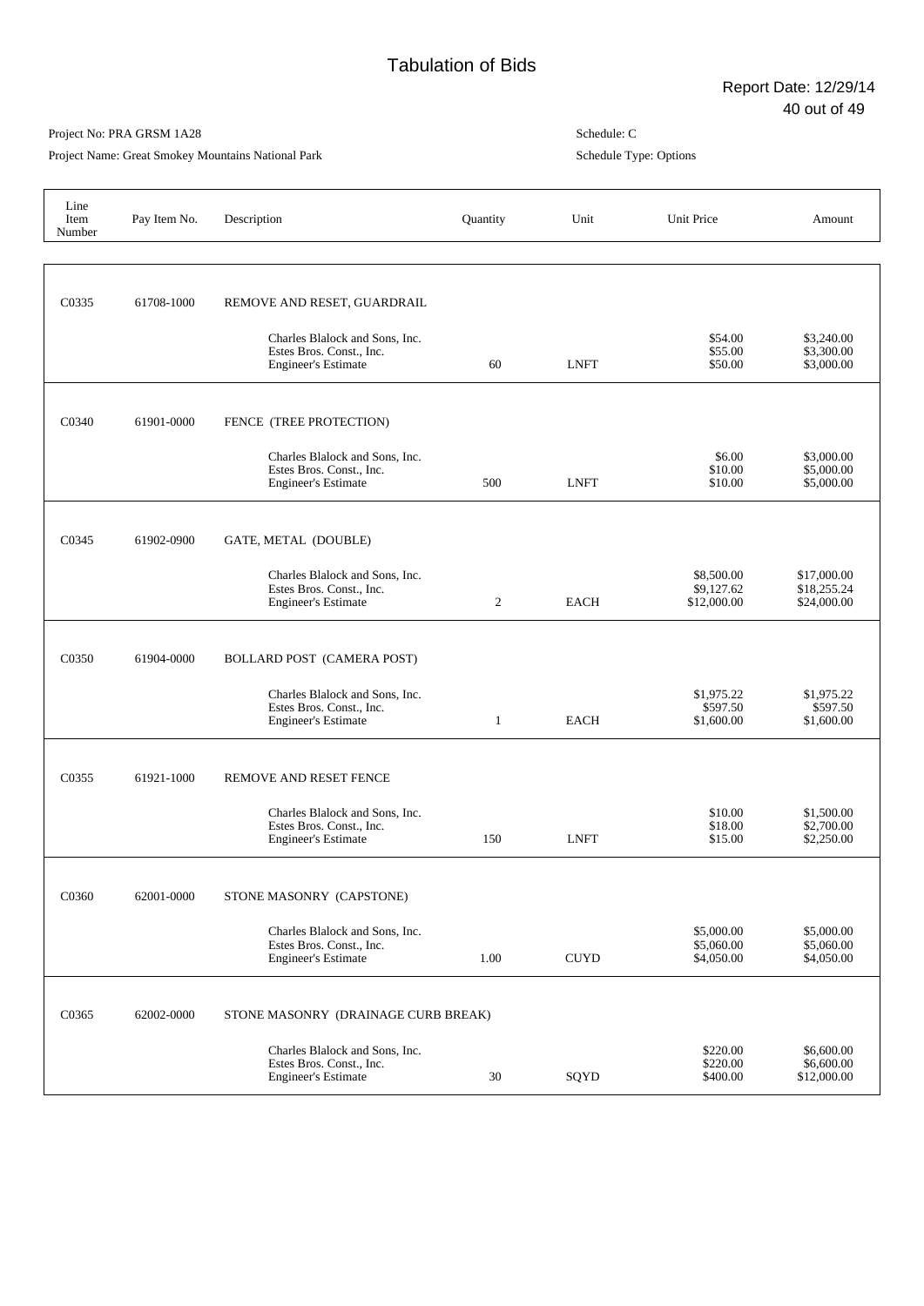#### Project No: PRA GRSM 1A28

Project Name: Great Smokey Mountains National Park

| Line<br>Item<br>Number | Pay Item No. | Description                                                                                                      | Quantity     | Unit        | Unit Price                              | Amount                                    |
|------------------------|--------------|------------------------------------------------------------------------------------------------------------------|--------------|-------------|-----------------------------------------|-------------------------------------------|
|                        |              |                                                                                                                  |              |             |                                         |                                           |
| C0335                  | 61708-1000   | REMOVE AND RESET, GUARDRAIL<br>Charles Blalock and Sons, Inc.<br>Estes Bros. Const., Inc.                        |              |             | \$54.00<br>\$55.00                      | \$3,240.00<br>\$3,300.00                  |
|                        |              | <b>Engineer's Estimate</b>                                                                                       | 60           | <b>LNFT</b> | \$50.00                                 | \$3,000.00                                |
| C0340                  | 61901-0000   | FENCE (TREE PROTECTION)<br>Charles Blalock and Sons, Inc.<br>Estes Bros. Const., Inc.                            |              |             | \$6.00<br>\$10.00                       | \$3,000.00<br>\$5,000.00                  |
|                        |              | <b>Engineer's Estimate</b>                                                                                       | 500          | <b>LNFT</b> | \$10.00                                 | \$5,000.00                                |
| C0345                  | 61902-0900   | GATE, METAL (DOUBLE)<br>Charles Blalock and Sons, Inc.<br>Estes Bros. Const., Inc.<br><b>Engineer's Estimate</b> | 2            | <b>EACH</b> | \$8,500.00<br>\$9,127.62<br>\$12,000.00 | \$17,000.00<br>\$18,255.24<br>\$24,000.00 |
| C <sub>0</sub> 350     | 61904-0000   | BOLLARD POST (CAMERA POST)                                                                                       |              |             |                                         |                                           |
|                        |              | Charles Blalock and Sons, Inc.<br>Estes Bros. Const., Inc.<br><b>Engineer's Estimate</b>                         | $\mathbf{1}$ | EACH        | \$1,975.22<br>\$597.50<br>\$1,600.00    | \$1,975.22<br>\$597.50<br>\$1,600.00      |
| C0355                  | 61921-1000   | REMOVE AND RESET FENCE                                                                                           |              |             |                                         |                                           |
|                        |              | Charles Blalock and Sons, Inc.<br>Estes Bros. Const., Inc.                                                       |              |             | \$10.00<br>\$18.00                      | \$1,500.00<br>\$2,700.00                  |
|                        |              | <b>Engineer's Estimate</b>                                                                                       | 150          | <b>LNFT</b> | \$15.00                                 | \$2,250.00                                |
| C0360                  | 62001-0000   | STONE MASONRY (CAPSTONE)                                                                                         |              |             |                                         |                                           |
|                        |              | Charles Blalock and Sons, Inc.<br>Estes Bros. Const., Inc.<br><b>Engineer's Estimate</b>                         | 1.00         | <b>CUYD</b> | \$5,000.00<br>\$5,060.00<br>\$4,050.00  | \$5,000.00<br>\$5,060.00<br>\$4,050.00    |
| C0365                  | 62002-0000   | STONE MASONRY (DRAINAGE CURB BREAK)                                                                              |              |             |                                         |                                           |
|                        |              | Charles Blalock and Sons, Inc.<br>Estes Bros. Const., Inc.<br><b>Engineer's Estimate</b>                         | 30           | SQYD        | \$220.00<br>\$220.00<br>\$400.00        | \$6,600.00<br>\$6,600.00<br>\$12,000.00   |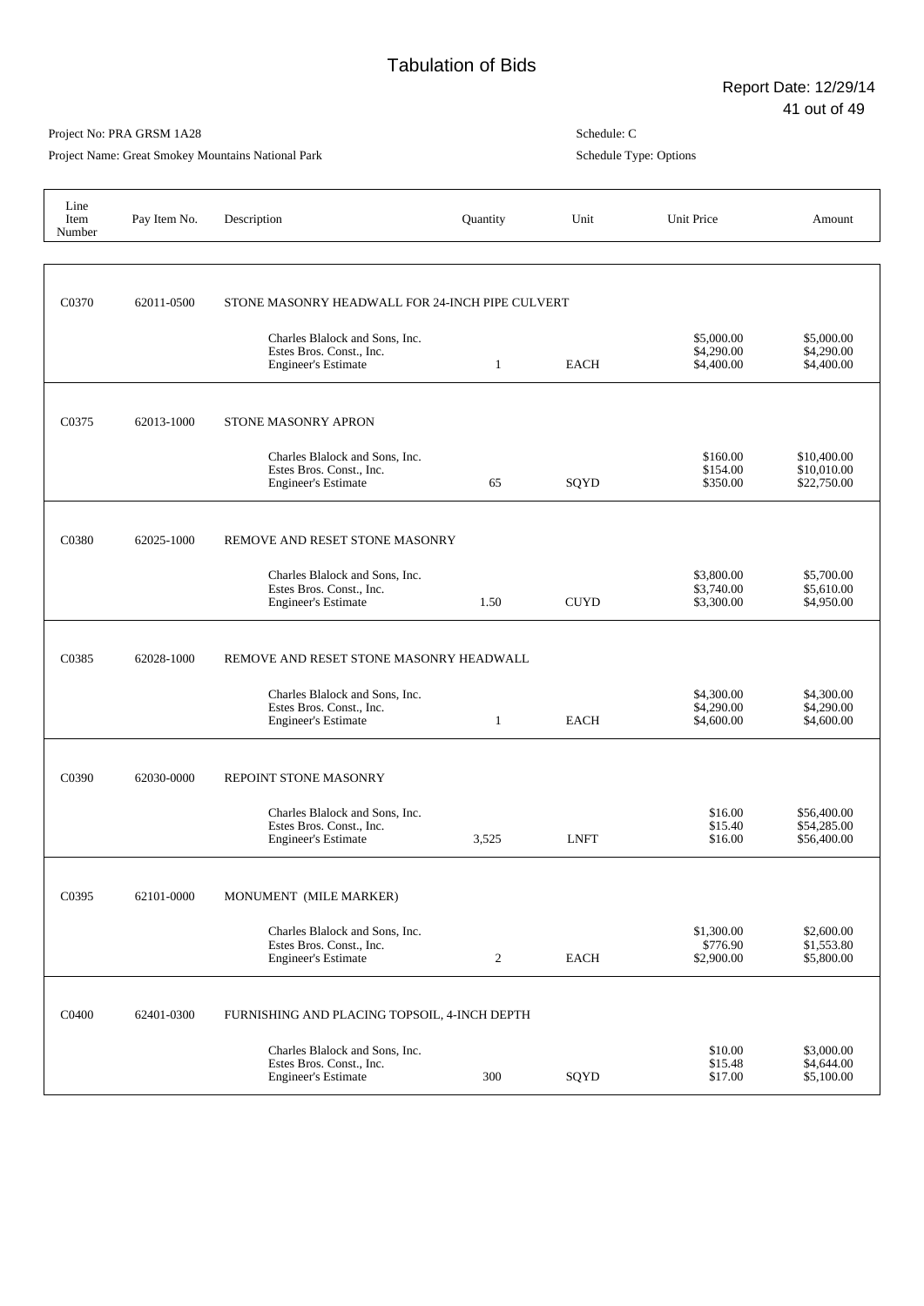### Project No: PRA GRSM 1A28

Project Name: Great Smokey Mountains National Park

| Line<br>Item<br>Number | Pay Item No. | Description                                                                              | Quantity       | Unit        | Unit Price                             | Amount                                    |  |  |
|------------------------|--------------|------------------------------------------------------------------------------------------|----------------|-------------|----------------------------------------|-------------------------------------------|--|--|
| C0370                  | 62011-0500   | STONE MASONRY HEADWALL FOR 24-INCH PIPE CULVERT                                          |                |             |                                        |                                           |  |  |
|                        |              | Charles Blalock and Sons, Inc.<br>Estes Bros. Const., Inc.<br><b>Engineer's Estimate</b> | 1              | <b>EACH</b> | \$5,000.00<br>\$4,290.00<br>\$4,400.00 | \$5,000.00<br>\$4,290.00<br>\$4,400.00    |  |  |
| C0375                  | 62013-1000   | STONE MASONRY APRON                                                                      |                |             |                                        |                                           |  |  |
|                        |              | Charles Blalock and Sons, Inc.<br>Estes Bros. Const., Inc.<br><b>Engineer's Estimate</b> | 65             | SQYD        | \$160.00<br>\$154.00<br>\$350.00       | \$10,400.00<br>\$10,010.00<br>\$22,750.00 |  |  |
| C0380                  | 62025-1000   | REMOVE AND RESET STONE MASONRY                                                           |                |             |                                        |                                           |  |  |
|                        |              | Charles Blalock and Sons, Inc.<br>Estes Bros. Const., Inc.<br><b>Engineer's Estimate</b> | 1.50           | <b>CUYD</b> | \$3,800.00<br>\$3,740.00<br>\$3,300.00 | \$5,700.00<br>\$5,610.00<br>\$4,950.00    |  |  |
| C0385                  | 62028-1000   | REMOVE AND RESET STONE MASONRY HEADWALL                                                  |                |             |                                        |                                           |  |  |
|                        |              | Charles Blalock and Sons, Inc.<br>Estes Bros. Const., Inc.<br><b>Engineer's Estimate</b> | $\mathbf{1}$   | <b>EACH</b> | \$4,300.00<br>\$4,290.00<br>\$4,600.00 | \$4,300.00<br>\$4,290.00<br>\$4,600.00    |  |  |
| C0390                  | 62030-0000   | REPOINT STONE MASONRY                                                                    |                |             |                                        |                                           |  |  |
|                        |              | Charles Blalock and Sons, Inc.<br>Estes Bros. Const., Inc.<br><b>Engineer's Estimate</b> | 3,525          | <b>LNFT</b> | \$16.00<br>\$15.40<br>\$16.00          | \$56,400.00<br>\$54,285.00<br>\$56,400.00 |  |  |
| C0395                  | 62101-0000   | MONUMENT (MILE MARKER)                                                                   |                |             |                                        |                                           |  |  |
|                        |              | Charles Blalock and Sons, Inc.<br>Estes Bros. Const., Inc.<br><b>Engineer's Estimate</b> | $\overline{c}$ | <b>EACH</b> | \$1,300.00<br>\$776.90<br>\$2,900.00   | \$2,600.00<br>\$1,553.80<br>\$5,800.00    |  |  |
| C0400                  | 62401-0300   | FURNISHING AND PLACING TOPSOIL, 4-INCH DEPTH                                             |                |             |                                        |                                           |  |  |
|                        |              | Charles Blalock and Sons, Inc.<br>Estes Bros. Const., Inc.<br><b>Engineer's Estimate</b> | 300            | SQYD        | \$10.00<br>\$15.48<br>\$17.00          | \$3,000.00<br>\$4,644.00<br>\$5,100.00    |  |  |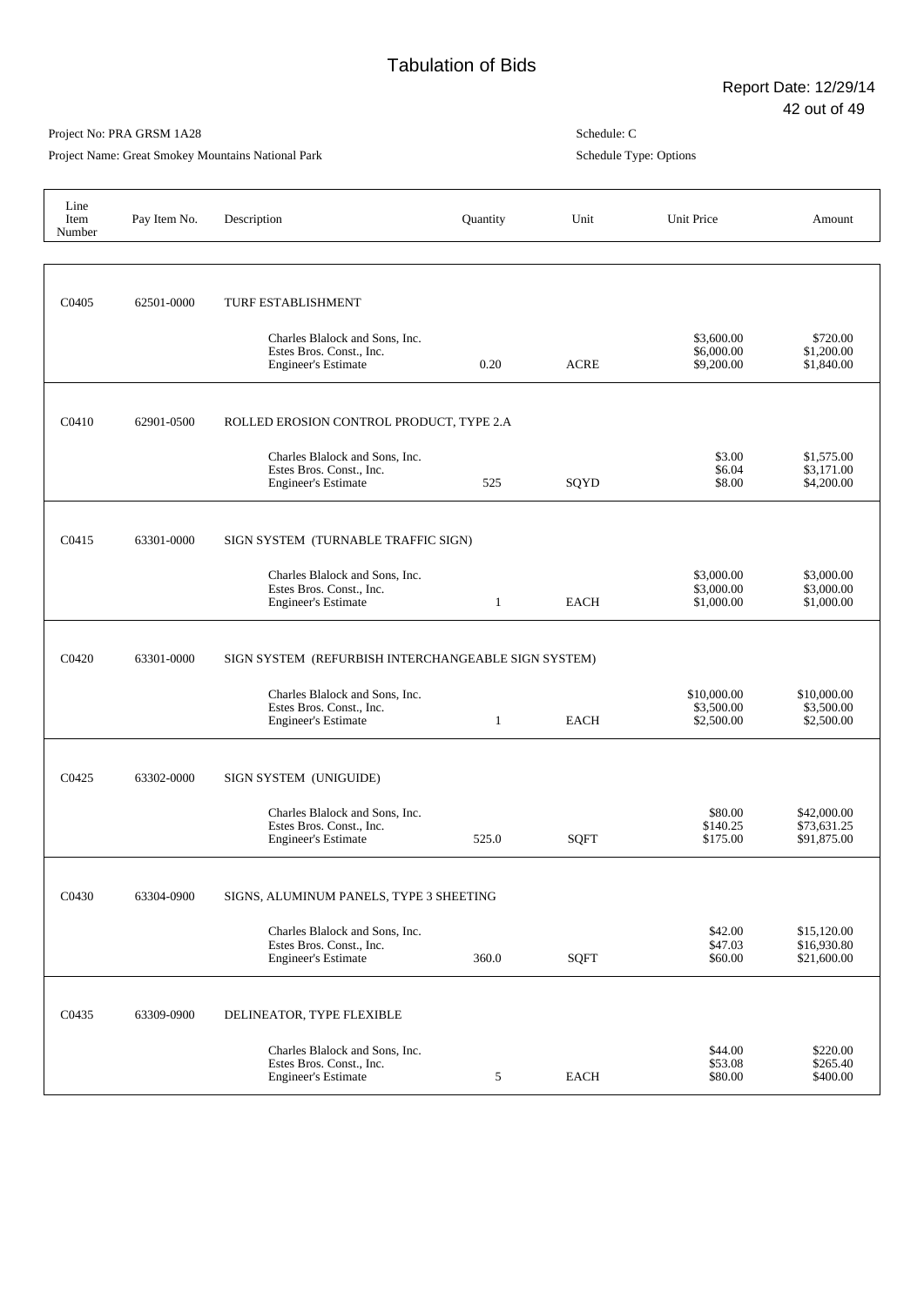Project Name: Great Smokey Mountains National Park

| Line<br>Item<br>Number | Pay Item No. | Description                                                                              | Quantity     | Unit        | Unit Price                              | Amount                                    |  |
|------------------------|--------------|------------------------------------------------------------------------------------------|--------------|-------------|-----------------------------------------|-------------------------------------------|--|
| C0405                  | 62501-0000   | TURF ESTABLISHMENT                                                                       |              |             |                                         |                                           |  |
|                        |              | Charles Blalock and Sons, Inc.<br>Estes Bros. Const., Inc.<br><b>Engineer's Estimate</b> | 0.20         | <b>ACRE</b> | \$3,600.00<br>\$6,000.00<br>\$9,200.00  | \$720.00<br>\$1,200.00<br>\$1,840.00      |  |
| C0410                  | 62901-0500   | ROLLED EROSION CONTROL PRODUCT, TYPE 2.A                                                 |              |             |                                         |                                           |  |
|                        |              | Charles Blalock and Sons, Inc.<br>Estes Bros. Const., Inc.<br><b>Engineer's Estimate</b> | 525          | SQYD        | \$3.00<br>\$6.04<br>\$8.00              | \$1,575.00<br>\$3,171.00<br>\$4,200.00    |  |
| C0415                  | 63301-0000   | SIGN SYSTEM (TURNABLE TRAFFIC SIGN)                                                      |              |             |                                         |                                           |  |
|                        |              | Charles Blalock and Sons, Inc.<br>Estes Bros. Const., Inc.<br><b>Engineer's Estimate</b> | $\mathbf{1}$ | <b>EACH</b> | \$3,000.00<br>\$3,000.00<br>\$1,000.00  | \$3,000.00<br>\$3,000.00<br>\$1,000.00    |  |
| C0420                  | 63301-0000   | SIGN SYSTEM (REFURBISH INTERCHANGEABLE SIGN SYSTEM)                                      |              |             |                                         |                                           |  |
|                        |              | Charles Blalock and Sons, Inc.<br>Estes Bros. Const., Inc.<br><b>Engineer's Estimate</b> | 1            | <b>EACH</b> | \$10,000.00<br>\$3,500.00<br>\$2,500.00 | \$10,000.00<br>\$3,500.00<br>\$2,500.00   |  |
| C0425                  | 63302-0000   | SIGN SYSTEM (UNIGUIDE)                                                                   |              |             |                                         |                                           |  |
|                        |              | Charles Blalock and Sons, Inc.<br>Estes Bros. Const., Inc.<br><b>Engineer's Estimate</b> | 525.0        | <b>SQFT</b> | \$80.00<br>\$140.25<br>\$175.00         | \$42,000.00<br>\$73,631.25<br>\$91,875.00 |  |
| C0430                  | 63304-0900   | SIGNS, ALUMINUM PANELS, TYPE 3 SHEETING                                                  |              |             |                                         |                                           |  |
|                        |              | Charles Blalock and Sons, Inc.<br>Estes Bros. Const., Inc.<br><b>Engineer's Estimate</b> | 360.0        | <b>SQFT</b> | \$42.00<br>\$47.03<br>\$60.00           | \$15,120.00<br>\$16,930.80<br>\$21,600.00 |  |
| C0435                  | 63309-0900   | DELINEATOR, TYPE FLEXIBLE                                                                |              |             |                                         |                                           |  |
|                        |              | Charles Blalock and Sons, Inc.<br>Estes Bros. Const., Inc.<br><b>Engineer's Estimate</b> | 5            | <b>EACH</b> | \$44.00<br>\$53.08<br>\$80.00           | \$220.00<br>\$265.40<br>\$400.00          |  |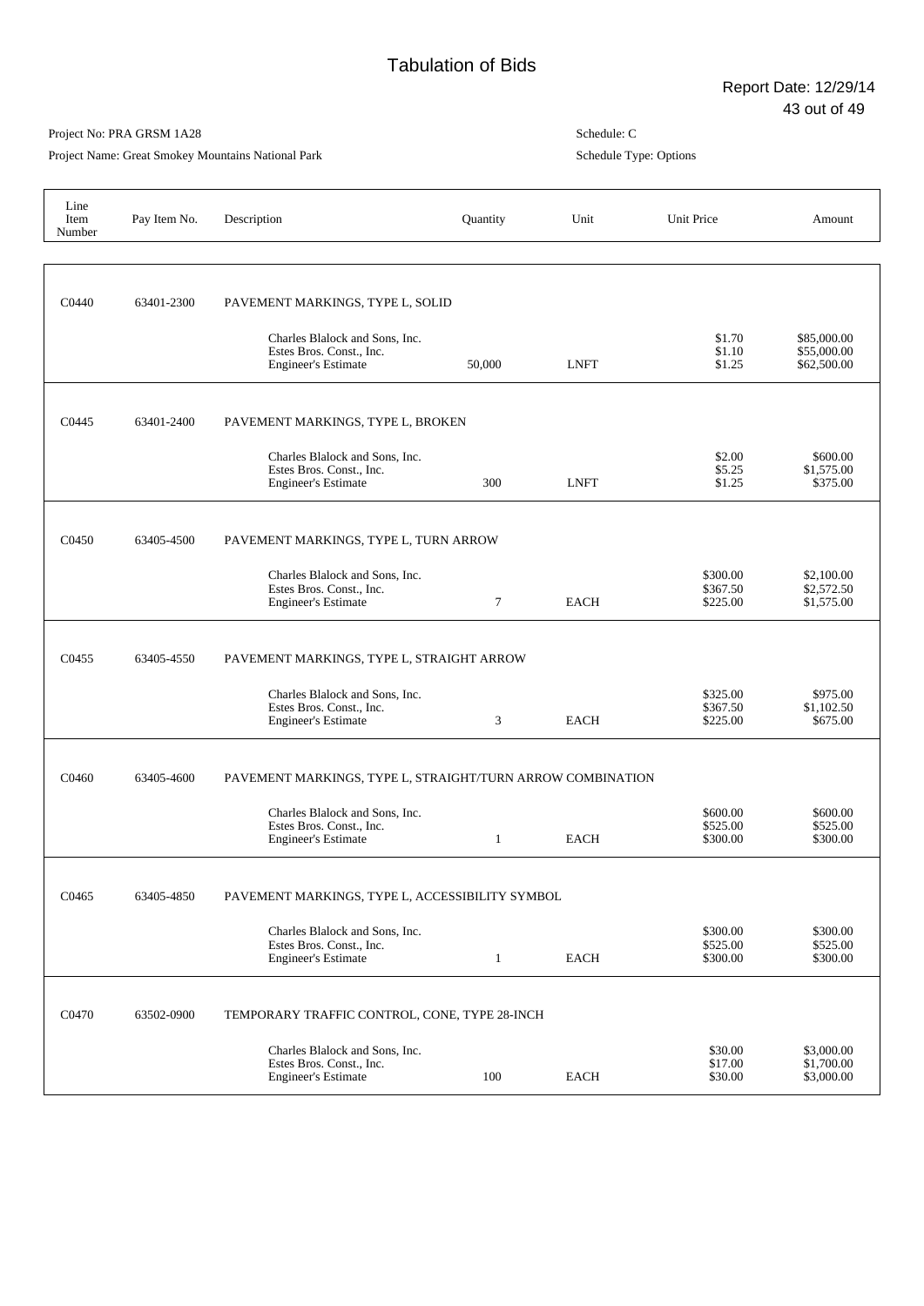Project Name: Great Smokey Mountains National Park

| Line<br>Item<br>Number | Pay Item No. | Description                                                                              | Quantity     | Unit        | Unit Price                       | Amount                                    |
|------------------------|--------------|------------------------------------------------------------------------------------------|--------------|-------------|----------------------------------|-------------------------------------------|
| C0440                  | 63401-2300   | PAVEMENT MARKINGS, TYPE L, SOLID                                                         |              |             |                                  |                                           |
|                        |              | Charles Blalock and Sons, Inc.<br>Estes Bros. Const., Inc.<br><b>Engineer's Estimate</b> | 50,000       | <b>LNFT</b> | \$1.70<br>\$1.10<br>\$1.25       | \$85,000.00<br>\$55,000.00<br>\$62,500.00 |
| C0445                  | 63401-2400   | PAVEMENT MARKINGS, TYPE L, BROKEN                                                        |              |             |                                  |                                           |
|                        |              | Charles Blalock and Sons, Inc.<br>Estes Bros. Const., Inc.<br><b>Engineer's Estimate</b> | 300          | <b>LNFT</b> | \$2.00<br>\$5.25<br>\$1.25       | \$600.00<br>\$1,575.00<br>\$375.00        |
| C0450                  | 63405-4500   | PAVEMENT MARKINGS, TYPE L, TURN ARROW                                                    |              |             |                                  |                                           |
|                        |              | Charles Blalock and Sons, Inc.<br>Estes Bros. Const., Inc.<br><b>Engineer's Estimate</b> | $\tau$       | <b>EACH</b> | \$300.00<br>\$367.50<br>\$225.00 | \$2,100.00<br>\$2,572.50<br>\$1,575.00    |
| C0455                  | 63405-4550   | PAVEMENT MARKINGS, TYPE L, STRAIGHT ARROW                                                |              |             |                                  |                                           |
|                        |              | Charles Blalock and Sons, Inc.<br>Estes Bros. Const., Inc.<br><b>Engineer's Estimate</b> | 3            | <b>EACH</b> | \$325.00<br>\$367.50<br>\$225.00 | \$975.00<br>\$1,102.50<br>\$675.00        |
| C0460                  | 63405-4600   | PAVEMENT MARKINGS, TYPE L, STRAIGHT/TURN ARROW COMBINATION                               |              |             |                                  |                                           |
|                        |              | Charles Blalock and Sons, Inc.<br>Estes Bros. Const., Inc.<br><b>Engineer's Estimate</b> | $\mathbf{1}$ | EACH        | \$600.00<br>\$525.00<br>\$300.00 | \$600.00<br>\$525.00<br>\$300.00          |
| C0465                  | 63405-4850   | PAVEMENT MARKINGS, TYPE L, ACCESSIBILITY SYMBOL                                          |              |             |                                  |                                           |
|                        |              | Charles Blalock and Sons, Inc.<br>Estes Bros. Const., Inc.<br><b>Engineer's Estimate</b> | 1            | <b>EACH</b> | \$300.00<br>\$525.00<br>\$300.00 | \$300.00<br>\$525.00<br>\$300.00          |
| C0470                  | 63502-0900   | TEMPORARY TRAFFIC CONTROL, CONE, TYPE 28-INCH                                            |              |             |                                  |                                           |
|                        |              | Charles Blalock and Sons, Inc.<br>Estes Bros. Const., Inc.<br><b>Engineer's Estimate</b> | 100          | <b>EACH</b> | \$30.00<br>\$17.00<br>\$30.00    | \$3,000.00<br>\$1,700.00<br>\$3,000.00    |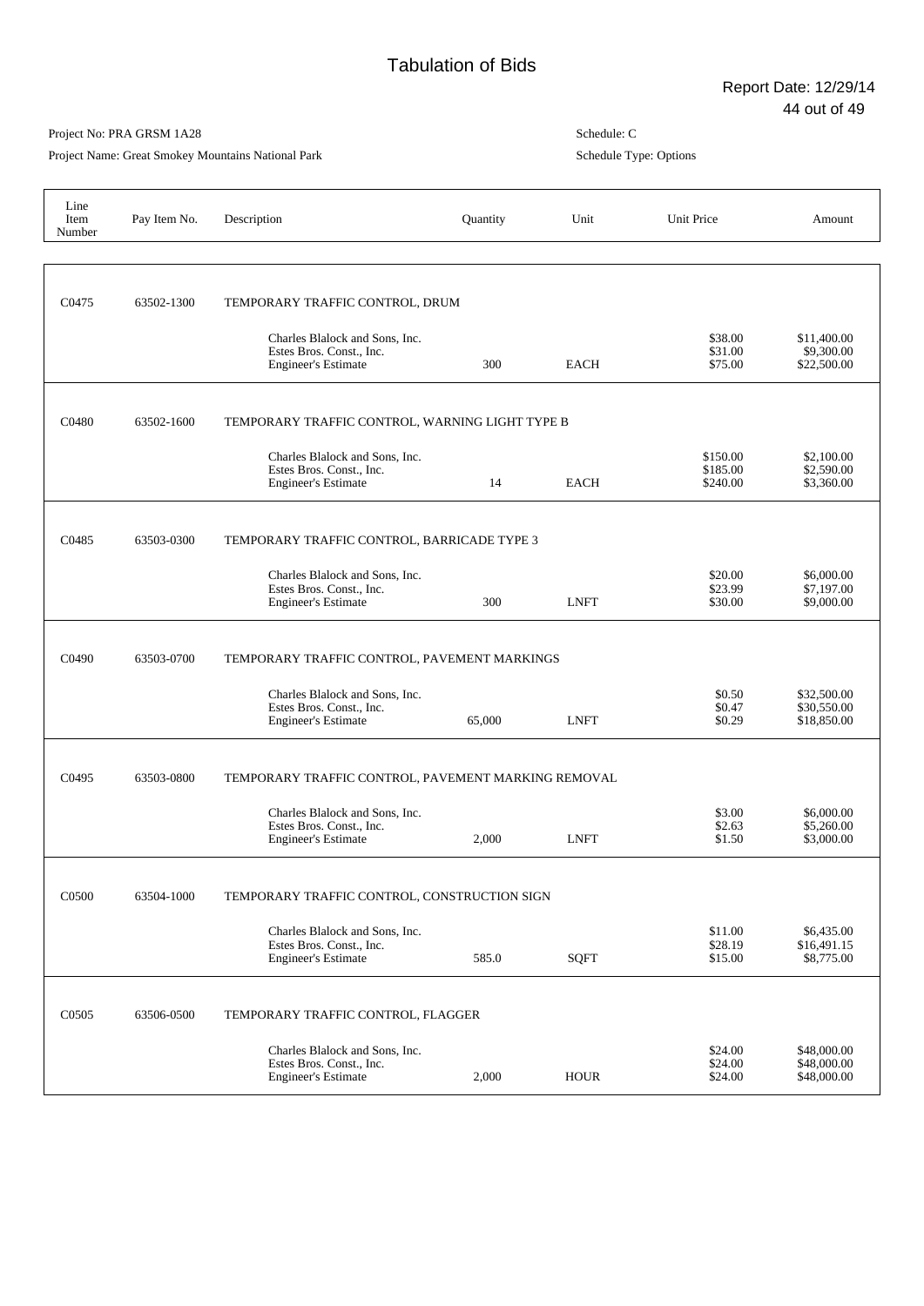#### Project No: PRA GRSM 1A28

Project Name: Great Smokey Mountains National Park

| Line<br>Item<br>Number | Pay Item No. | Description                                                                              | Quantity | Unit        | Unit Price                       | Amount                                    |
|------------------------|--------------|------------------------------------------------------------------------------------------|----------|-------------|----------------------------------|-------------------------------------------|
|                        |              |                                                                                          |          |             |                                  |                                           |
| C0475                  | 63502-1300   | TEMPORARY TRAFFIC CONTROL, DRUM                                                          |          |             |                                  |                                           |
|                        |              | Charles Blalock and Sons, Inc.<br>Estes Bros. Const., Inc.<br><b>Engineer's Estimate</b> | 300      | <b>EACH</b> | \$38.00<br>\$31.00<br>\$75.00    | \$11,400.00<br>\$9,300.00<br>\$22,500.00  |
| C0480                  | 63502-1600   | TEMPORARY TRAFFIC CONTROL, WARNING LIGHT TYPE B                                          |          |             |                                  |                                           |
|                        |              | Charles Blalock and Sons, Inc.<br>Estes Bros. Const., Inc.<br><b>Engineer's Estimate</b> | 14       | <b>EACH</b> | \$150.00<br>\$185.00<br>\$240.00 | \$2,100.00<br>\$2,590.00<br>\$3,360.00    |
| C0485                  | 63503-0300   | TEMPORARY TRAFFIC CONTROL, BARRICADE TYPE 3                                              |          |             |                                  |                                           |
|                        |              | Charles Blalock and Sons, Inc.<br>Estes Bros. Const., Inc.<br><b>Engineer's Estimate</b> | 300      | <b>LNFT</b> | \$20.00<br>\$23.99<br>\$30.00    | \$6,000.00<br>\$7,197.00<br>\$9,000.00    |
| C0490                  | 63503-0700   | TEMPORARY TRAFFIC CONTROL, PAVEMENT MARKINGS                                             |          |             |                                  |                                           |
|                        |              | Charles Blalock and Sons, Inc.<br>Estes Bros. Const., Inc.<br><b>Engineer's Estimate</b> | 65,000   | <b>LNFT</b> | \$0.50<br>\$0.47<br>\$0.29       | \$32,500.00<br>\$30,550.00<br>\$18,850.00 |
| C <sub>0495</sub>      | 63503-0800   | TEMPORARY TRAFFIC CONTROL, PAVEMENT MARKING REMOVAL                                      |          |             |                                  |                                           |
|                        |              | Charles Blalock and Sons, Inc.<br>Estes Bros. Const., Inc.<br><b>Engineer's Estimate</b> | 2,000    | <b>LNFT</b> | \$3.00<br>\$2.63<br>\$1.50       | \$6,000.00<br>\$5,260.00<br>\$3,000.00    |
| C0500                  | 63504-1000   | TEMPORARY TRAFFIC CONTROL, CONSTRUCTION SIGN                                             |          |             |                                  |                                           |
|                        |              | Charles Blalock and Sons, Inc.<br>Estes Bros. Const., Inc.<br><b>Engineer's Estimate</b> | 585.0    | <b>SQFT</b> | \$11.00<br>\$28.19<br>\$15.00    | \$6,435.00<br>\$16,491.15<br>\$8,775.00   |
| C0505                  | 63506-0500   | TEMPORARY TRAFFIC CONTROL, FLAGGER                                                       |          |             |                                  |                                           |
|                        |              | Charles Blalock and Sons, Inc.<br>Estes Bros. Const., Inc.<br><b>Engineer's Estimate</b> | 2,000    | <b>HOUR</b> | \$24.00<br>\$24.00<br>\$24.00    | \$48,000.00<br>\$48,000.00<br>\$48,000.00 |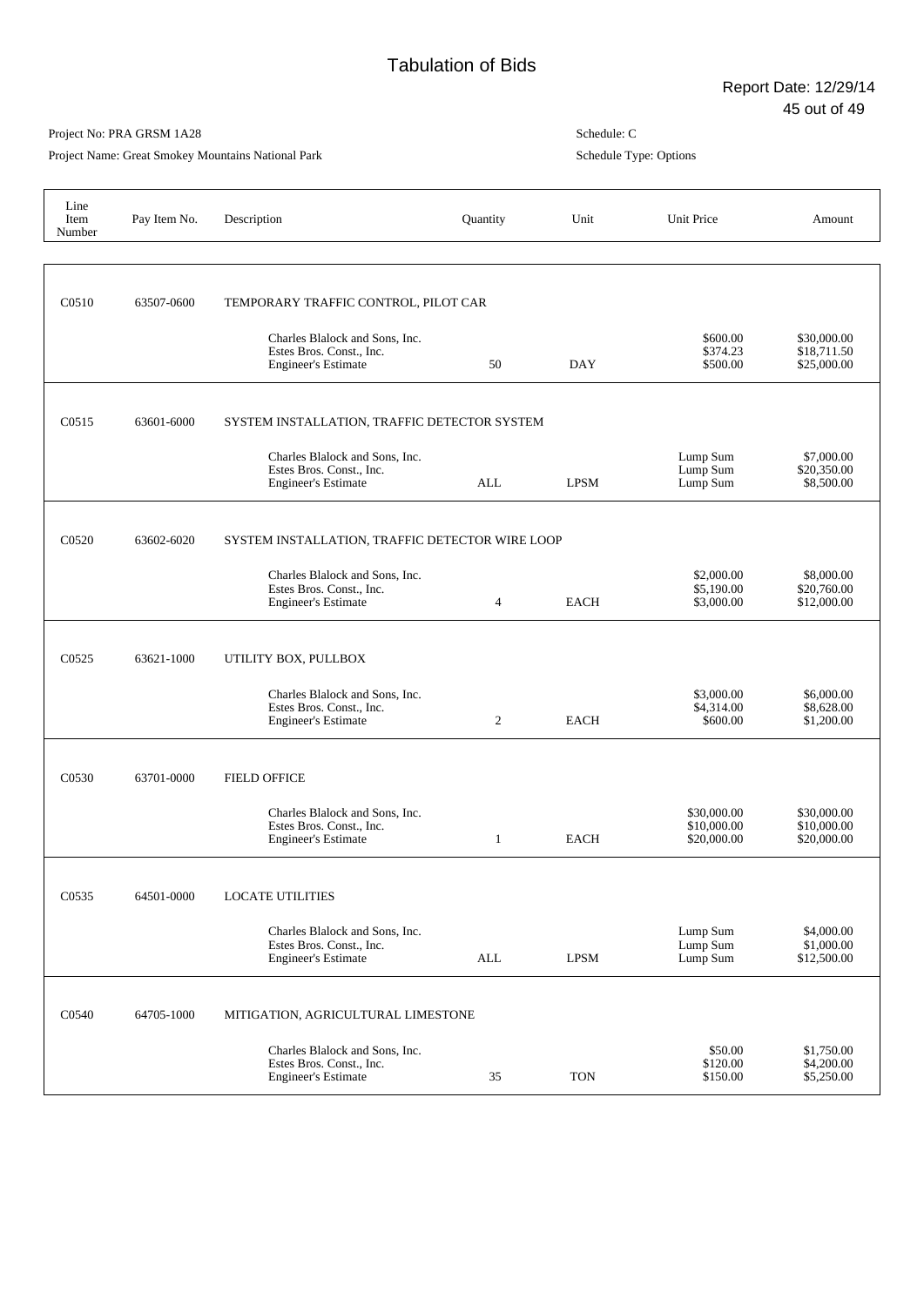Project Name: Great Smokey Mountains National Park

| Line<br>Item<br>Number | Pay Item No. | Description                                                                              | Quantity       | Unit        | Unit Price                                | Amount                                    |  |
|------------------------|--------------|------------------------------------------------------------------------------------------|----------------|-------------|-------------------------------------------|-------------------------------------------|--|
| C0510                  | 63507-0600   | TEMPORARY TRAFFIC CONTROL, PILOT CAR                                                     |                |             |                                           |                                           |  |
|                        |              | Charles Blalock and Sons, Inc.<br>Estes Bros. Const., Inc.<br><b>Engineer's Estimate</b> | 50             | <b>DAY</b>  | \$600.00<br>\$374.23<br>\$500.00          | \$30,000.00<br>\$18,711.50<br>\$25,000.00 |  |
| C0515                  | 63601-6000   | SYSTEM INSTALLATION, TRAFFIC DETECTOR SYSTEM                                             |                |             |                                           |                                           |  |
|                        |              | Charles Blalock and Sons, Inc.<br>Estes Bros. Const., Inc.<br><b>Engineer's Estimate</b> | <b>ALL</b>     | <b>LPSM</b> | Lump Sum<br>Lump Sum<br>Lump Sum          | \$7,000.00<br>\$20,350.00<br>\$8,500.00   |  |
| C0520                  | 63602-6020   | SYSTEM INSTALLATION, TRAFFIC DETECTOR WIRE LOOP                                          |                |             |                                           |                                           |  |
|                        |              | Charles Blalock and Sons, Inc.<br>Estes Bros. Const., Inc.<br><b>Engineer's Estimate</b> | $\overline{4}$ | <b>EACH</b> | \$2,000.00<br>\$5,190.00<br>\$3,000.00    | \$8,000.00<br>\$20,760.00<br>\$12,000.00  |  |
| C0525                  | 63621-1000   | UTILITY BOX, PULLBOX                                                                     |                |             |                                           |                                           |  |
|                        |              | Charles Blalock and Sons, Inc.<br>Estes Bros. Const., Inc.<br><b>Engineer's Estimate</b> | 2              | <b>EACH</b> | \$3,000.00<br>\$4,314.00<br>\$600.00      | \$6,000.00<br>\$8,628.00<br>\$1,200.00    |  |
| C0530                  | 63701-0000   | <b>FIELD OFFICE</b>                                                                      |                |             |                                           |                                           |  |
|                        |              | Charles Blalock and Sons, Inc.<br>Estes Bros. Const., Inc.<br><b>Engineer's Estimate</b> | $\mathbf{1}$   | <b>EACH</b> | \$30,000.00<br>\$10,000.00<br>\$20,000.00 | \$30,000.00<br>\$10,000.00<br>\$20,000.00 |  |
| C0535                  | 64501-0000   | <b>LOCATE UTILITIES</b>                                                                  |                |             |                                           |                                           |  |
|                        |              | Charles Blalock and Sons, Inc.<br>Estes Bros. Const., Inc.<br><b>Engineer's Estimate</b> | <b>ALL</b>     | <b>LPSM</b> | Lump Sum<br>Lump Sum<br>Lump Sum          | \$4,000.00<br>\$1,000.00<br>\$12,500.00   |  |
| C0540                  | 64705-1000   | MITIGATION, AGRICULTURAL LIMESTONE                                                       |                |             |                                           |                                           |  |
|                        |              | Charles Blalock and Sons, Inc.<br>Estes Bros. Const., Inc.<br><b>Engineer's Estimate</b> | 35             | <b>TON</b>  | \$50.00<br>\$120.00<br>\$150.00           | \$1,750.00<br>\$4,200.00<br>\$5,250.00    |  |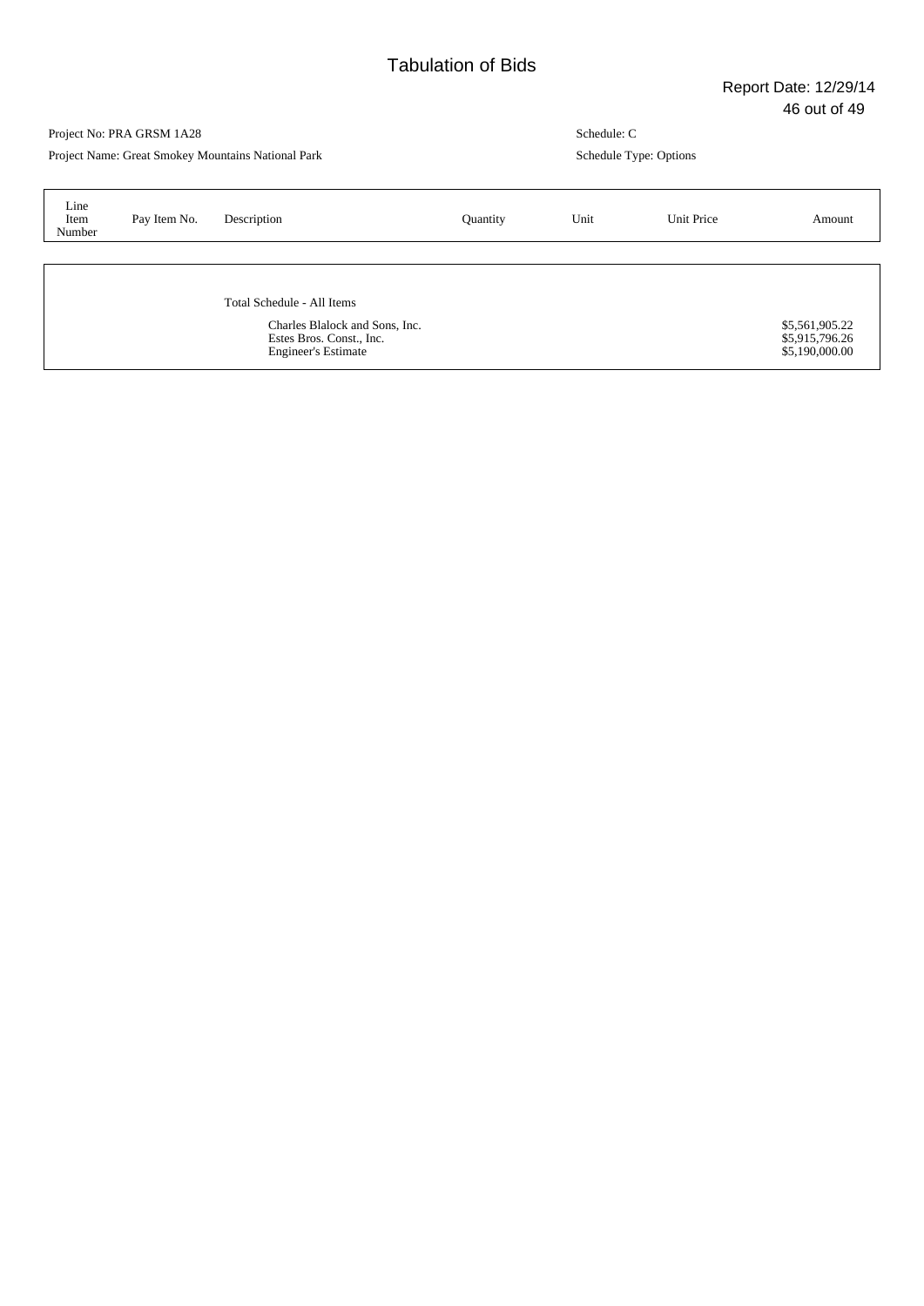Project Name: Great Smokey Mountains National Park

| Line<br>Item<br>Number | Pay Item No. | Description                                                                                                            | Quantity | Unit | Unit Price | Amount                                             |
|------------------------|--------------|------------------------------------------------------------------------------------------------------------------------|----------|------|------------|----------------------------------------------------|
|                        |              |                                                                                                                        |          |      |            |                                                    |
|                        |              | Total Schedule - All Items<br>Charles Blalock and Sons, Inc.<br>Estes Bros. Const., Inc.<br><b>Engineer's Estimate</b> |          |      |            | \$5,561,905.22<br>\$5,915,796.26<br>\$5,190,000.00 |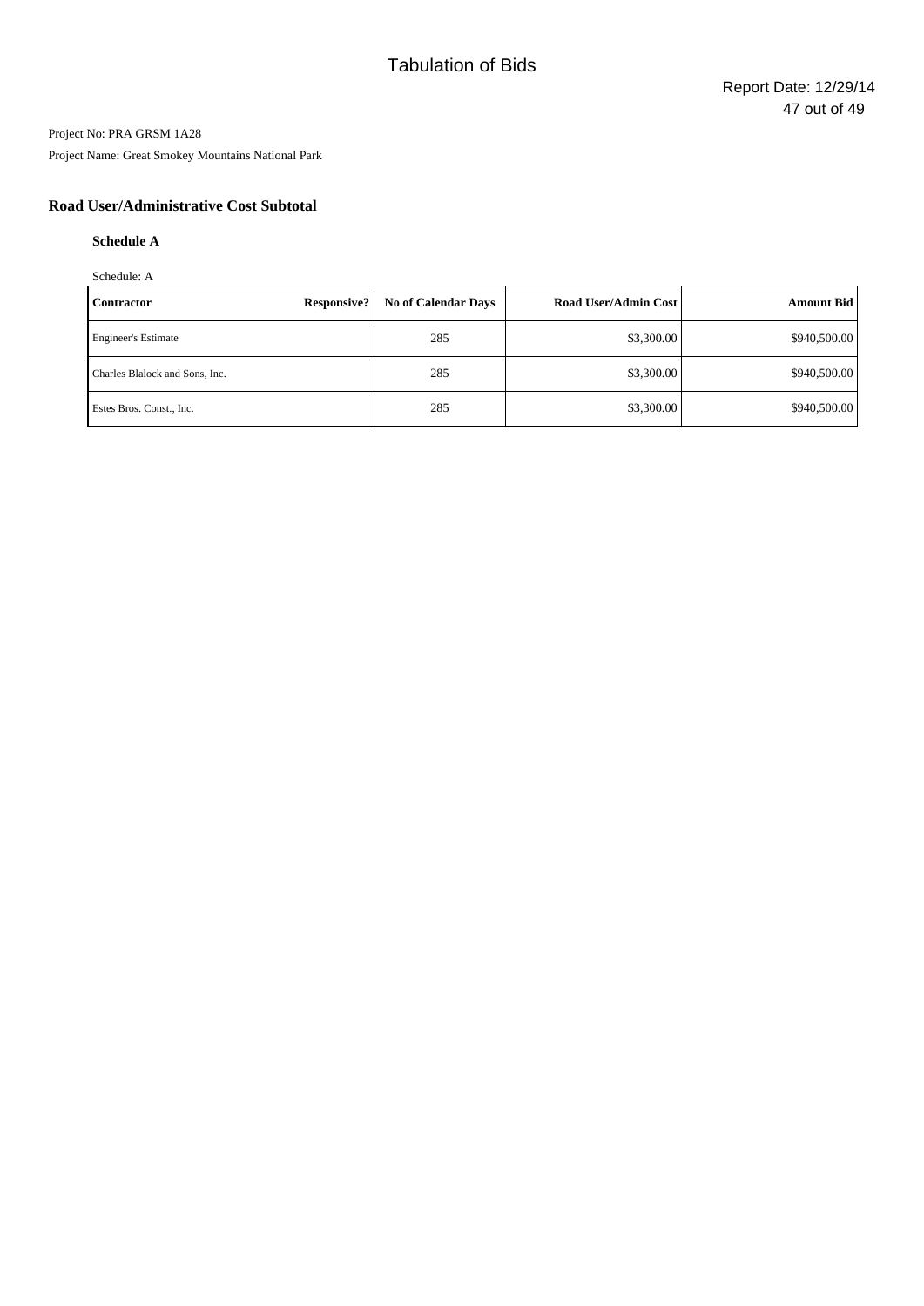Project Name: Great Smokey Mountains National Park

## **Road User/Administrative Cost Subtotal**

## **Schedule A**

Schedule: A

| <b>Contractor</b><br><b>Responsive?</b> | <b>No of Calendar Days</b> | <b>Road User/Admin Cost</b> | <b>Amount Bid</b> |
|-----------------------------------------|----------------------------|-----------------------------|-------------------|
| <b>Engineer's Estimate</b>              | 285                        | \$3,300.00                  | \$940,500.00      |
| Charles Blalock and Sons, Inc.          | 285                        | \$3,300.00                  | \$940,500.00      |
| Estes Bros. Const., Inc.                | 285                        | \$3,300.00                  | \$940,500.00      |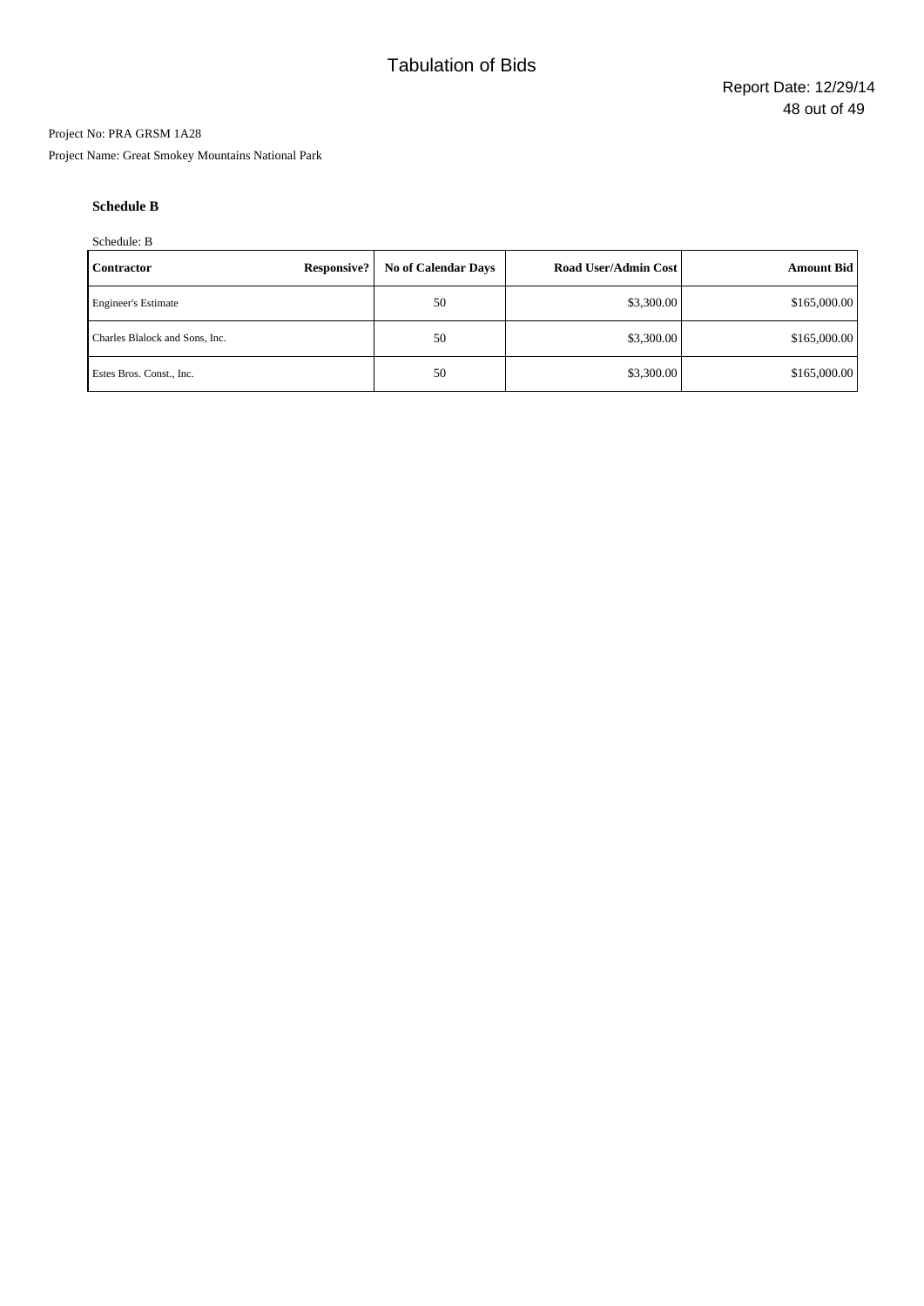Project Name: Great Smokey Mountains National Park

## **Schedule B**

Schedule: B

| <b>Contractor</b><br><b>Responsive?</b> | <b>No of Calendar Days</b> | Road User/Admin Cost | <b>Amount Bid</b> |
|-----------------------------------------|----------------------------|----------------------|-------------------|
| <b>Engineer's Estimate</b>              | 50                         | \$3,300.00           | \$165,000.00      |
| Charles Blalock and Sons, Inc.          | 50                         | \$3,300.00           | \$165,000.00      |
| Estes Bros. Const., Inc.                | 50                         | \$3,300.00           | \$165,000.00      |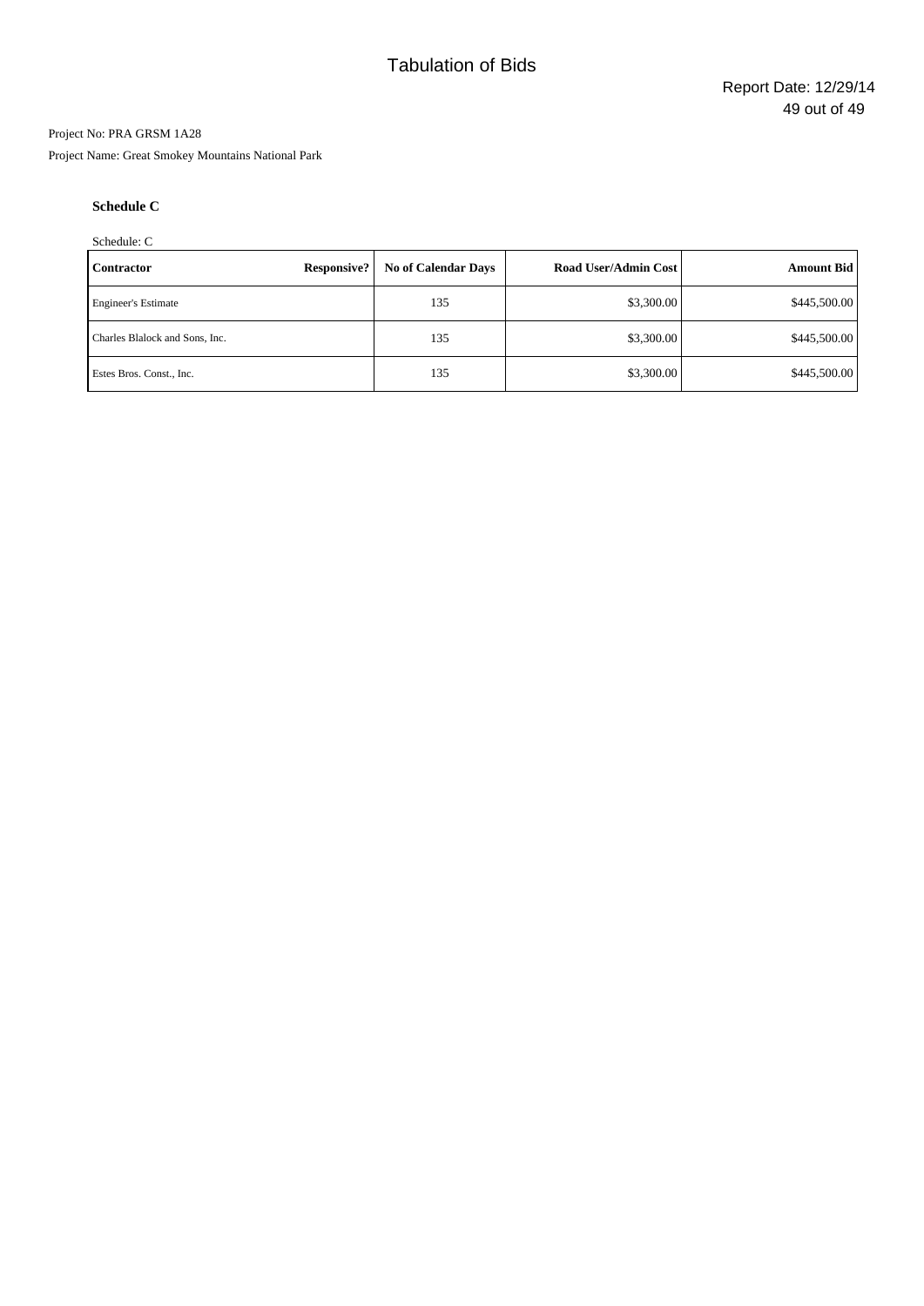Project Name: Great Smokey Mountains National Park

## **Schedule C**

Schedule: C

| <b>Contractor</b><br>Responsive? | <b>No of Calendar Days</b> | Road User/Admin Cost | <b>Amount Bid</b> |
|----------------------------------|----------------------------|----------------------|-------------------|
| <b>Engineer's Estimate</b>       | 135                        | \$3,300.00           | \$445,500.00      |
| Charles Blalock and Sons, Inc.   | 135                        | \$3,300.00           | \$445,500.00      |
| Estes Bros. Const., Inc.         | 135                        | \$3,300.00           | \$445,500.00      |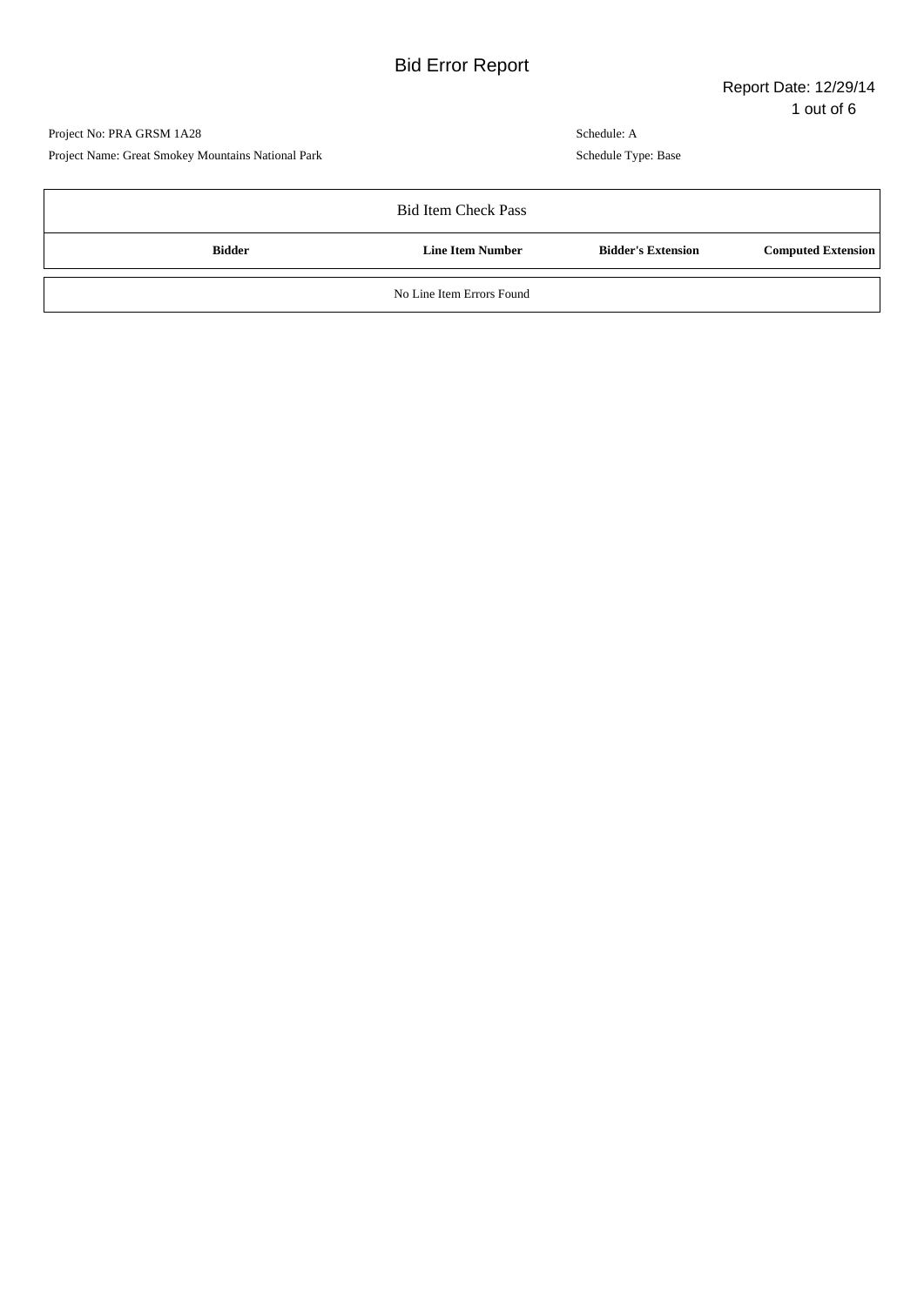Project No: PRA GRSM 1A28 Project Name: Great Smokey Mountains National Park

|               | <b>Bid Item Check Pass</b> |                           |                           |
|---------------|----------------------------|---------------------------|---------------------------|
| <b>Bidder</b> | <b>Line Item Number</b>    | <b>Bidder's Extension</b> | <b>Computed Extension</b> |
|               | No Line Item Errors Found  |                           |                           |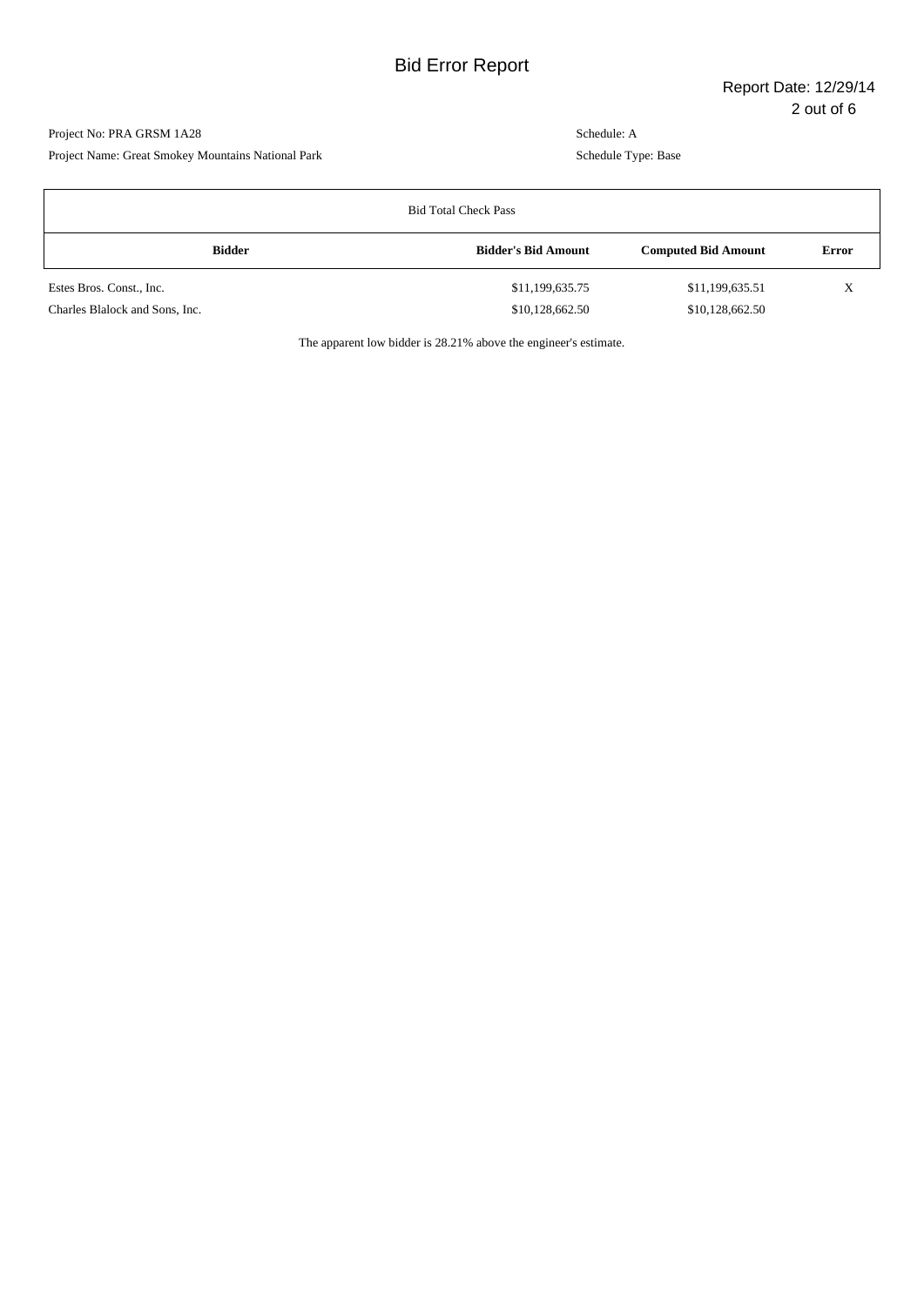Project Name: Great Smokey Mountains National Park

Schedule: A Schedule Type: Base

| <b>Bid Total Check Pass</b>    |                            |                            |              |
|--------------------------------|----------------------------|----------------------------|--------------|
| <b>Bidder</b>                  | <b>Bidder's Bid Amount</b> | <b>Computed Bid Amount</b> | <b>Error</b> |
| Estes Bros. Const., Inc.       | \$11,199,635.75            | \$11,199,635.51            | X            |
| Charles Blalock and Sons, Inc. | \$10,128,662.50            | \$10,128,662.50            |              |

The apparent low bidder is 28.21% above the engineer's estimate.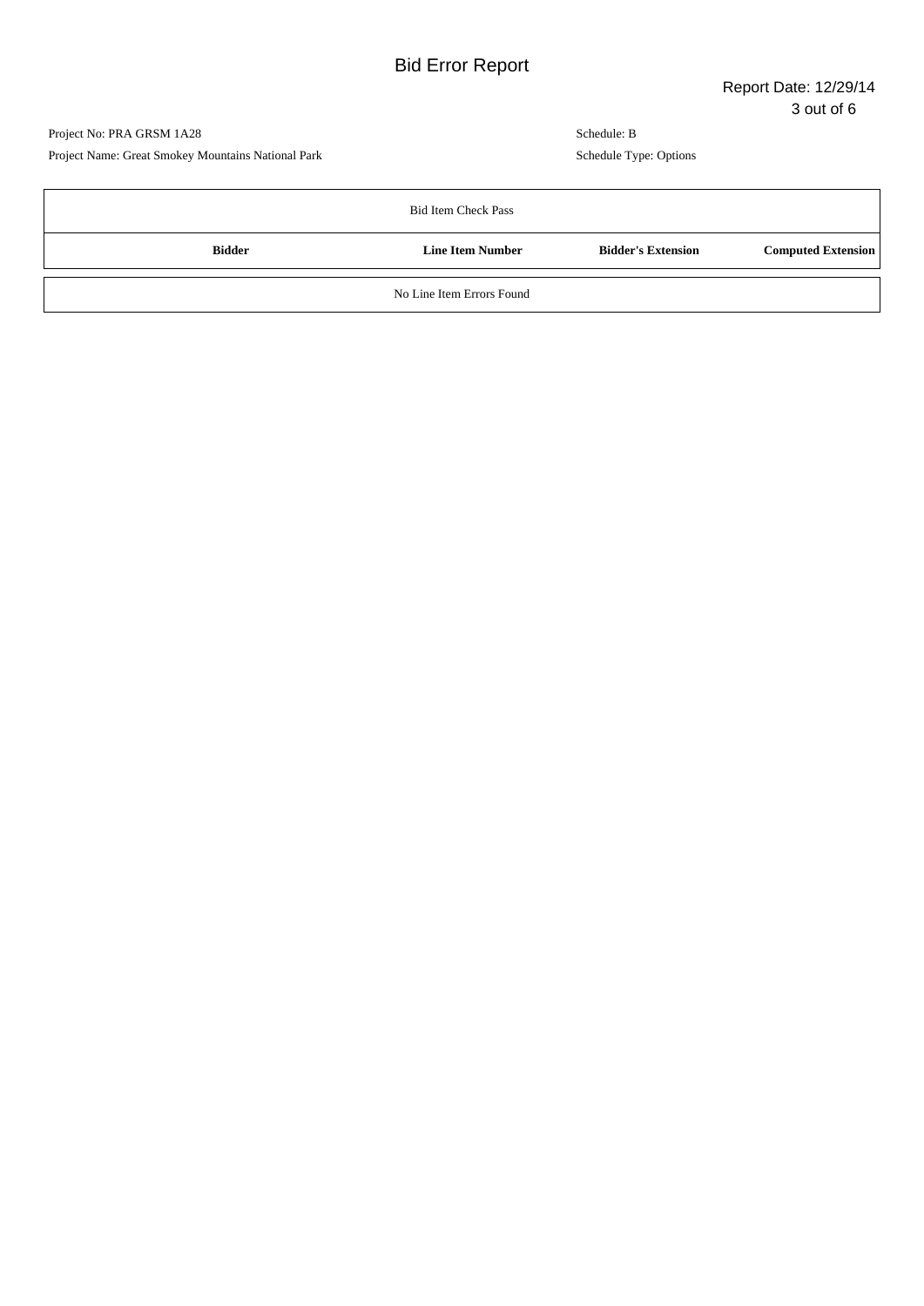Project No: PRA GRSM 1A28 Project Name: Great Smokey Mountains National Park Schedule: B Schedule Type: Options

Bid Item Check Pass **Bidder Line Item Number Bidder's Extension Computed Extension** No Line Item Errors Found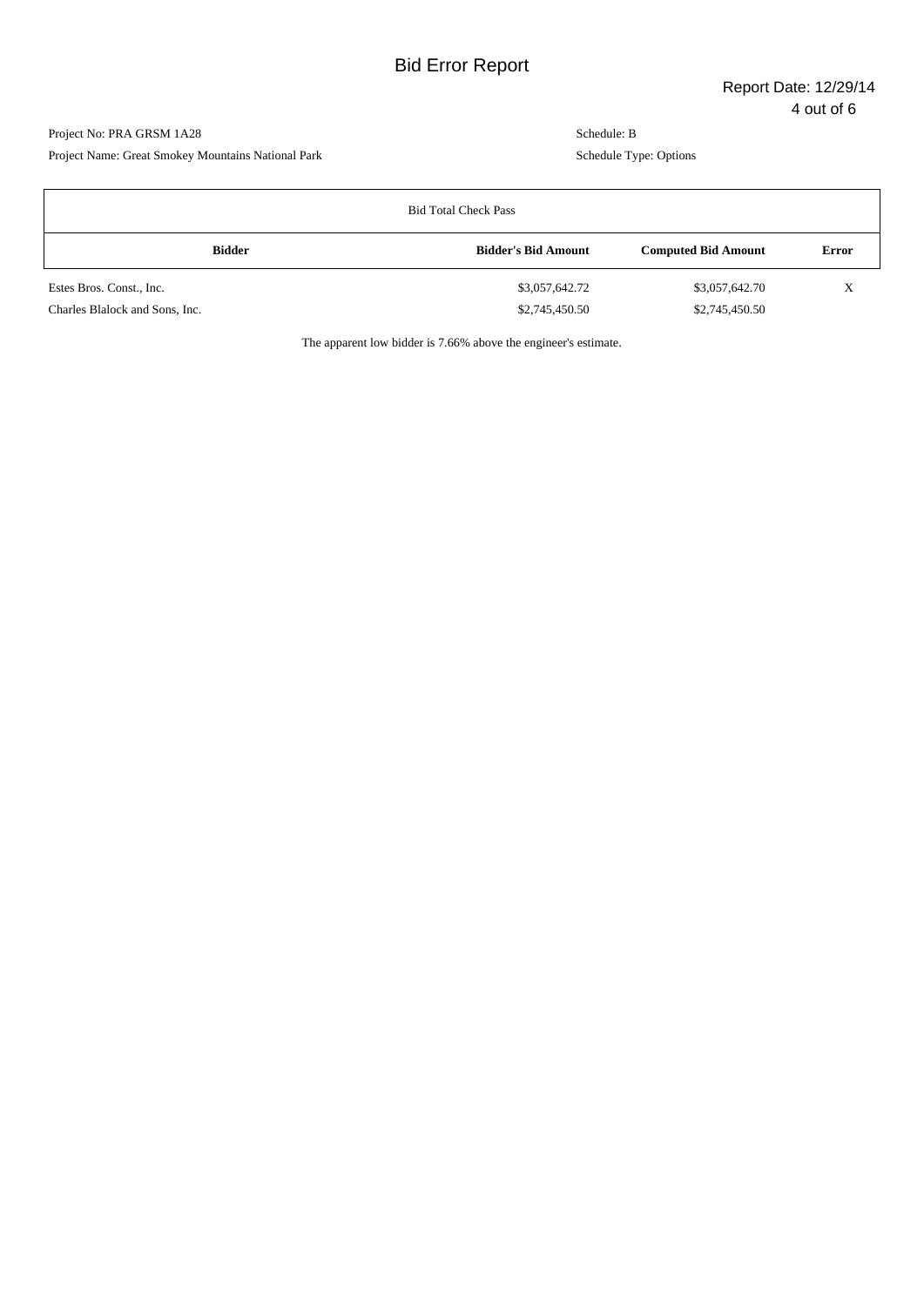Project Name: Great Smokey Mountains National Park

Schedule: B Schedule Type: Options

| <b>Bid Total Check Pass</b>    |                            |                            |              |
|--------------------------------|----------------------------|----------------------------|--------------|
| <b>Bidder</b>                  | <b>Bidder's Bid Amount</b> | <b>Computed Bid Amount</b> | <b>Error</b> |
| Estes Bros. Const., Inc.       | \$3,057,642.72             | \$3,057,642.70             | X            |
| Charles Blalock and Sons, Inc. | \$2,745,450.50             | \$2,745,450.50             |              |

The apparent low bidder is 7.66% above the engineer's estimate.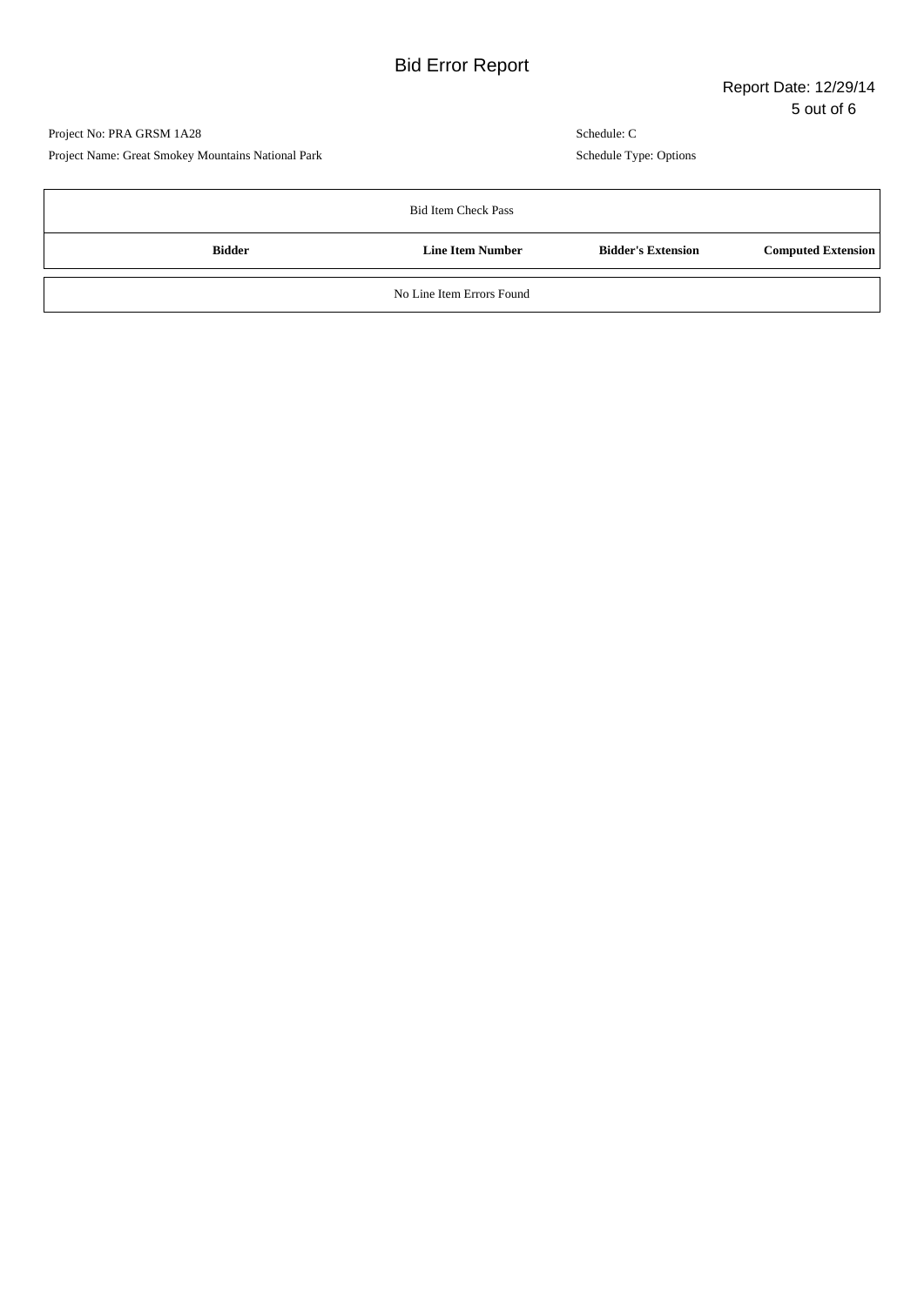Project No: PRA GRSM 1A28 Project Name: Great Smokey Mountains National Park Schedule: C Schedule Type: Options

Bid Item Check Pass **Bidder Line Item Number Bidder's Extension Computed Extension** No Line Item Errors Found